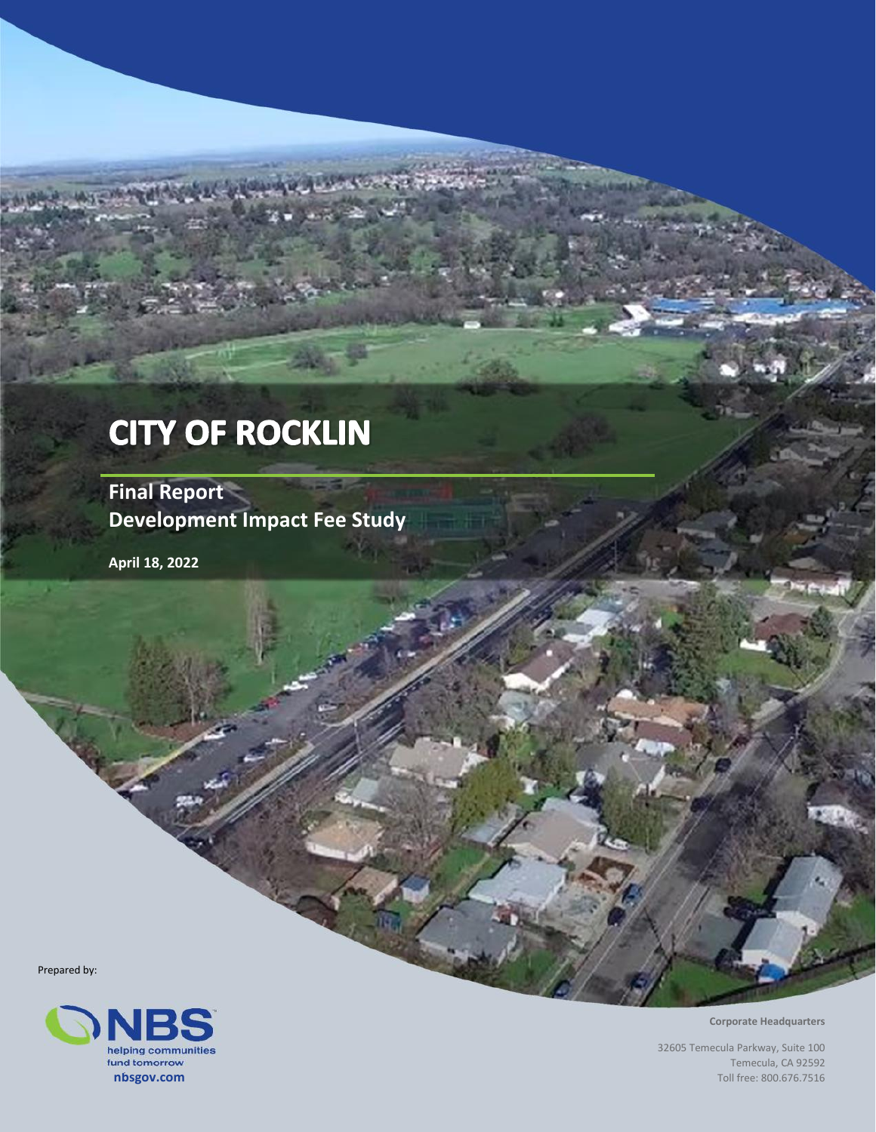# **CITY OF ROCKLIN**

**Final Report Development Impact Fee Study**

**April 18, 2022**

Prepared by:



**Corporate Headquarters**

32605 Temecula Parkway, Suite 100 Temecula, CA 92592 Toll free: 800.676.7516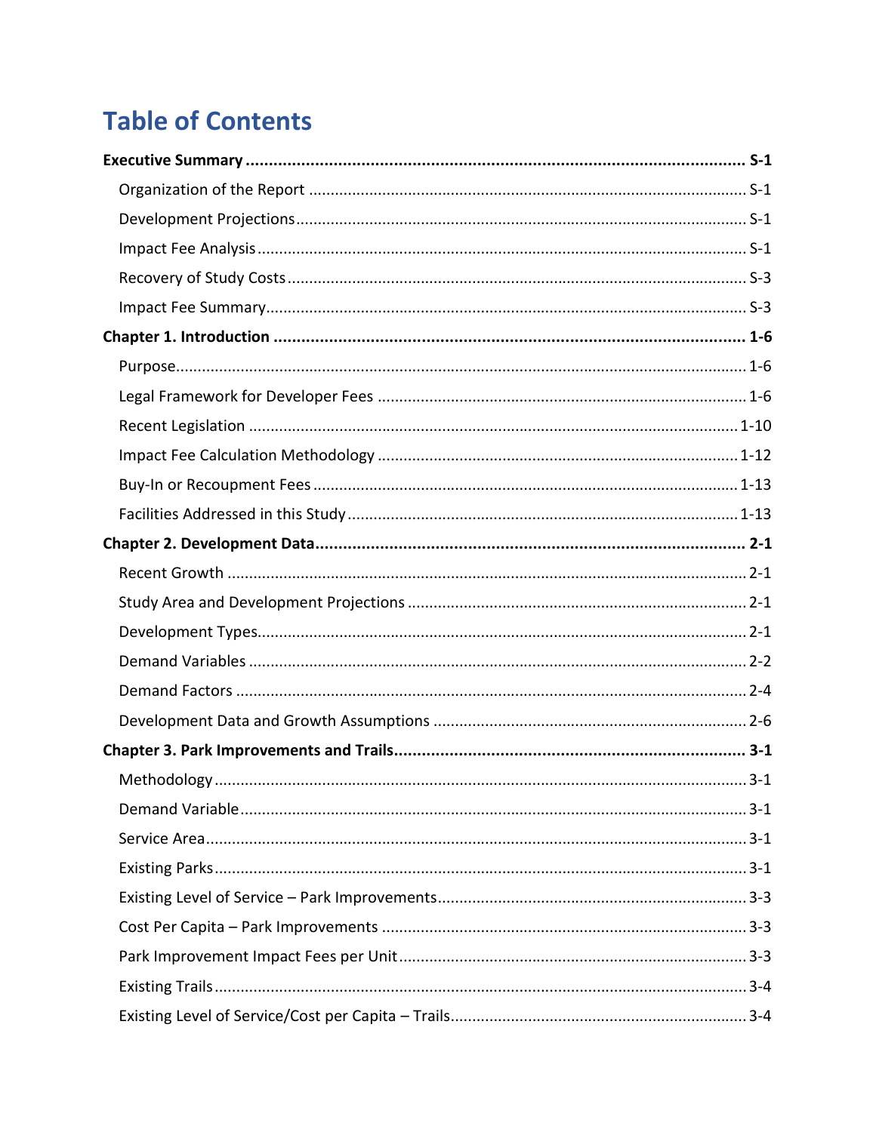# **Table of Contents**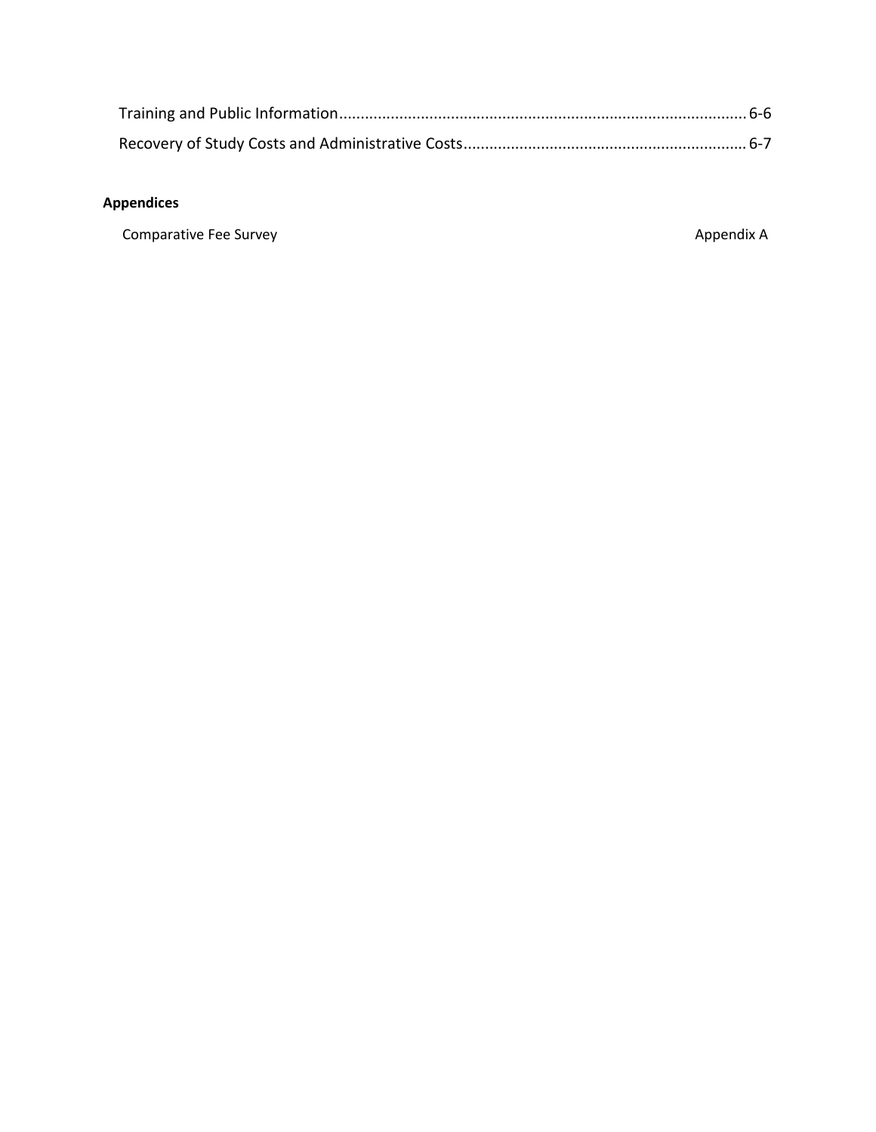#### **Appendices**

Comparative Fee Survey **Appendix A** Appendix A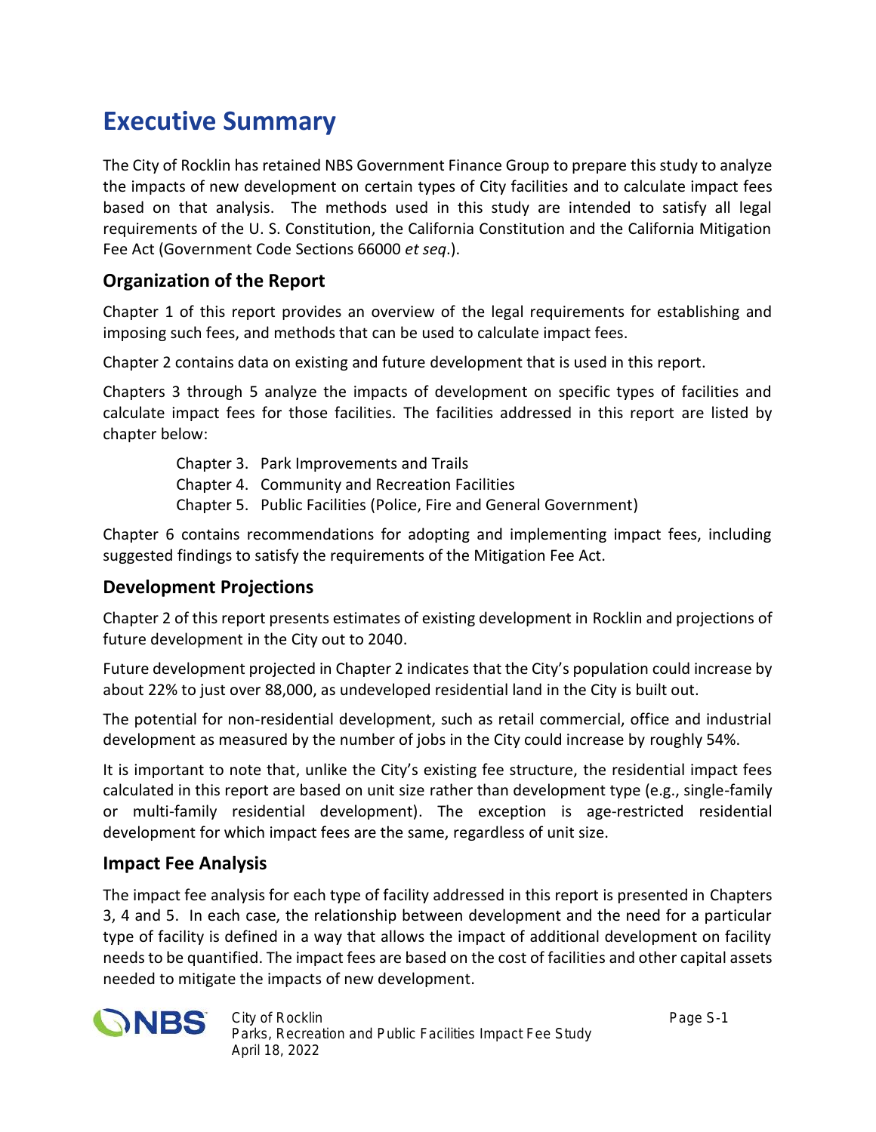## **Executive Summary**

The City of Rocklin has retained NBS Government Finance Group to prepare this study to analyze the impacts of new development on certain types of City facilities and to calculate impact fees based on that analysis. The methods used in this study are intended to satisfy all legal requirements of the U. S. Constitution, the California Constitution and the California Mitigation Fee Act (Government Code Sections 66000 *et seq*.).

### **Organization of the Report**

Chapter 1 of this report provides an overview of the legal requirements for establishing and imposing such fees, and methods that can be used to calculate impact fees.

Chapter 2 contains data on existing and future development that is used in this report.

Chapters 3 through 5 analyze the impacts of development on specific types of facilities and calculate impact fees for those facilities. The facilities addressed in this report are listed by chapter below:

> Chapter 3. Park Improvements and Trails Chapter 4. Community and Recreation Facilities Chapter 5. Public Facilities (Police, Fire and General Government)

Chapter 6 contains recommendations for adopting and implementing impact fees, including suggested findings to satisfy the requirements of the Mitigation Fee Act.

### **Development Projections**

Chapter 2 of this report presents estimates of existing development in Rocklin and projections of future development in the City out to 2040.

Future development projected in Chapter 2 indicates that the City's population could increase by about 22% to just over 88,000, as undeveloped residential land in the City is built out.

The potential for non-residential development, such as retail commercial, office and industrial development as measured by the number of jobs in the City could increase by roughly 54%.

It is important to note that, unlike the City's existing fee structure, the residential impact fees calculated in this report are based on unit size rather than development type (e.g., single-family or multi-family residential development). The exception is age-restricted residential development for which impact fees are the same, regardless of unit size.

### **Impact Fee Analysis**

The impact fee analysis for each type of facility addressed in this report is presented in Chapters 3, 4 and 5. In each case, the relationship between development and the need for a particular type of facility is defined in a way that allows the impact of additional development on facility needs to be quantified. The impact fees are based on the cost of facilities and other capital assets needed to mitigate the impacts of new development.



*City of Rocklin Page S-1 Parks, Recreation and Public Facilities Impact Fee Study April 18, 2022*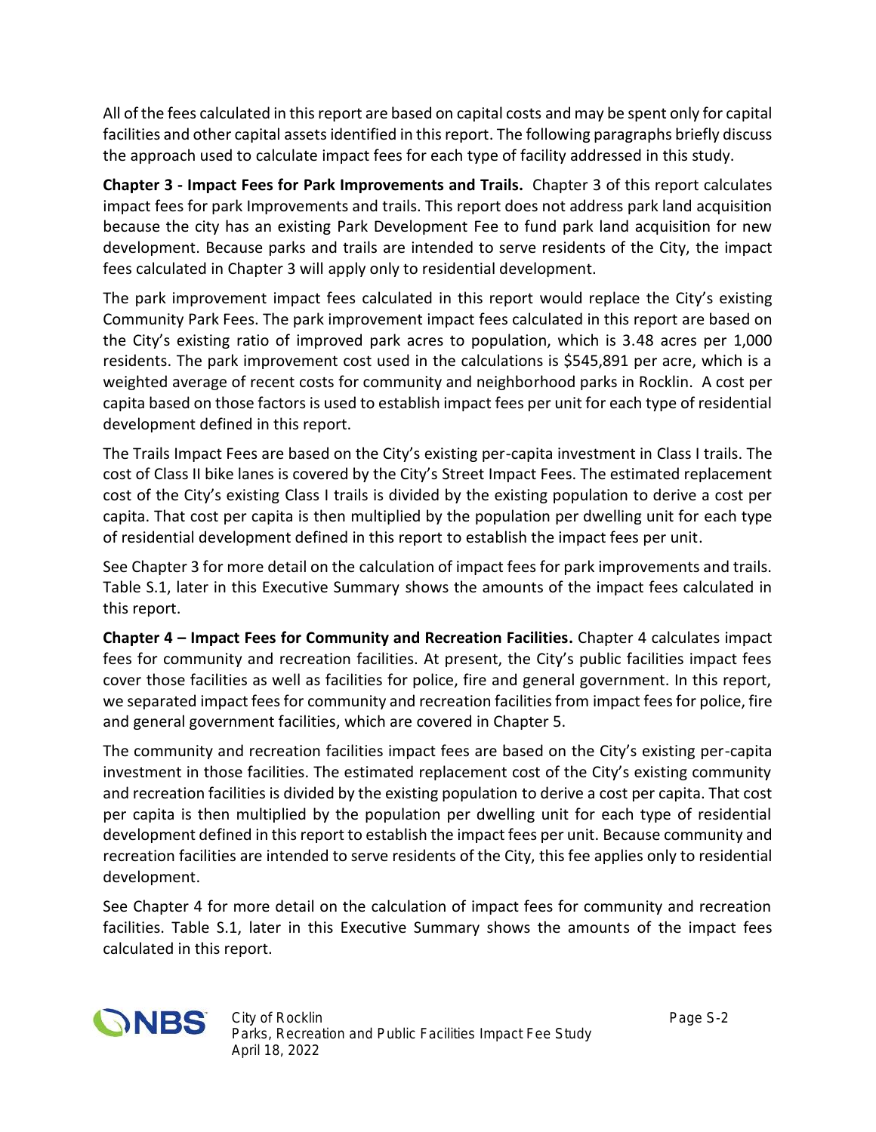All of the fees calculated in this report are based on capital costs and may be spent only for capital facilities and other capital assets identified in this report. The following paragraphs briefly discuss the approach used to calculate impact fees for each type of facility addressed in this study.

**Chapter 3 - Impact Fees for Park Improvements and Trails.** Chapter 3 of this report calculates impact fees for park Improvements and trails. This report does not address park land acquisition because the city has an existing Park Development Fee to fund park land acquisition for new development. Because parks and trails are intended to serve residents of the City, the impact fees calculated in Chapter 3 will apply only to residential development.

The park improvement impact fees calculated in this report would replace the City's existing Community Park Fees. The park improvement impact fees calculated in this report are based on the City's existing ratio of improved park acres to population, which is 3.48 acres per 1,000 residents. The park improvement cost used in the calculations is \$545,891 per acre, which is a weighted average of recent costs for community and neighborhood parks in Rocklin. A cost per capita based on those factors is used to establish impact fees per unit for each type of residential development defined in this report.

The Trails Impact Fees are based on the City's existing per-capita investment in Class I trails. The cost of Class II bike lanes is covered by the City's Street Impact Fees. The estimated replacement cost of the City's existing Class I trails is divided by the existing population to derive a cost per capita. That cost per capita is then multiplied by the population per dwelling unit for each type of residential development defined in this report to establish the impact fees per unit.

See Chapter 3 for more detail on the calculation of impact fees for park improvements and trails. Table S.1, later in this Executive Summary shows the amounts of the impact fees calculated in this report.

**Chapter 4 – Impact Fees for Community and Recreation Facilities.** Chapter 4 calculates impact fees for community and recreation facilities. At present, the City's public facilities impact fees cover those facilities as well as facilities for police, fire and general government. In this report, we separated impact fees for community and recreation facilities from impact fees for police, fire and general government facilities, which are covered in Chapter 5.

The community and recreation facilities impact fees are based on the City's existing per-capita investment in those facilities. The estimated replacement cost of the City's existing community and recreation facilities is divided by the existing population to derive a cost per capita. That cost per capita is then multiplied by the population per dwelling unit for each type of residential development defined in this report to establish the impact fees per unit. Because community and recreation facilities are intended to serve residents of the City, this fee applies only to residential development.

See Chapter 4 for more detail on the calculation of impact fees for community and recreation facilities. Table S.1, later in this Executive Summary shows the amounts of the impact fees calculated in this report.

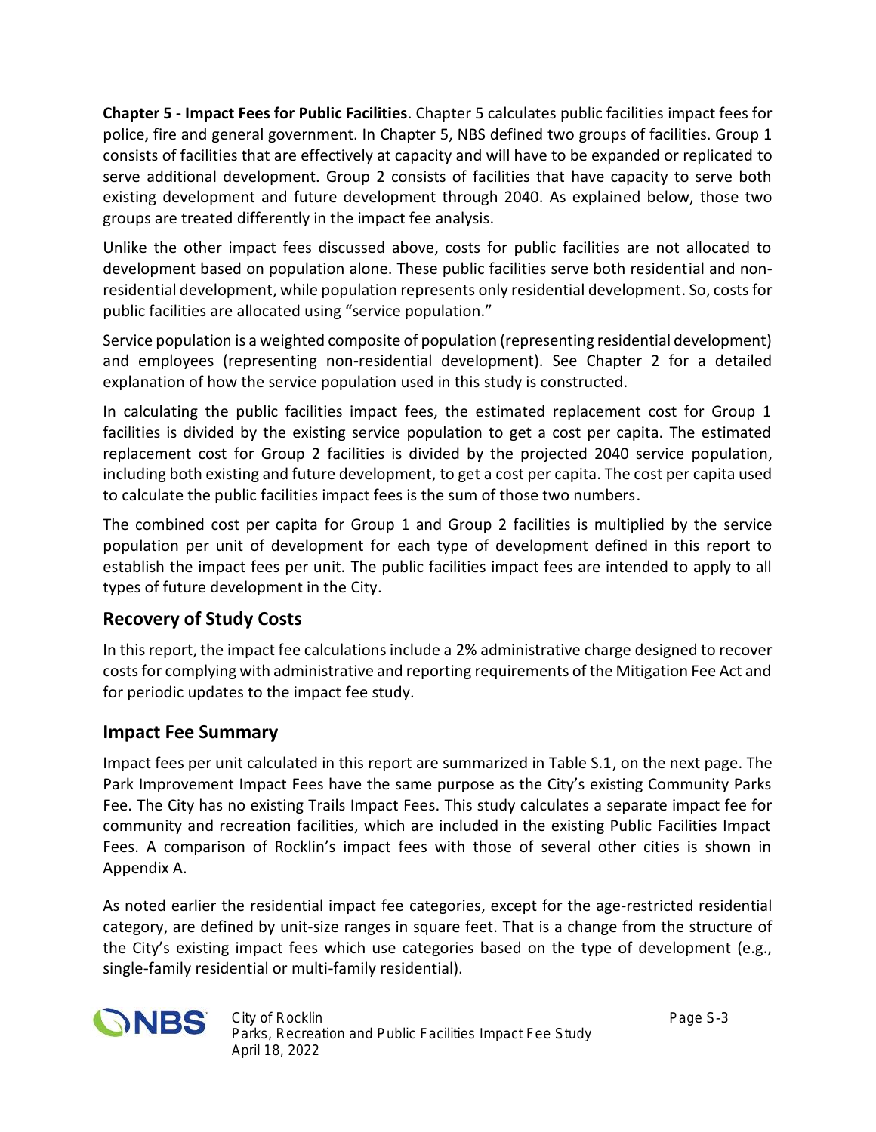**Chapter 5 - Impact Fees for Public Facilities**. Chapter 5 calculates public facilities impact fees for police, fire and general government. In Chapter 5, NBS defined two groups of facilities. Group 1 consists of facilities that are effectively at capacity and will have to be expanded or replicated to serve additional development. Group 2 consists of facilities that have capacity to serve both existing development and future development through 2040. As explained below, those two groups are treated differently in the impact fee analysis.

Unlike the other impact fees discussed above, costs for public facilities are not allocated to development based on population alone. These public facilities serve both residential and non residential development, while population represents only residential development. So, costs for public facilities are allocated using "service population."

Service population is a weighted composite of population (representing residential development) and employees (representing non-residential development). See Chapter 2 for a detailed explanation of how the service population used in this study is constructed.

In calculating the public facilities impact fees, the estimated replacement cost for Group 1 facilities is divided by the existing service population to get a cost per capita. The estimated replacement cost for Group 2 facilities is divided by the projected 2040 service population, including both existing and future development, to get a cost per capita. The cost per capita used to calculate the public facilities impact fees is the sum of those two numbers.

The combined cost per capita for Group 1 and Group 2 facilities is multiplied by the service population per unit of development for each type of development defined in this report to establish the impact fees per unit. The public facilities impact fees are intended to apply to all types of future development in the City.

### **Recovery of Study Costs**

In this report, the impact fee calculations include a 2% administrative charge designed to recover costs for complying with administrative and reporting requirements of the Mitigation Fee Act and for periodic updates to the impact fee study.

### **Impact Fee Summary**

Impact fees per unit calculated in this report are summarized in Table S.1, on the next page. The Park Improvement Impact Fees have the same purpose as the City's existing Community Parks Fee. The City has no existing Trails Impact Fees. This study calculates a separate impact fee for community and recreation facilities, which are included in the existing Public Facilities Impact Fees. A comparison of Rocklin's impact fees with those of several other cities is shown in Appendix A.

As noted earlier the residential impact fee categories, except for the age-restricted residential category, are defined by unit-size ranges in square feet. That is a change from the structure of the City's existing impact fees which use categories based on the type of development (e.g., single-family residential or multi-family residential).

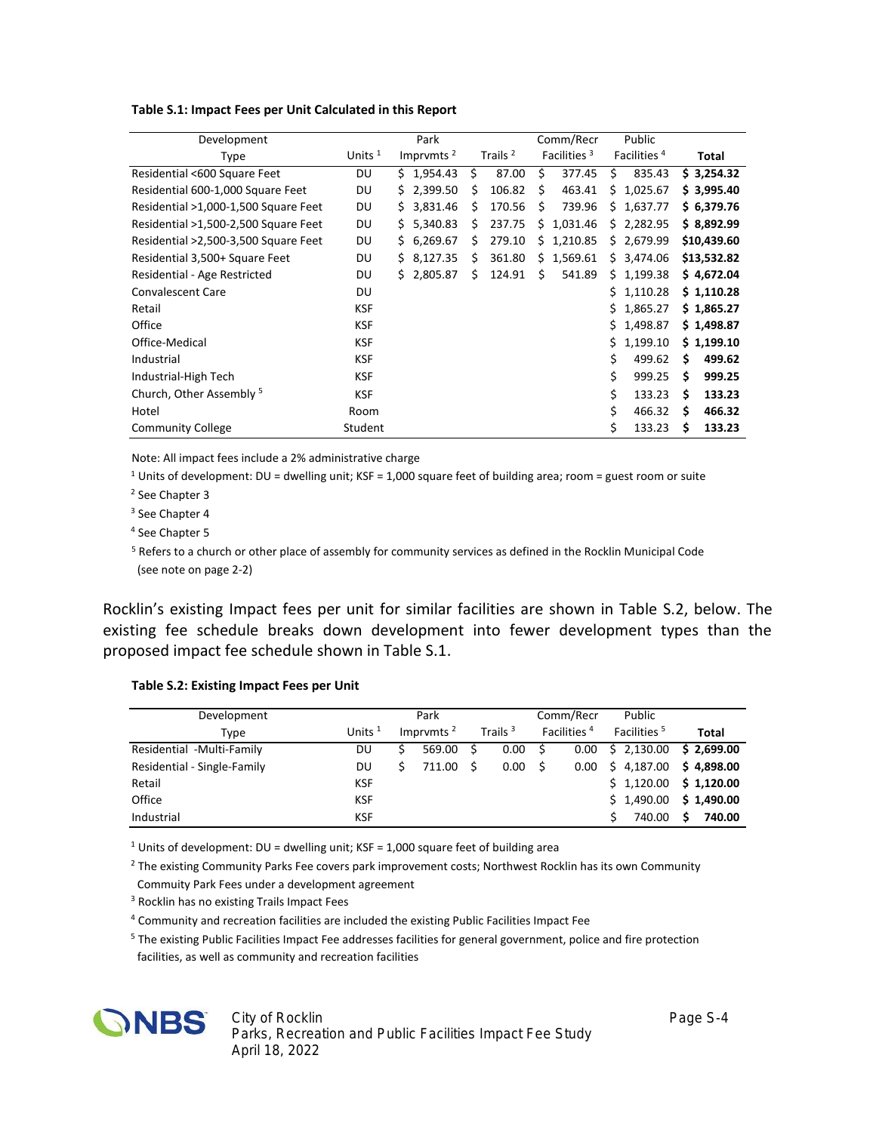| Development                          |            | Park         |                     | Comm/Recr               | Public                  |              |
|--------------------------------------|------------|--------------|---------------------|-------------------------|-------------------------|--------------|
| <b>Type</b>                          | Units $1$  | Imprvmts $2$ | Trails <sup>2</sup> | Facilities <sup>3</sup> | Facilities <sup>4</sup> | Total        |
| Residential <600 Square Feet         | DU         | \$1,954.43   | 87.00<br>Ś.         | Ś<br>377.45             | 835.43<br>Ŝ.            | \$3,254.32   |
| Residential 600-1,000 Square Feet    | DU         | \$2,399.50   | 106.82<br>Ś         | Ś<br>463.41             | \$1,025.67              | \$3,995.40   |
| Residential >1,000-1,500 Square Feet | DU         | \$3,831.46   | 170.56<br>S         | Ś<br>739.96             | \$1,637.77              | \$6,379.76   |
| Residential >1,500-2,500 Square Feet | DU         | \$5,340.83   | 237.75<br>Ś.        | 1,031.46<br>S           | \$2,282.95              | \$8,892.99   |
| Residential >2,500-3,500 Square Feet | DU         | \$6,269.67   | 279.10<br>Ś.        | 1,210.85<br>s           | \$2,679.99              | \$10,439.60  |
| Residential 3,500+ Square Feet       | DU         | \$8,127.35   | 361.80<br>S         | 1,569.61<br>s           | \$3,474.06              | \$13,532.82  |
| Residential - Age Restricted         | DU         | \$2,805.87   | 124.91<br>Ś         | 541.89<br>Ś             | \$1,199.38              | \$4,672.04   |
| <b>Convalescent Care</b>             | DU         |              |                     |                         | \$1,110.28              | \$1,110.28   |
| Retail                               | <b>KSF</b> |              |                     |                         | Ś.<br>1,865.27          | \$1,865.27   |
| Office                               | <b>KSF</b> |              |                     |                         | Ś.<br>1,498.87          | \$1,498.87   |
| Office-Medical                       | <b>KSF</b> |              |                     |                         | \$1,199.10              | \$1,199.10   |
| Industrial                           | <b>KSF</b> |              |                     |                         | \$<br>499.62            | 499.62<br>S  |
| Industrial-High Tech                 | <b>KSF</b> |              |                     |                         | \$<br>999.25            | 999.25<br>S  |
| Church, Other Assembly <sup>5</sup>  | <b>KSF</b> |              |                     |                         | Ś<br>133.23             | 133.23<br>S. |
| Hotel                                | Room       |              |                     |                         | \$<br>466.32            | 466.32<br>S  |
| <b>Community College</b>             | Student    |              |                     |                         | \$<br>133.23            | 133.23<br>s  |

#### **Table S.1: Impact Fees per Unit Calculated in this Report**

Note: All impact fees include a 2% administrative charge

 $^1$  Units of development: DU = dwelling unit; KSF = 1,000 square feet of building area; room = guest room or suite

2 See Chapter 3

<sup>3</sup> See Chapter 4

4 See Chapter 5

<sup>5</sup> Refers to a church or other place of assembly for community services as defined in the Rocklin Municipal Code (see note on page 2-2)

Rocklin's existing Impact fees per unit for similar facilities are shown in Table S.2, below. The existing fee schedule breaks down development into fewer development types than the proposed impact fee schedule shown in Table S.1.

#### **Table S.2: Existing Impact Fees per Unit**

| Development                 |            | Park          |            | Comm/Recr               | Public                  |              |
|-----------------------------|------------|---------------|------------|-------------------------|-------------------------|--------------|
| Type                        | Units $1$  | Imprvmts $^2$ | Trails $3$ | Facilities <sup>4</sup> | Facilities <sup>5</sup> | <b>Total</b> |
| Residential -Multi-Family   | DU         | 569.00        | 0.00       | 0.00                    | \$2,130.00              | \$2.699.00   |
| Residential - Single-Family | DU         | 711.00        | 0.00       | 0.00                    | \$4,187.00              | \$4.898.00   |
| Retail                      | <b>KSF</b> |               |            |                         | \$1,120.00              | \$1,120.00   |
| Office                      | <b>KSF</b> |               |            |                         | \$1,490.00              | \$1,490.00   |
| Industrial                  | <b>KSF</b> |               |            |                         | 740.00                  | 740.00<br>S  |

<sup>1</sup> Units of development: DU = dwelling unit; KSF = 1,000 square feet of building area

<sup>2</sup> The existing Community Parks Fee covers park improvement costs; Northwest Rocklin has its own Community Commuity Park Fees under a development agreement

<sup>3</sup> Rocklin has no existing Trails Impact Fees

4 Community and recreation facilities are included the existing Public Facilities Impact Fee

5 The existing Public Facilities Impact Fee addresses facilities for general government, police and fire protection facilities, as well as community and recreation facilities

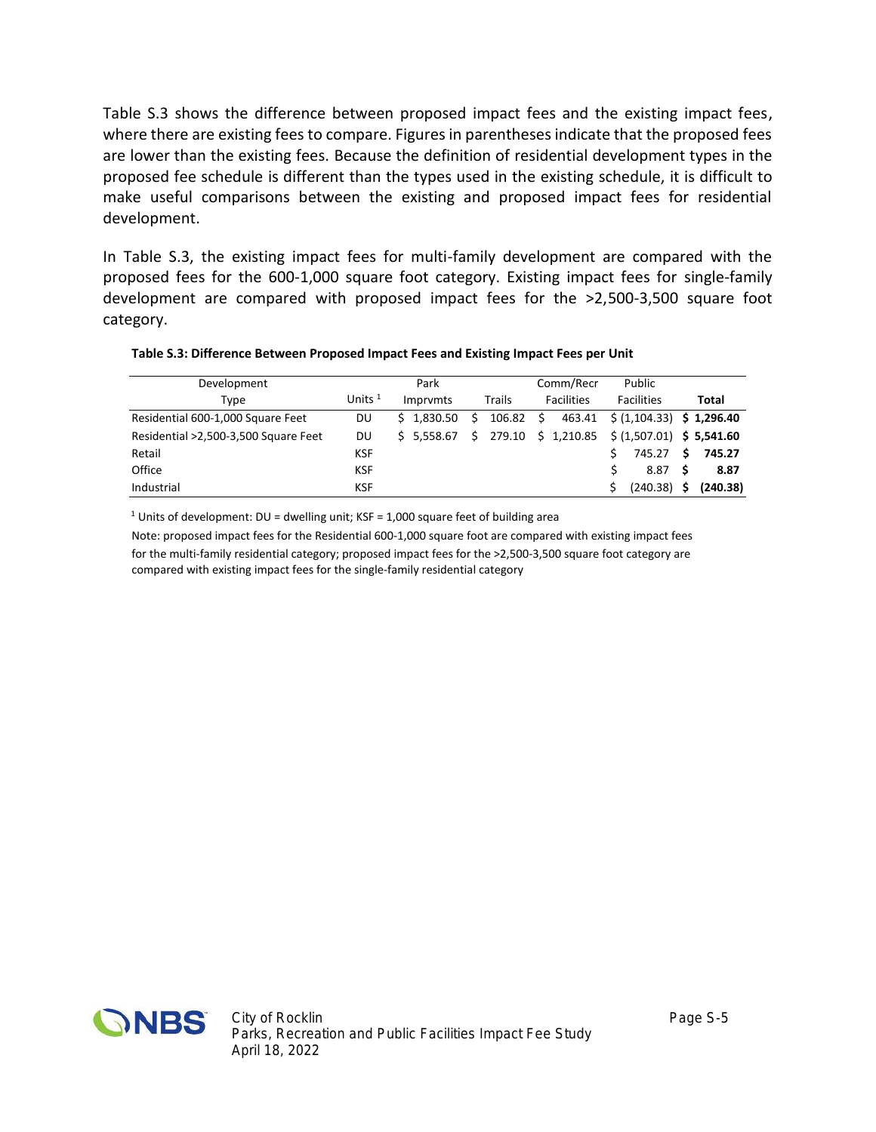Table S.3 shows the difference between proposed impact fees and the existing impact fees, where there are existing fees to compare. Figures in parentheses indicate that the proposed fees are lower than the existing fees. Because the definition of residential development types in the proposed fee schedule is different than the types used in the existing schedule, it is difficult to make useful comparisons between the existing and proposed impact fees for residential development.

In Table S.3, the existing impact fees for multi-family development are compared with the proposed fees for the 600-1,000 square foot category. Existing impact fees for single-family development are compared with proposed impact fees for the >2,500-3,500 square foot category.

| Table S.3: Difference Between Proposed Impact Fees and Existing Impact Fees per Unit |
|--------------------------------------------------------------------------------------|
|--------------------------------------------------------------------------------------|

| Development                          |                  | Park        |              | Comm/Recr                                    | Public                           |              |
|--------------------------------------|------------------|-------------|--------------|----------------------------------------------|----------------------------------|--------------|
| Type                                 | Units $^{\rm 1}$ | Imprymts    | Trails       | <b>Facilities</b>                            | <b>Facilities</b>                | Total        |
| Residential 600-1,000 Square Feet    | DU               | \$1.830.50  | 106.82<br>S. | Ŝ.                                           | 463.41 \$ (1,104.33) \$ 1,296.40 |              |
| Residential >2,500-3,500 Square Feet | DU               | \$ 5.558.67 | S.           | 279.10 \$ 1,210.85 \$ (1,507.01) \$ 5,541.60 |                                  |              |
| Retail                               | KSF              |             |              |                                              | 745.27                           | 745.27<br>-S |
| Office                               | <b>KSF</b>       |             |              |                                              | 8.87                             | 8.87<br>-S   |
| Industrial                           | <b>KSF</b>       |             |              |                                              | $(240.38)$ \$                    | (240.38)     |

<sup>1</sup> Units of development: DU = dwelling unit; KSF = 1,000 square feet of building area

Note: proposed impact fees for the Residential 600-1,000 square foot are compared with existing impact fees for the multi-family residential category; proposed impact fees for the >2,500-3,500 square foot category are compared with existing impact fees for the single-family residential category

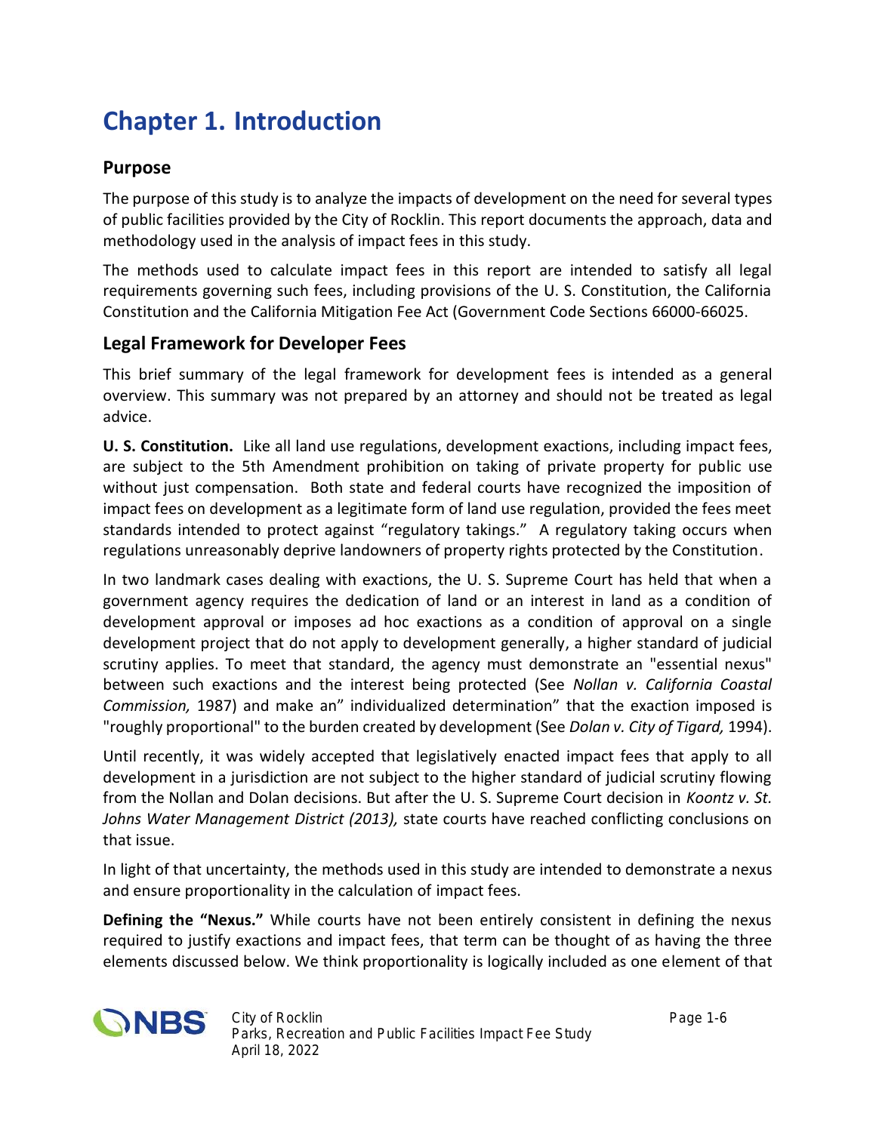## **Chapter 1. Introduction**

#### **Purpose**

The purpose of this study is to analyze the impacts of development on the need for several types of public facilities provided by the City of Rocklin. This report documents the approach, data and methodology used in the analysis of impact fees in this study.

The methods used to calculate impact fees in this report are intended to satisfy all legal requirements governing such fees, including provisions of the U. S. Constitution, the California Constitution and the California Mitigation Fee Act (Government Code Sections 66000-66025.

#### **Legal Framework for Developer Fees**

This brief summary of the legal framework for development fees is intended as a general overview. This summary was not prepared by an attorney and should not be treated as legal advice.

**U. S. Constitution.** Like all land use regulations, development exactions, including impact fees, are subject to the 5th Amendment prohibition on taking of private property for public use without just compensation. Both state and federal courts have recognized the imposition of impact fees on development as a legitimate form of land use regulation, provided the fees meet standards intended to protect against "regulatory takings." A regulatory taking occurs when regulations unreasonably deprive landowners of property rights protected by the Constitution.

In two landmark cases dealing with exactions, the U. S. Supreme Court has held that when a government agency requires the dedication of land or an interest in land as a condition of development approval or imposes ad hoc exactions as a condition of approval on a single development project that do not apply to development generally, a higher standard of judicial scrutiny applies. To meet that standard, the agency must demonstrate an "essential nexus" between such exactions and the interest being protected (See *Nollan v. California Coastal Commission,* 1987) and make an" individualized determination" that the exaction imposed is "roughly proportional" to the burden created by development (See *Dolan v. City of Tigard,* 1994).

Until recently, it was widely accepted that legislatively enacted impact fees that apply to all development in a jurisdiction are not subject to the higher standard of judicial scrutiny flowing from the Nollan and Dolan decisions. But after the U. S. Supreme Court decision in *Koontz v. St. Johns Water Management District (2013),* state courts have reached conflicting conclusions on that issue.

In light of that uncertainty, the methods used in this study are intended to demonstrate a nexus and ensure proportionality in the calculation of impact fees.

**Defining the "Nexus."** While courts have not been entirely consistent in defining the nexus required to justify exactions and impact fees, that term can be thought of as having the three elements discussed below. We think proportionality is logically included as one element of that

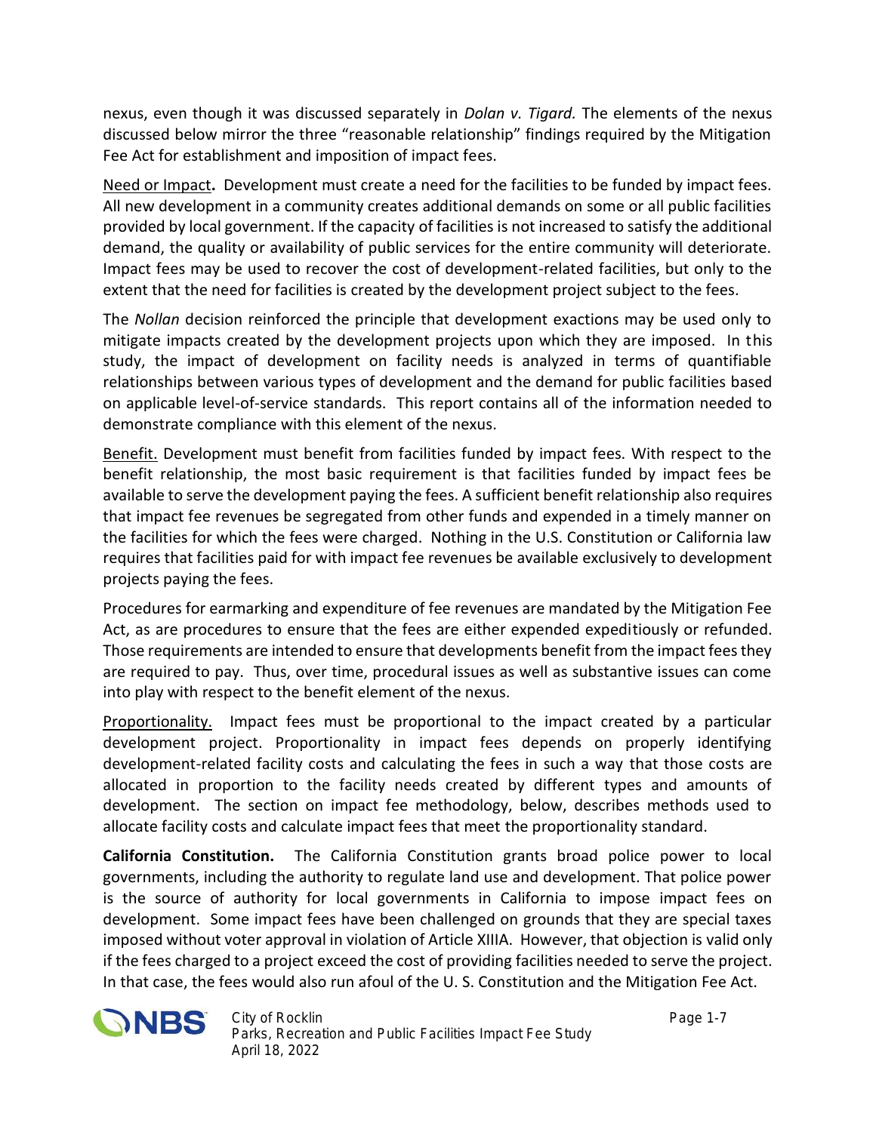nexus, even though it was discussed separately in *Dolan v. Tigard.* The elements of the nexus discussed below mirror the three "reasonable relationship" findings required by the Mitigation Fee Act for establishment and imposition of impact fees.

Need or Impact**.** Development must create a need for the facilities to be funded by impact fees. All new development in a community creates additional demands on some or all public facilities provided by local government. If the capacity of facilities is not increased to satisfy the additional demand, the quality or availability of public services for the entire community will deteriorate. Impact fees may be used to recover the cost of development-related facilities, but only to the extent that the need for facilities is created by the development project subject to the fees.

The *Nollan* decision reinforced the principle that development exactions may be used only to mitigate impacts created by the development projects upon which they are imposed. In this study, the impact of development on facility needs is analyzed in terms of quantifiable relationships between various types of development and the demand for public facilities based on applicable level-of-service standards. This report contains all of the information needed to demonstrate compliance with this element of the nexus.

Benefit. Development must benefit from facilities funded by impact fees. With respect to the benefit relationship, the most basic requirement is that facilities funded by impact fees be available to serve the development paying the fees. A sufficient benefit relationship also requires that impact fee revenues be segregated from other funds and expended in a timely manner on the facilities for which the fees were charged. Nothing in the U.S. Constitution or California law requires that facilities paid for with impact fee revenues be available exclusively to development projects paying the fees.

Procedures for earmarking and expenditure of fee revenues are mandated by the Mitigation Fee Act, as are procedures to ensure that the fees are either expended expeditiously or refunded. Those requirements are intended to ensure that developments benefit from the impact fees they are required to pay. Thus, over time, procedural issues as well as substantive issues can come into play with respect to the benefit element of the nexus.

Proportionality. Impact fees must be proportional to the impact created by a particular development project. Proportionality in impact fees depends on properly identifying development-related facility costs and calculating the fees in such a way that those costs are allocated in proportion to the facility needs created by different types and amounts of development. The section on impact fee methodology, below, describes methods used to allocate facility costs and calculate impact fees that meet the proportionality standard.

**California Constitution.** The California Constitution grants broad police power to local governments, including the authority to regulate land use and development. That police power is the source of authority for local governments in California to impose impact fees on development. Some impact fees have been challenged on grounds that they are special taxes imposed without voter approval in violation of Article XIIIA. However, that objection is valid only if the fees charged to a project exceed the cost of providing facilities needed to serve the project. In that case, the fees would also run afoul of the U. S. Constitution and the Mitigation Fee Act.

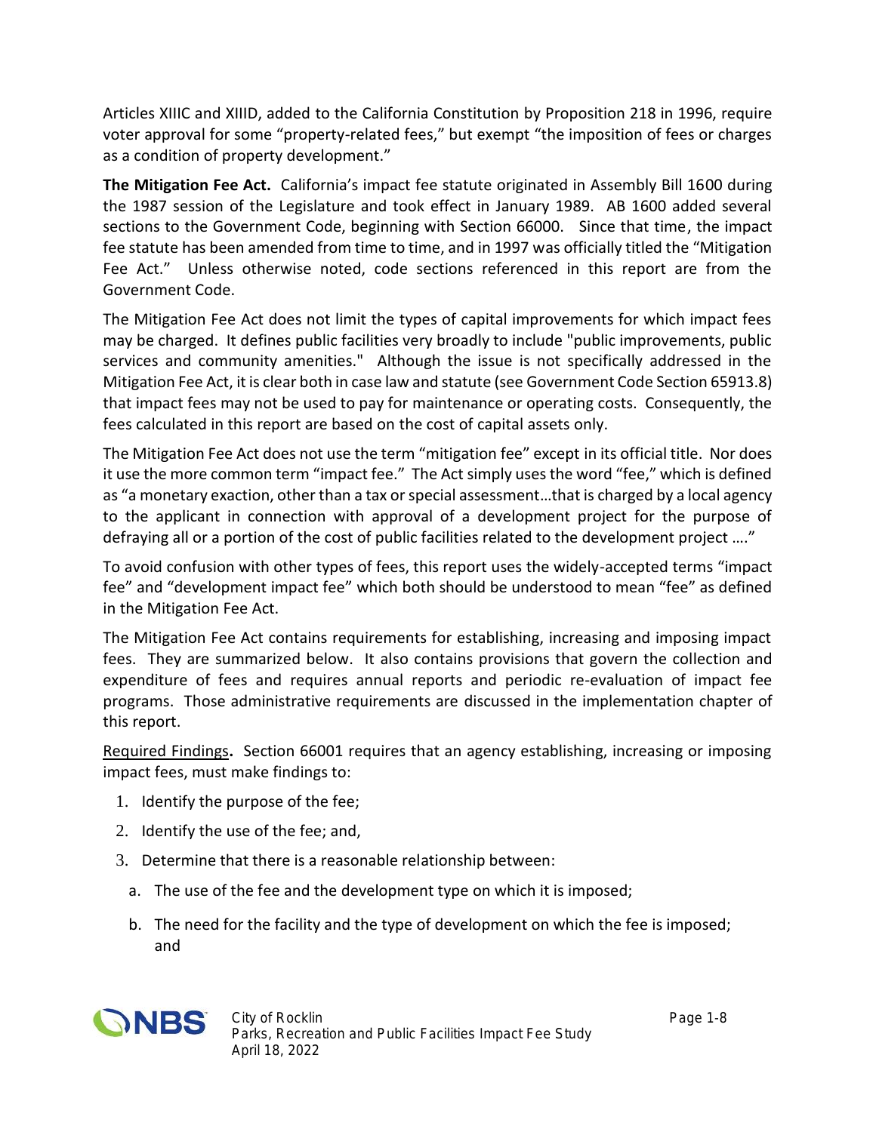Articles XIIIC and XIIID, added to the California Constitution by Proposition 218 in 1996, require voter approval for some "property-related fees," but exempt "the imposition of fees or charges as a condition of property development."

**The Mitigation Fee Act.** California's impact fee statute originated in Assembly Bill 1600 during the 1987 session of the Legislature and took effect in January 1989. AB 1600 added several sections to the Government Code, beginning with Section 66000. Since that time, the impact fee statute has been amended from time to time, and in 1997 was officially titled the "Mitigation Fee Act." Unless otherwise noted, code sections referenced in this report are from the Government Code.

The Mitigation Fee Act does not limit the types of capital improvements for which impact fees may be charged. It defines public facilities very broadly to include "public improvements, public services and community amenities." Although the issue is not specifically addressed in the Mitigation Fee Act, it is clear both in case law and statute (see Government Code Section 65913.8) that impact fees may not be used to pay for maintenance or operating costs. Consequently, the fees calculated in this report are based on the cost of capital assets only.

The Mitigation Fee Act does not use the term "mitigation fee" except in its official title. Nor does it use the more common term "impact fee." The Act simply uses the word "fee," which is defined as "a monetary exaction, other than a tax or special assessment…that is charged by a local agency to the applicant in connection with approval of a development project for the purpose of defraying all or a portion of the cost of public facilities related to the development project …."

To avoid confusion with other types of fees, this report uses the widely-accepted terms "impact fee" and "development impact fee" which both should be understood to mean "fee" as defined in the Mitigation Fee Act.

The Mitigation Fee Act contains requirements for establishing, increasing and imposing impact fees. They are summarized below. It also contains provisions that govern the collection and expenditure of fees and requires annual reports and periodic re-evaluation of impact fee programs. Those administrative requirements are discussed in the implementation chapter of this report.

Required Findings**.** Section 66001 requires that an agency establishing, increasing or imposing impact fees, must make findings to:

- 1. Identify the purpose of the fee;
- 2. Identify the use of the fee; and,
- 3. Determine that there is a reasonable relationship between:
	- a. The use of the fee and the development type on which it is imposed;
	- b. The need for the facility and the type of development on which the fee is imposed; and

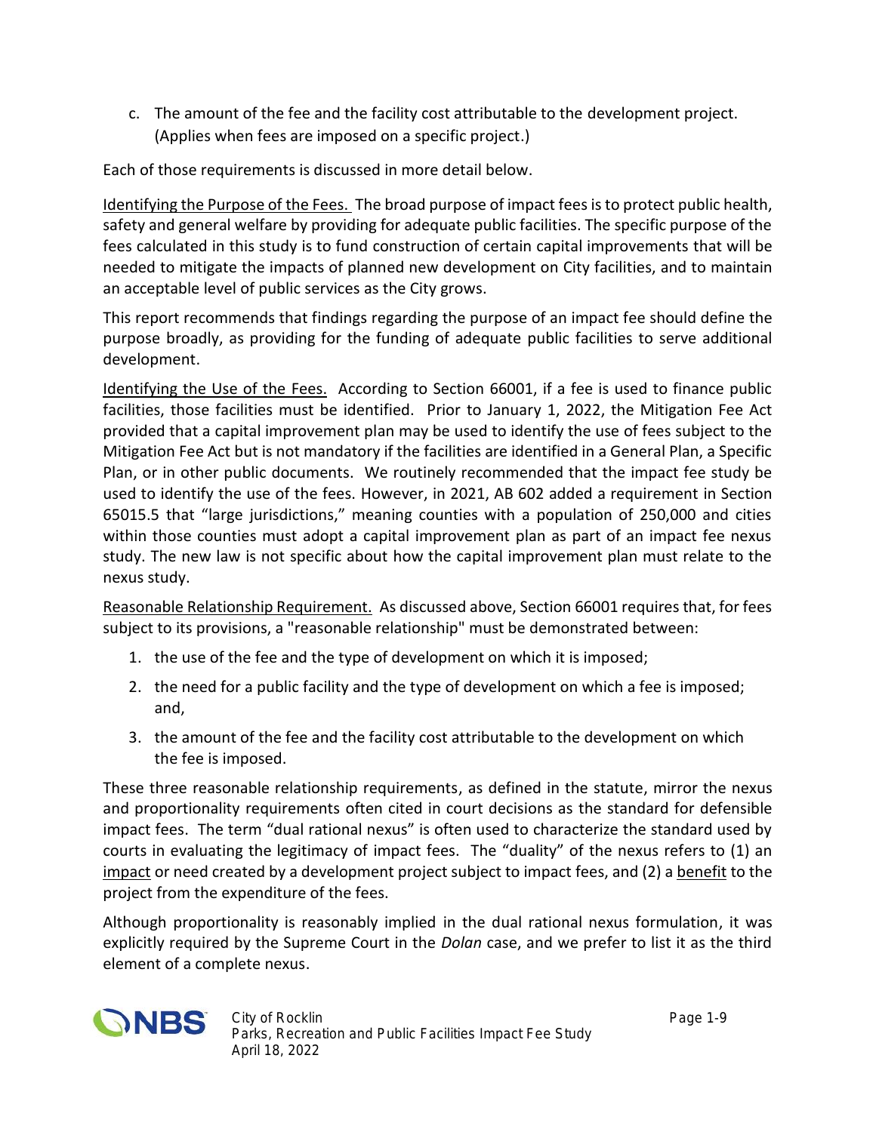c. The amount of the fee and the facility cost attributable to the development project. (Applies when fees are imposed on a specific project.)

Each of those requirements is discussed in more detail below.

Identifying the Purpose of the Fees. The broad purpose of impact fees is to protect public health, safety and general welfare by providing for adequate public facilities. The specific purpose of the fees calculated in this study is to fund construction of certain capital improvements that will be needed to mitigate the impacts of planned new development on City facilities, and to maintain an acceptable level of public services as the City grows.

This report recommends that findings regarding the purpose of an impact fee should define the purpose broadly, as providing for the funding of adequate public facilities to serve additional development.

Identifying the Use of the Fees. According to Section 66001, if a fee is used to finance public facilities, those facilities must be identified. Prior to January 1, 2022, the Mitigation Fee Act provided that a capital improvement plan may be used to identify the use of fees subject to the Mitigation Fee Act but is not mandatory if the facilities are identified in a General Plan, a Specific Plan, or in other public documents. We routinely recommended that the impact fee study be used to identify the use of the fees. However, in 2021, AB 602 added a requirement in Section 65015.5 that "large jurisdictions," meaning counties with a population of 250,000 and cities within those counties must adopt a capital improvement plan as part of an impact fee nexus study. The new law is not specific about how the capital improvement plan must relate to the nexus study.

Reasonable Relationship Requirement. As discussed above, Section 66001 requires that, for fees subject to its provisions, a "reasonable relationship" must be demonstrated between:

- 1. the use of the fee and the type of development on which it is imposed;
- 2. the need for a public facility and the type of development on which a fee is imposed; and,
- 3. the amount of the fee and the facility cost attributable to the development on which the fee is imposed.

These three reasonable relationship requirements, as defined in the statute, mirror the nexus and proportionality requirements often cited in court decisions as the standard for defensible impact fees. The term "dual rational nexus" is often used to characterize the standard used by courts in evaluating the legitimacy of impact fees. The "duality" of the nexus refers to (1) an impact or need created by a development project subject to impact fees, and (2) a benefit to the project from the expenditure of the fees.

Although proportionality is reasonably implied in the dual rational nexus formulation, it was explicitly required by the Supreme Court in the *Dolan* case, and we prefer to list it as the third element of a complete nexus.

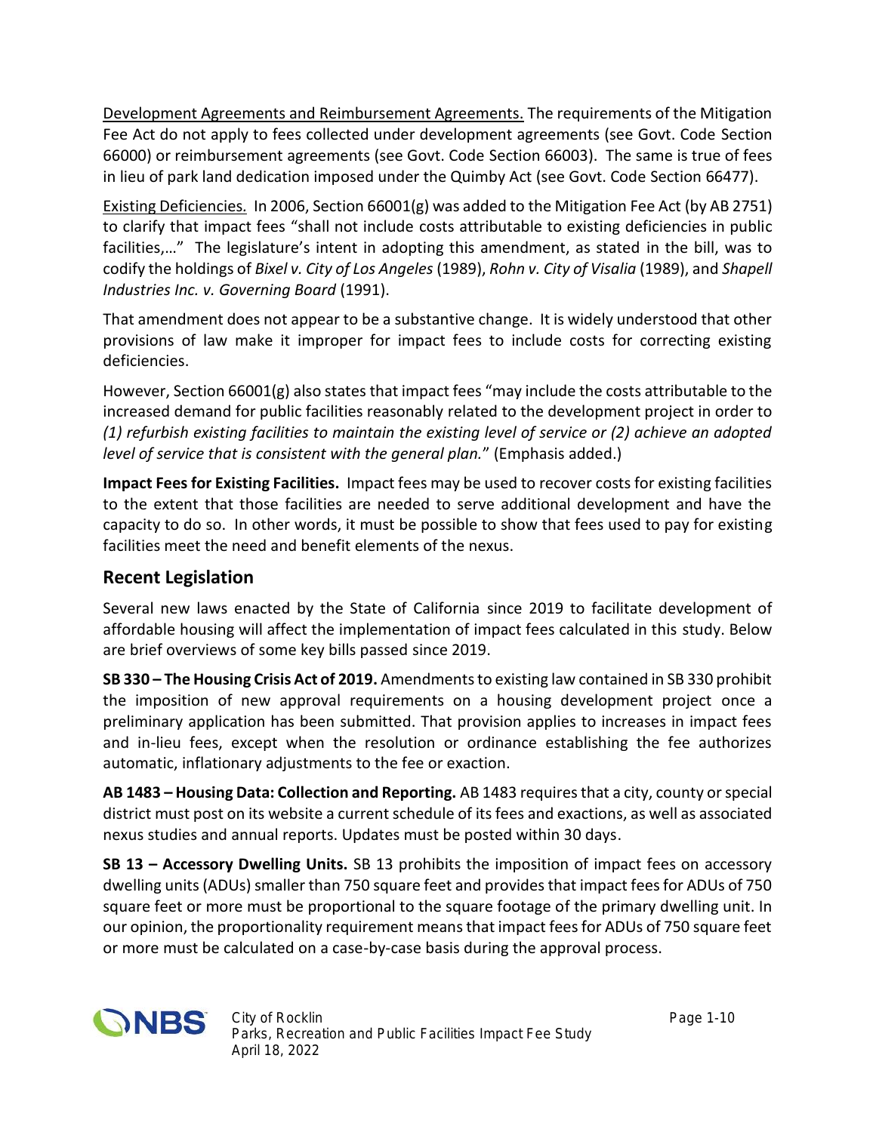Development Agreements and Reimbursement Agreements. The requirements of the Mitigation Fee Act do not apply to fees collected under development agreements (see Govt. Code Section 66000) or reimbursement agreements (see Govt. Code Section 66003). The same is true of fees in lieu of park land dedication imposed under the Quimby Act (see Govt. Code Section 66477).

Existing Deficiencies*.* In 2006, Section 66001(g) was added to the Mitigation Fee Act (by AB 2751) to clarify that impact fees "shall not include costs attributable to existing deficiencies in public facilities,..." The legislature's intent in adopting this amendment, as stated in the bill, was to codify the holdings of *Bixel v. City of Los Angeles* (1989), *Rohn v. City of Visalia* (1989), and *Shapell Industries Inc. v. Governing Board* (1991).

That amendment does not appear to be a substantive change. It is widely understood that other provisions of law make it improper for impact fees to include costs for correcting existing deficiencies.

However, Section  $66001(g)$  also states that impact fees "may include the costs attributable to the increased demand for public facilities reasonably related to the development project in order to *(1) refurbish existing facilities to maintain the existing level of service or (2) achieve an adopted level of service that is consistent with the general plan.*" (Emphasis added.)

**Impact Fees for Existing Facilities.** Impact fees may be used to recover costs for existing facilities to the extent that those facilities are needed to serve additional development and have the capacity to do so. In other words, it must be possible to show that fees used to pay for existing facilities meet the need and benefit elements of the nexus.

### **Recent Legislation**

Several new laws enacted by the State of California since 2019 to facilitate development of affordable housing will affect the implementation of impact fees calculated in this study. Below are brief overviews of some key bills passed since 2019.

**SB 330 – The Housing Crisis Act of 2019.** Amendments to existing law contained in SB 330 prohibit the imposition of new approval requirements on a housing development project once a preliminary application has been submitted. That provision applies to increases in impact fees and in-lieu fees, except when the resolution or ordinance establishing the fee authorizes automatic, inflationary adjustments to the fee or exaction.

**AB 1483 – Housing Data: Collection and Reporting.** AB 1483 requiresthat a city, county orspecial district must post on its website a current schedule of itsfees and exactions, as well as associated nexus studies and annual reports. Updates must be posted within 30 days.

**SB 13 – Accessory Dwelling Units.** SB 13 prohibits the imposition of impact fees on accessory dwelling units (ADUs) smaller than 750 square feet and provides that impact fees for ADUs of 750 square feet or more must be proportional to the square footage of the primary dwelling unit. In our opinion, the proportionality requirement means that impact fees for ADUs of 750 square feet or more must be calculated on a case-by-case basis during the approval process.

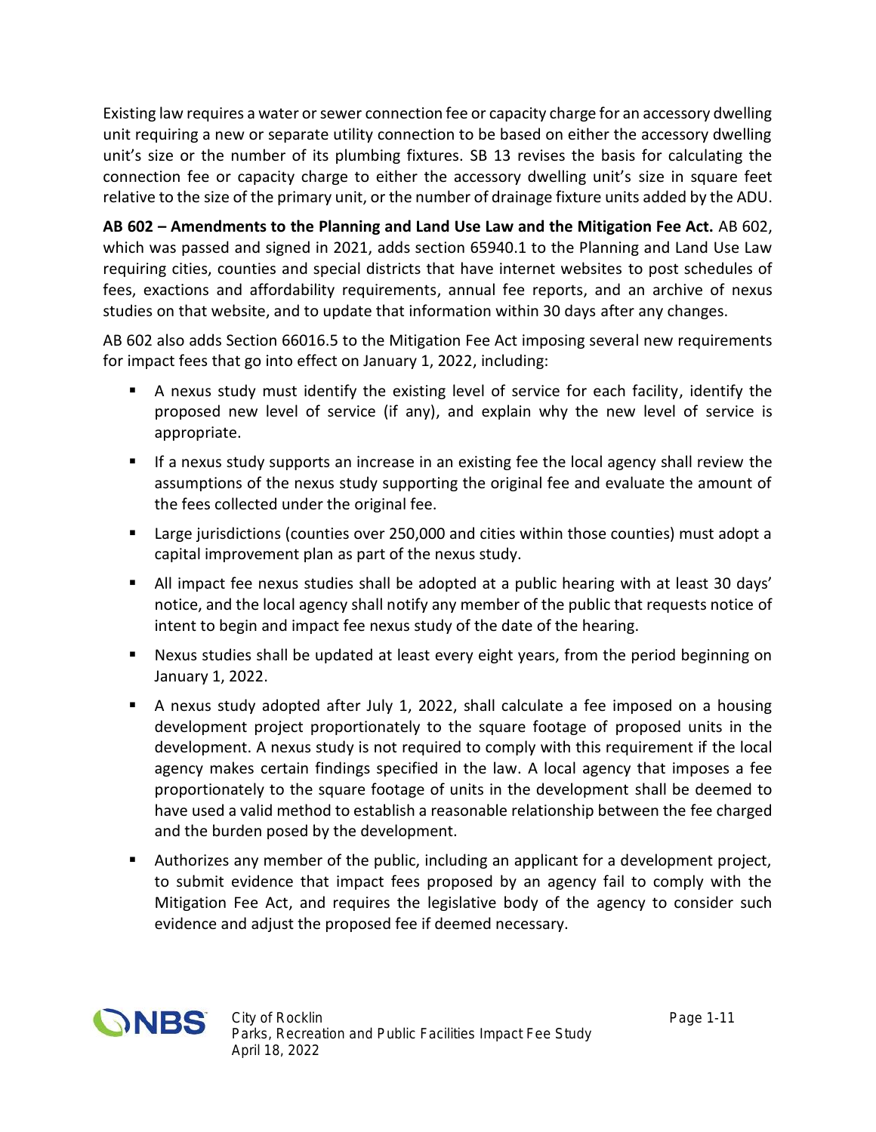Existing law requires a water or sewer connection fee or capacity charge for an accessory dwelling unit requiring a new or separate utility connection to be based on either the accessory dwelling unit's size or the number of its plumbing fixtures. SB 13 revises the basis for calculating the connection fee or capacity charge to either the accessory dwelling unit's size in square feet relative to the size of the primary unit, or the number of drainage fixture units added by the ADU.

**AB 602 – Amendments to the Planning and Land Use Law and the Mitigation Fee Act.** AB 602, which was passed and signed in 2021, adds section 65940.1 to the Planning and Land Use Law requiring cities, counties and special districts that have internet websites to post schedules of fees, exactions and affordability requirements, annual fee reports, and an archive of nexus studies on that website, and to update that information within 30 days after any changes.

AB 602 also adds Section 66016.5 to the Mitigation Fee Act imposing several new requirements for impact fees that go into effect on January 1, 2022, including:

- A nexus study must identify the existing level of service for each facility, identify the proposed new level of service (if any), and explain why the new level of service is appropriate.
- If a nexus study supports an increase in an existing fee the local agency shall review the assumptions of the nexus study supporting the original fee and evaluate the amount of the fees collected under the original fee.
- **Large jurisdictions (counties over 250,000 and cities within those counties) must adopt a** capital improvement plan as part of the nexus study.
- All impact fee nexus studies shall be adopted at a public hearing with at least 30 days' notice, and the local agency shall notify any member of the public that requests notice of intent to begin and impact fee nexus study of the date of the hearing.
- Nexus studies shall be updated at least every eight years, from the period beginning on January 1, 2022.
- A nexus study adopted after July 1, 2022, shall calculate a fee imposed on a housing development project proportionately to the square footage of proposed units in the development. A nexus study is not required to comply with this requirement if the local agency makes certain findings specified in the law. A local agency that imposes a fee proportionately to the square footage of units in the development shall be deemed to have used a valid method to establish a reasonable relationship between the fee charged and the burden posed by the development.
- Authorizes any member of the public, including an applicant for a development project, to submit evidence that impact fees proposed by an agency fail to comply with the Mitigation Fee Act, and requires the legislative body of the agency to consider such evidence and adjust the proposed fee if deemed necessary.

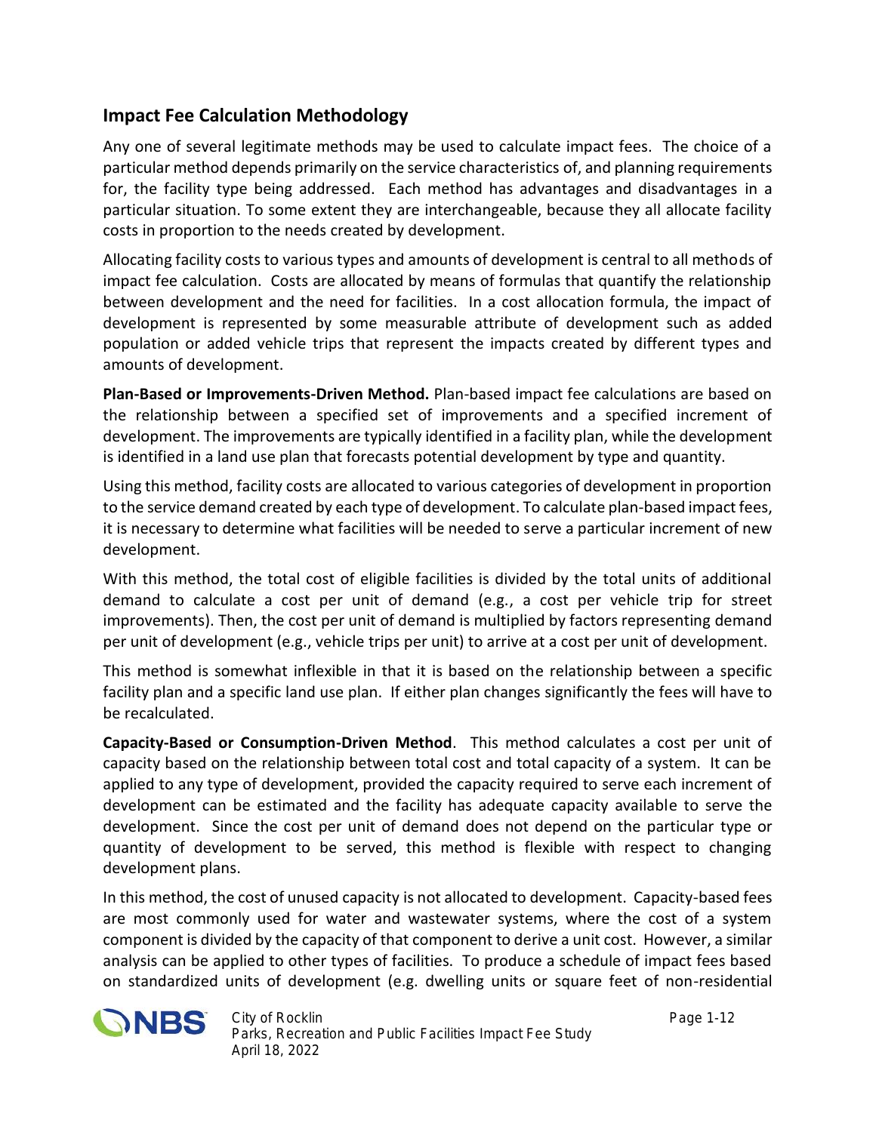### **Impact Fee Calculation Methodology**

Any one of several legitimate methods may be used to calculate impact fees. The choice of a particular method depends primarily on the service characteristics of, and planning requirements for, the facility type being addressed. Each method has advantages and disadvantages in a particular situation. To some extent they are interchangeable, because they all allocate facility costs in proportion to the needs created by development.

Allocating facility costs to various types and amounts of development is central to all methods of impact fee calculation. Costs are allocated by means of formulas that quantify the relationship between development and the need for facilities. In a cost allocation formula, the impact of development is represented by some measurable attribute of development such as added population or added vehicle trips that represent the impacts created by different types and amounts of development.

**Plan-Based or Improvements-Driven Method.** Plan-based impact fee calculations are based on the relationship between a specified set of improvements and a specified increment of development. The improvements are typically identified in a facility plan, while the development is identified in a land use plan that forecasts potential development by type and quantity.

Using this method, facility costs are allocated to various categories of development in proportion to the service demand created by each type of development. To calculate plan-based impact fees, it is necessary to determine what facilities will be needed to serve a particular increment of new development.

With this method, the total cost of eligible facilities is divided by the total units of additional demand to calculate a cost per unit of demand (e.g., a cost per vehicle trip for street improvements). Then, the cost per unit of demand is multiplied by factors representing demand per unit of development (e.g., vehicle trips per unit) to arrive at a cost per unit of development.

This method is somewhat inflexible in that it is based on the relationship between a specific facility plan and a specific land use plan. If either plan changes significantly the fees will have to be recalculated.

**Capacity-Based or Consumption-Driven Method**. This method calculates a cost per unit of capacity based on the relationship between total cost and total capacity of a system. It can be applied to any type of development, provided the capacity required to serve each increment of development can be estimated and the facility has adequate capacity available to serve the development. Since the cost per unit of demand does not depend on the particular type or quantity of development to be served, this method is flexible with respect to changing development plans.

In this method, the cost of unused capacity is not allocated to development. Capacity-based fees are most commonly used for water and wastewater systems, where the cost of a system component is divided by the capacity of that component to derive a unit cost. However, a similar analysis can be applied to other types of facilities. To produce a schedule of impact fees based on standardized units of development (e.g. dwelling units or square feet of non-residential



*City of Rocklin Page 1-12 Parks, Recreation and Public Facilities Impact Fee Study April 18, 2022*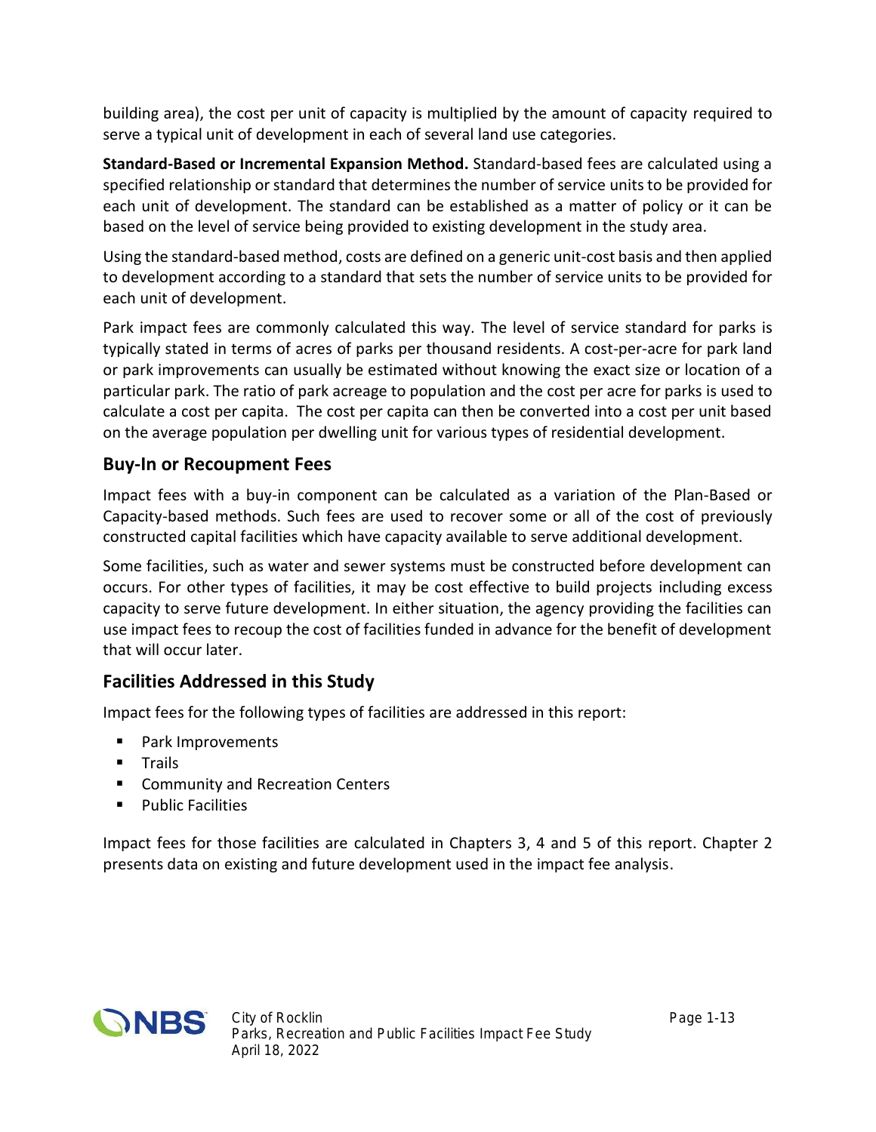building area), the cost per unit of capacity is multiplied by the amount of capacity required to serve a typical unit of development in each of several land use categories.

**Standard-Based or Incremental Expansion Method.** Standard-based fees are calculated using a specified relationship or standard that determines the number of service units to be provided for each unit of development. The standard can be established as a matter of policy or it can be based on the level of service being provided to existing development in the study area.

Using the standard-based method, costs are defined on a generic unit-cost basis and then applied to development according to a standard that sets the number of service units to be provided for each unit of development.

Park impact fees are commonly calculated this way. The level of service standard for parks is typically stated in terms of acres of parks per thousand residents. A cost-per-acre for park land or park improvements can usually be estimated without knowing the exact size or location of a particular park. The ratio of park acreage to population and the cost per acre for parks is used to calculate a cost per capita. The cost per capita can then be converted into a cost per unit based on the average population per dwelling unit for various types of residential development.

#### **Buy-In or Recoupment Fees**

Impact fees with a buy-in component can be calculated as a variation of the Plan-Based or Capacity-based methods. Such fees are used to recover some or all of the cost of previously constructed capital facilities which have capacity available to serve additional development.

Some facilities, such as water and sewer systems must be constructed before development can occurs. For other types of facilities, it may be cost effective to build projects including excess capacity to serve future development. In either situation, the agency providing the facilities can use impact fees to recoup the cost of facilities funded in advance for the benefit of development that will occur later.

### **Facilities Addressed in this Study**

Impact fees for the following types of facilities are addressed in this report:

- Park Improvements
- **Trails**
- **EX Community and Recreation Centers**
- Public Facilities

Impact fees for those facilities are calculated in Chapters 3, 4 and 5 of this report. Chapter 2 presents data on existing and future development used in the impact fee analysis.

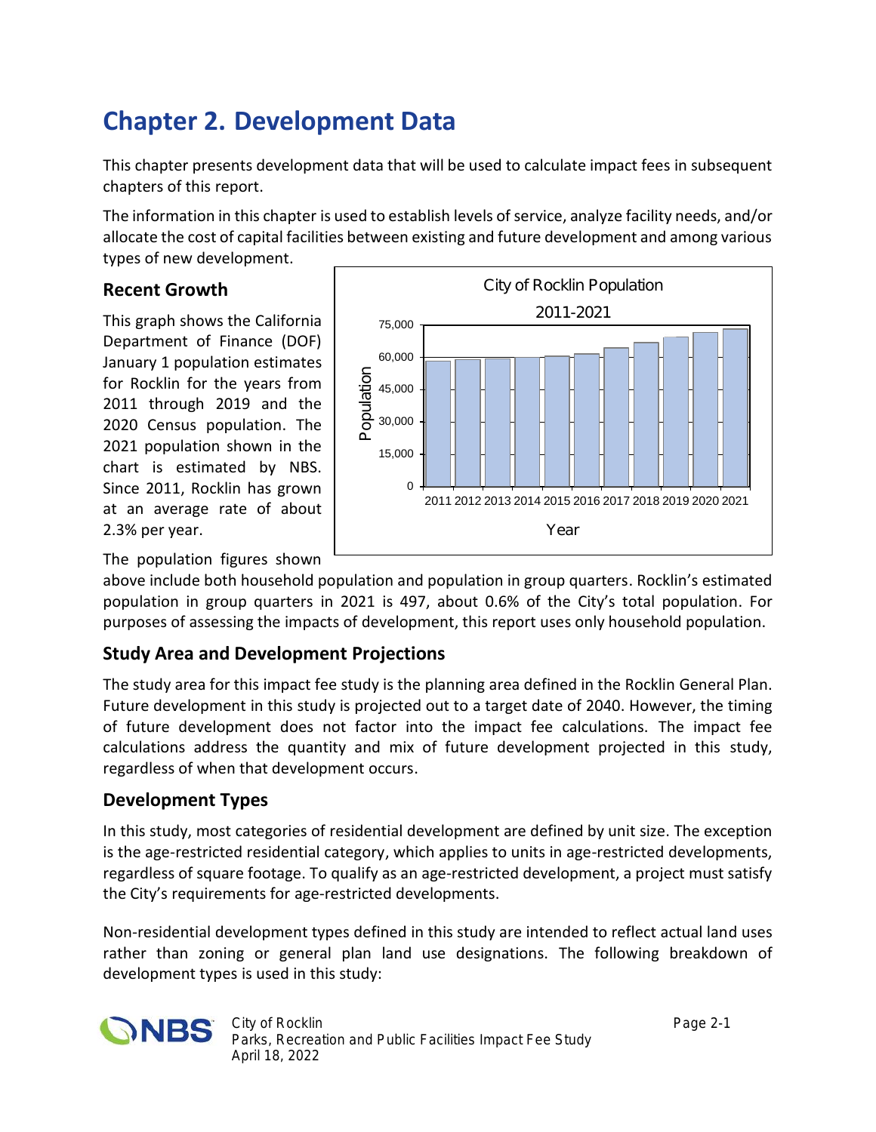# **Chapter 2. Development Data**

This chapter presents development data that will be used to calculate impact fees in subsequent chapters of this report.

The information in this chapter is used to establish levels of service, analyze facility needs, and/or allocate the cost of capital facilities between existing and future development and among various types of new development.

#### **Recent Growth**

This graph shows the California Department of Finance (DOF) January 1 population estimates for Rocklin for the years from 2011 through 2019 and the 2020 Census population. The 2021 population shown in the chart is estimated by NBS. Since 2011, Rocklin has grown at an average rate of about 2.3% per year.



The population figures shown

above include both household population and population in group quarters. Rocklin's estimated population in group quarters in 2021 is 497, about 0.6% of the City's total population. For purposes of assessing the impacts of development, this report uses only household population.

### **Study Area and Development Projections**

The study area for this impact fee study is the planning area defined in the Rocklin General Plan. Future development in this study is projected out to a target date of 2040. However, the timing of future development does not factor into the impact fee calculations. The impact fee calculations address the quantity and mix of future development projected in this study, regardless of when that development occurs.

### **Development Types**

In this study, most categories of residential development are defined by unit size. The exception is the age-restricted residential category, which applies to units in age-restricted developments, regardless of square footage. To qualify as an age-restricted development, a project must satisfy the City's requirements for age-restricted developments.

Non-residential development types defined in this study are intended to reflect actual land uses rather than zoning or general plan land use designations. The following breakdown of development types is used in this study:

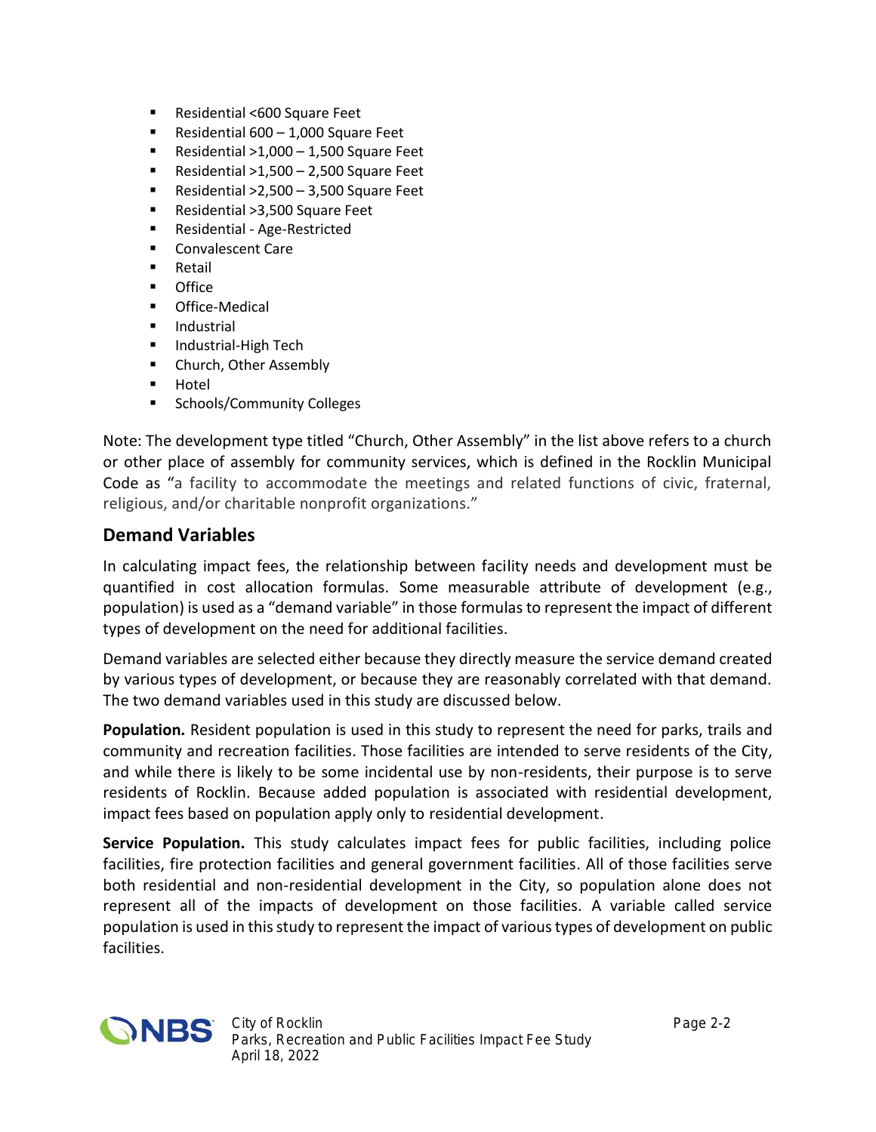- Residential <600 Square Feet
- Residential  $600 1,000$  Square Feet
- Residential  $>1,000 1,500$  Square Feet
- Residential  $>1,500 2,500$  Square Feet
- Residential  $>2,500 3,500$  Square Feet
- Residential >3,500 Square Feet
- Residential Age-Restricted
- Convalescent Care
- **Retail**
- Office
- **•** Office-Medical
- **Industrial**
- **Industrial-High Tech**
- **E** Church, Other Assembly
- **-** Hotel
- **Schools/Community Colleges**

Note: The development type titled "Church, Other Assembly" in the list above refers to a church or other place of assembly for community services, which is defined in the Rocklin Municipal Code as "a facility to accommodate the meetings and related functions of civic, fraternal, religious, and/or charitable nonprofit organizations."

#### **Demand Variables**

In calculating impact fees, the relationship between facility needs and development must be quantified in cost allocation formulas. Some measurable attribute of development (e.g., population) is used as a "demand variable" in those formulasto represent the impact of different types of development on the need for additional facilities.

Demand variables are selected either because they directly measure the service demand created by various types of development, or because they are reasonably correlated with that demand. The two demand variables used in this study are discussed below.

**Population***.* Resident population is used in this study to represent the need for parks, trails and community and recreation facilities. Those facilities are intended to serve residents of the City, and while there is likely to be some incidental use by non-residents, their purpose is to serve residents of Rocklin. Because added population is associated with residential development, impact fees based on population apply only to residential development.

**Service Population.** This study calculates impact fees for public facilities, including police facilities, fire protection facilities and general government facilities. All of those facilities serve both residential and non-residential development in the City, so population alone does not represent all of the impacts of development on those facilities. A variable called service population is used in this study to represent the impact of various types of development on public facilities.

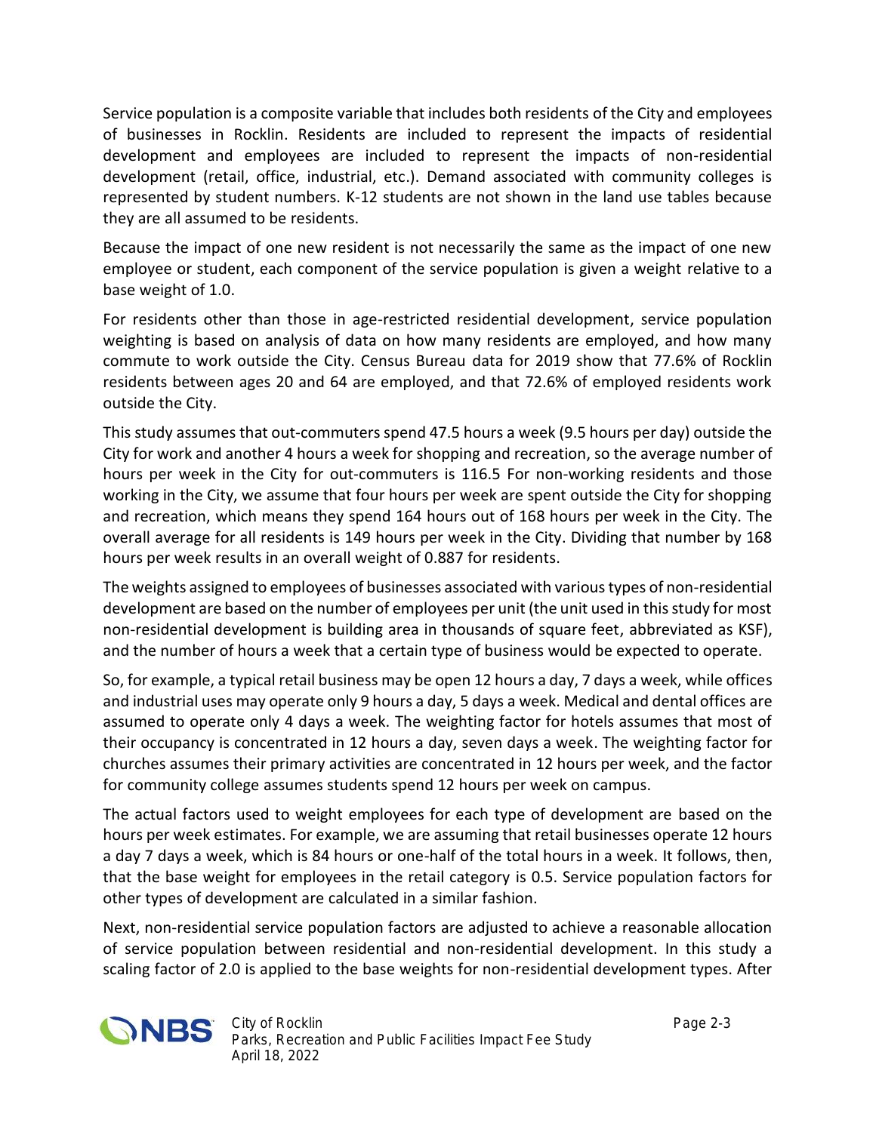Service population is a composite variable that includes both residents of the City and employees of businesses in Rocklin. Residents are included to represent the impacts of residential development and employees are included to represent the impacts of non-residential development (retail, office, industrial, etc.). Demand associated with community colleges is represented by student numbers. K-12 students are not shown in the land use tables because they are all assumed to be residents.

Because the impact of one new resident is not necessarily the same as the impact of one new employee or student, each component of the service population is given a weight relative to a base weight of 1.0.

For residents other than those in age-restricted residential development, service population weighting is based on analysis of data on how many residents are employed, and how many commute to work outside the City. Census Bureau data for 2019 show that 77.6% of Rocklin residents between ages 20 and 64 are employed, and that 72.6% of employed residents work outside the City.

This study assumes that out-commuters spend 47.5 hours a week (9.5 hours per day) outside the City for work and another 4 hours a week for shopping and recreation, so the average number of hours per week in the City for out-commuters is 116.5 For non-working residents and those working in the City, we assume that four hours per week are spent outside the City for shopping and recreation, which means they spend 164 hours out of 168 hours per week in the City. The overall average for all residents is 149 hours per week in the City. Dividing that number by 168 hours per week results in an overall weight of 0.887 for residents.

The weights assigned to employees of businesses associated with various types of non-residential development are based on the number of employees per unit (the unit used in this study for most non-residential development is building area in thousands of square feet, abbreviated as KSF), and the number of hours a week that a certain type of business would be expected to operate.

So, for example, a typical retail business may be open 12 hours a day, 7 days a week, while offices and industrial uses may operate only 9 hours a day, 5 days a week. Medical and dental offices are assumed to operate only 4 days a week. The weighting factor for hotels assumes that most of their occupancy is concentrated in 12 hours a day, seven days a week. The weighting factor for churches assumes their primary activities are concentrated in 12 hours per week, and the factor for community college assumes students spend 12 hours per week on campus.

The actual factors used to weight employees for each type of development are based on the hours per week estimates. For example, we are assuming that retail businesses operate 12 hours a day 7 days a week, which is 84 hours or one-half of the total hours in a week. It follows, then, that the base weight for employees in the retail category is 0.5. Service population factors for other types of development are calculated in a similar fashion.

Next, non-residential service population factors are adjusted to achieve a reasonable allocation of service population between residential and non-residential development. In this study a scaling factor of 2.0 is applied to the base weights for non-residential development types. After

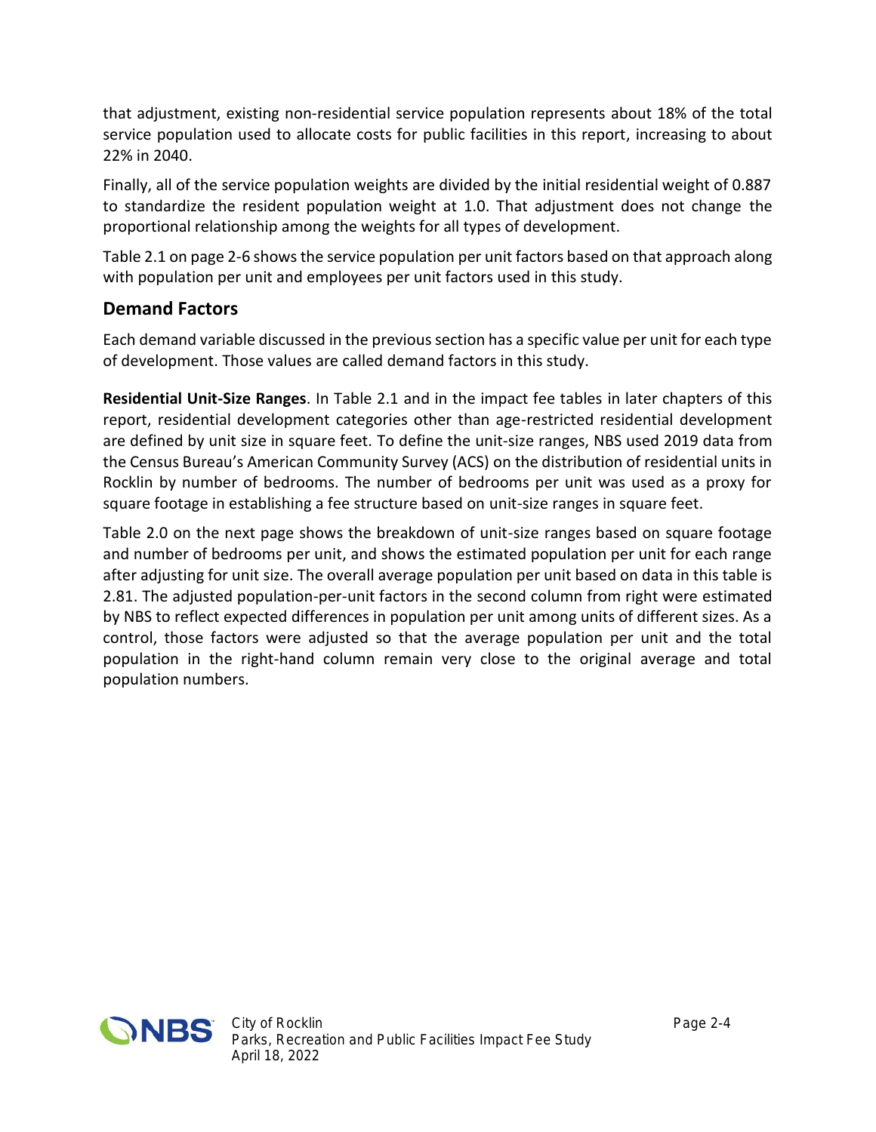that adjustment, existing non-residential service population represents about 18% of the total service population used to allocate costs for public facilities in this report, increasing to about 22% in 2040.

Finally, all of the service population weights are divided by the initial residential weight of 0.887 to standardize the resident population weight at 1.0. That adjustment does not change the proportional relationship among the weights for all types of development.

Table 2.1 on page 2-6 shows the service population per unit factors based on that approach along with population per unit and employees per unit factors used in this study.

#### **Demand Factors**

Each demand variable discussed in the previous section has a specific value per unit for each type of development. Those values are called demand factors in this study.

**Residential Unit-Size Ranges**. In Table 2.1 and in the impact fee tables in later chapters of this report, residential development categories other than age-restricted residential development are defined by unit size in square feet. To define the unit-size ranges, NBS used 2019 data from the Census Bureau's American Community Survey (ACS) on the distribution of residential units in Rocklin by number of bedrooms. The number of bedrooms per unit was used as a proxy for square footage in establishing a fee structure based on unit-size ranges in square feet.

Table 2.0 on the next page shows the breakdown of unit-size ranges based on square footage and number of bedrooms per unit, and shows the estimated population per unit for each range after adjusting for unit size. The overall average population per unit based on data in this table is 2.81. The adjusted population-per-unit factors in the second column from right were estimated by NBS to reflect expected differences in population per unit among units of different sizes. As a control, those factors were adjusted so that the average population per unit and the total population in the right-hand column remain very close to the original average and total population numbers.

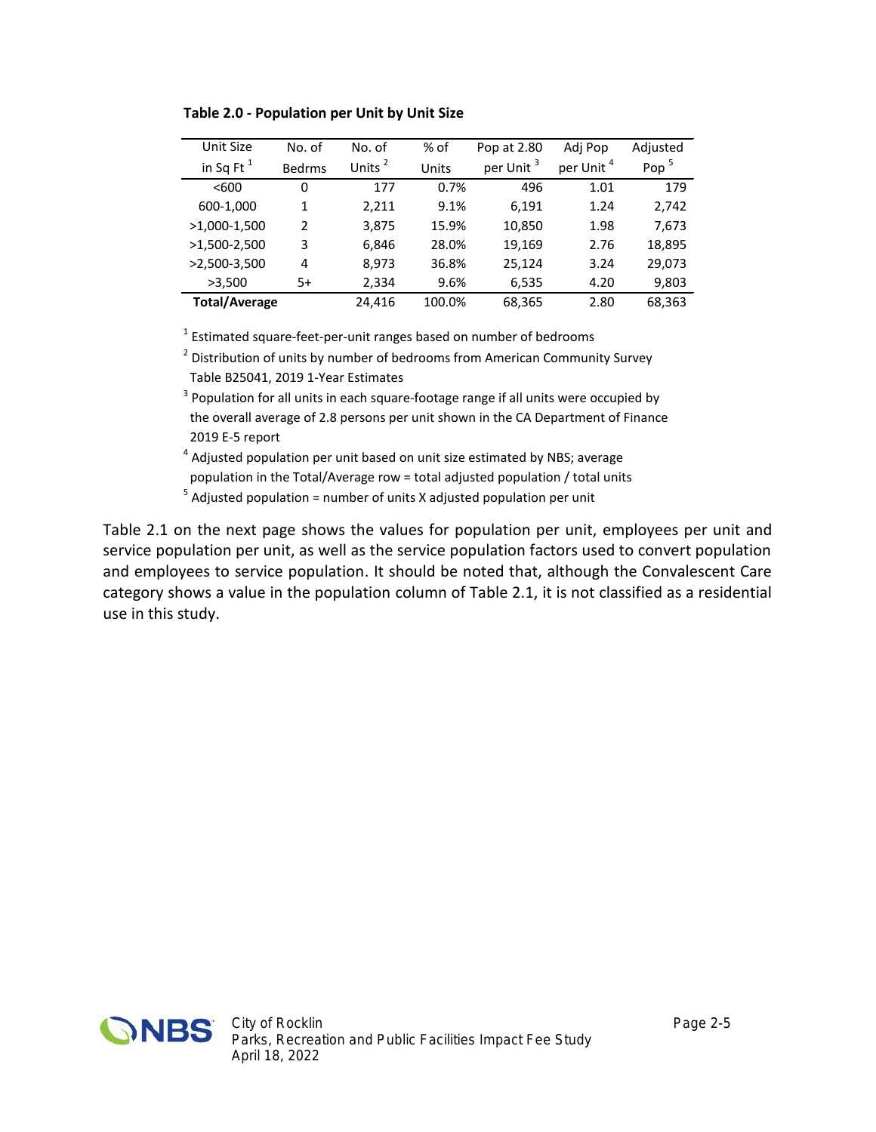| Unit Size            | No. of        | No. of             | % of   | Pop at 2.80           | Adj Pop               | Adjusted |
|----------------------|---------------|--------------------|--------|-----------------------|-----------------------|----------|
| in Sq Ft $^1$        | <b>Bedrms</b> | Units <sup>2</sup> | Units  | per Unit <sup>3</sup> | per Unit <sup>4</sup> | Pop $5$  |
| < 600                | 0             | 177                | 0.7%   | 496                   | 1.01                  | 179      |
| 600-1,000            | 1             | 2,211              | 9.1%   | 6,191                 | 1.24                  | 2,742    |
| >1,000-1,500         | $\mathcal{P}$ | 3,875              | 15.9%  | 10,850                | 1.98                  | 7,673    |
| $>1,500-2,500$       | 3             | 6,846              | 28.0%  | 19,169                | 2.76                  | 18,895   |
| $>2,500-3,500$       | 4             | 8,973              | 36.8%  | 25,124                | 3.24                  | 29,073   |
| >3,500               | 5+            | 2,334              | 9.6%   | 6,535                 | 4.20                  | 9,803    |
| <b>Total/Average</b> |               | 24.416             | 100.0% | 68,365                | 2.80                  | 68,363   |

**Table 2.0 - Population per Unit by Unit Size**

<sup>1</sup> Estimated square-feet-per-unit ranges based on number of bedrooms

 $^{\text{2}}$  Distribution of units by number of bedrooms from American Community Survey Table B25041, 2019 1-Year Estimates

 $3$  Population for all units in each square-footage range if all units were occupied by the overall average of 2.8 persons per unit shown in the CA Department of Finance 2019 E-5 report

<sup>4</sup> Adjusted population per unit based on unit size estimated by NBS; average population in the Total/Average row = total adjusted population / total units

 $<sup>5</sup>$  Adjusted population = number of units X adjusted population per unit</sup>

Table 2.1 on the next page shows the values for population per unit, employees per unit and service population per unit, as well as the service population factors used to convert population and employees to service population. It should be noted that, although the Convalescent Care category shows a value in the population column of Table 2.1, it is not classified as a residential use in this study.

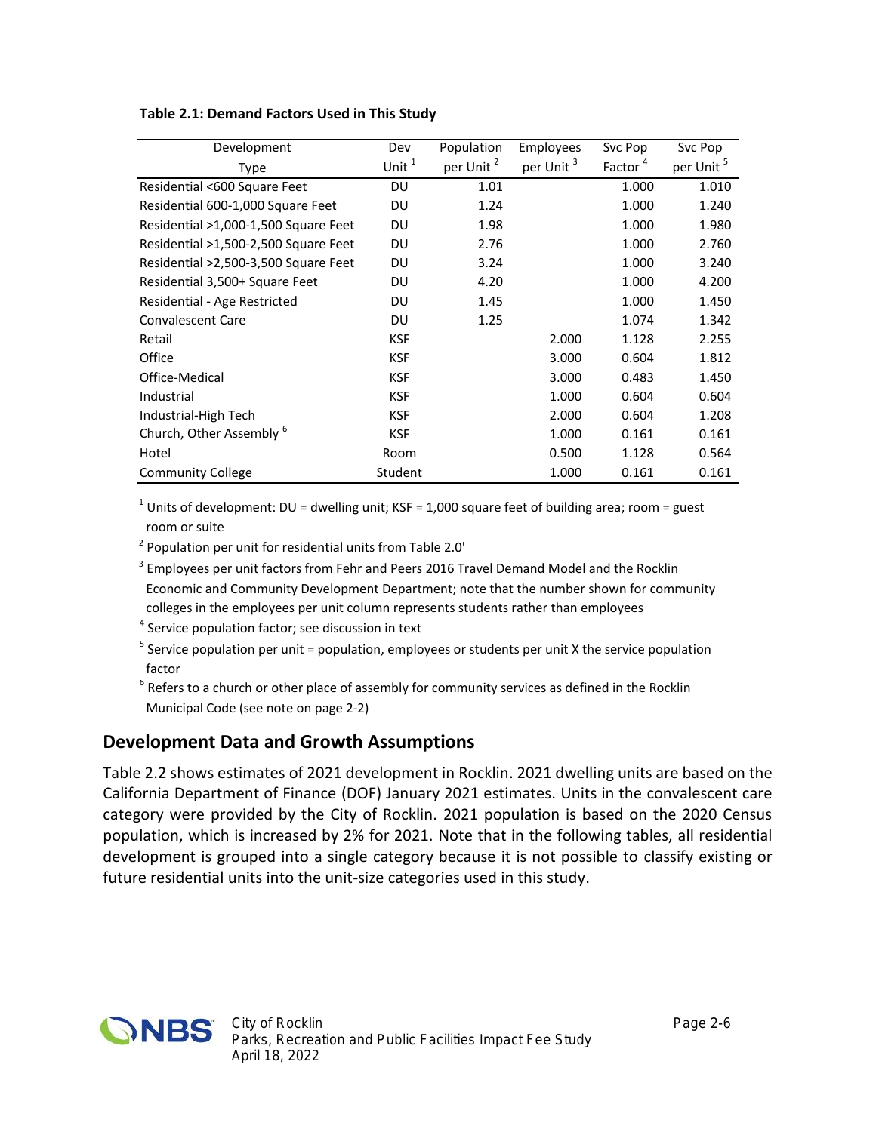| Development                          | Dev        | Population            | <b>Employees</b>      | Svc Pop             | Svc Pop               |
|--------------------------------------|------------|-----------------------|-----------------------|---------------------|-----------------------|
| Type                                 | Unit $1$   | per Unit <sup>2</sup> | per Unit <sup>3</sup> | Factor <sup>4</sup> | per Unit <sup>5</sup> |
| Residential <600 Square Feet         | DU         | 1.01                  |                       | 1.000               | 1.010                 |
| Residential 600-1,000 Square Feet    | DU         | 1.24                  |                       | 1.000               | 1.240                 |
| Residential >1,000-1,500 Square Feet | DU         | 1.98                  |                       | 1.000               | 1.980                 |
| Residential >1,500-2,500 Square Feet | DU         | 2.76                  |                       | 1.000               | 2.760                 |
| Residential >2,500-3,500 Square Feet | DU         | 3.24                  |                       | 1.000               | 3.240                 |
| Residential 3,500+ Square Feet       | DU         | 4.20                  |                       | 1.000               | 4.200                 |
| Residential - Age Restricted         | DU         | 1.45                  |                       | 1.000               | 1.450                 |
| <b>Convalescent Care</b>             | DU         | 1.25                  |                       | 1.074               | 1.342                 |
| Retail                               | <b>KSF</b> |                       | 2.000                 | 1.128               | 2.255                 |
| Office                               | <b>KSF</b> |                       | 3.000                 | 0.604               | 1.812                 |
| Office-Medical                       | <b>KSF</b> |                       | 3.000                 | 0.483               | 1.450                 |
| Industrial                           | <b>KSF</b> |                       | 1.000                 | 0.604               | 0.604                 |
| Industrial-High Tech                 | <b>KSF</b> |                       | 2.000                 | 0.604               | 1.208                 |
| Church, Other Assembly <sup>6</sup>  | <b>KSF</b> |                       | 1.000                 | 0.161               | 0.161                 |
| Hotel                                | Room       |                       | 0.500                 | 1.128               | 0.564                 |
| <b>Community College</b>             | Student    |                       | 1.000                 | 0.161               | 0.161                 |

#### **Table 2.1: Demand Factors Used in This Study**

<sup>1</sup> Units of development: DU = dwelling unit; KSF = 1,000 square feet of building area; room = guest room or suite

<sup>2</sup> Population per unit for residential units from Table 2.0'

- <sup>3</sup> Employees per unit factors from Fehr and Peers 2016 Travel Demand Model and the Rocklin Economic and Community Development Department; note that the number shown for community colleges in the employees per unit column represents students rather than employees
- <sup>4</sup> Service population factor; see discussion in text
- <sup>5</sup> Service population per unit = population, employees or students per unit X the service population factor
- $^6$  Refers to a church or other place of assembly for community services as defined in the Rocklin Municipal Code (see note on page 2-2)

#### **Development Data and Growth Assumptions**

Table 2.2 shows estimates of 2021 development in Rocklin. 2021 dwelling units are based on the California Department of Finance (DOF) January 2021 estimates. Units in the convalescent care category were provided by the City of Rocklin. 2021 population is based on the 2020 Census population, which is increased by 2% for 2021. Note that in the following tables, all residential development is grouped into a single category because it is not possible to classify existing or future residential units into the unit-size categories used in this study.

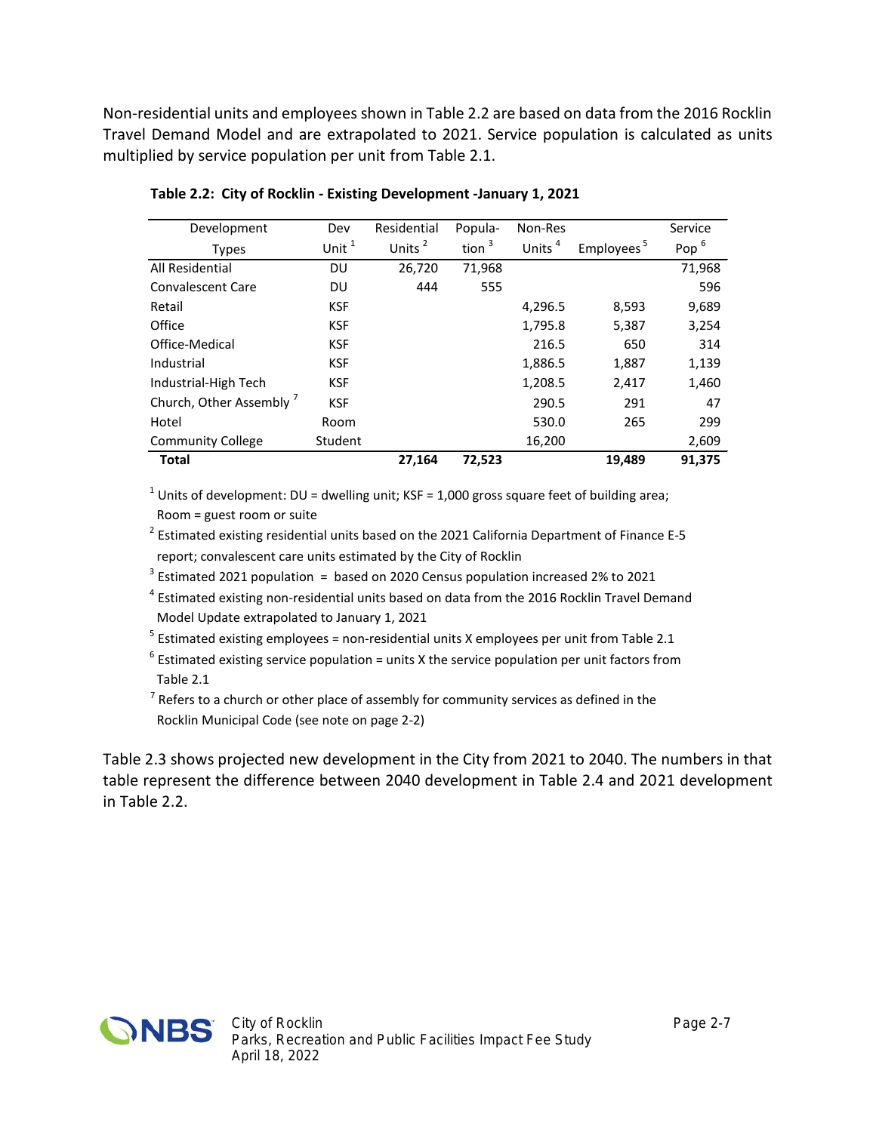Non-residential units and employees shown in Table 2.2 are based on data from the 2016 Rocklin Travel Demand Model and are extrapolated to 2021. Service population is calculated as units multiplied by service population per unit from Table 2.1.

| Development                         | Dev        | Residential        | Popula-  | Non-Res            |                        | Service          |
|-------------------------------------|------------|--------------------|----------|--------------------|------------------------|------------------|
| <b>Types</b>                        | Unit $1$   | Units <sup>2</sup> | tion $3$ | Units <sup>4</sup> | Employees <sup>5</sup> | Pop <sup>6</sup> |
| All Residential                     | DU         | 26,720             | 71,968   |                    |                        | 71,968           |
| Convalescent Care                   | DU         | 444                | 555      |                    |                        | 596              |
| Retail                              | <b>KSF</b> |                    |          | 4,296.5            | 8,593                  | 9,689            |
| Office                              | <b>KSF</b> |                    |          | 1,795.8            | 5,387                  | 3,254            |
| Office-Medical                      | <b>KSF</b> |                    |          | 216.5              | 650                    | 314              |
| Industrial                          | <b>KSF</b> |                    |          | 1,886.5            | 1,887                  | 1,139            |
| Industrial-High Tech                | <b>KSF</b> |                    |          | 1,208.5            | 2,417                  | 1,460            |
| Church, Other Assembly <sup>7</sup> | <b>KSF</b> |                    |          | 290.5              | 291                    | 47               |
| Hotel                               | Room       |                    |          | 530.0              | 265                    | 299              |
| <b>Community College</b>            | Student    |                    |          | 16,200             |                        | 2,609            |
| <b>Total</b>                        |            | 27,164             | 72,523   |                    | 19,489                 | 91,375           |

**Table 2.2: City of Rocklin - Existing Development -January 1, 2021**

<sup>1</sup> Units of development: DU = dwelling unit; KSF = 1,000 gross square feet of building area; Room = guest room or suite

<sup>2</sup> Estimated existing residential units based on the 2021 California Department of Finance E-5 report; convalescent care units estimated by the City of Rocklin

 $3$  Estimated 2021 population  $=$  based on 2020 Census population increased 2% to 2021

<sup>4</sup> Estimated existing non-residential units based on data from the 2016 Rocklin Travel Demand Model Update extrapolated to January 1, 2021

 $<sup>5</sup>$  Estimated existing employees = non-residential units X employees per unit from Table 2.1</sup>

 $^6$  Estimated existing service population = units X the service population per unit factors from Table 2.1

 $^7$  Refers to a church or other place of assembly for community services as defined in the Rocklin Municipal Code (see note on page 2-2)

Table 2.3 shows projected new development in the City from 2021 to 2040. The numbers in that table represent the difference between 2040 development in Table 2.4 and 2021 development in Table 2.2.

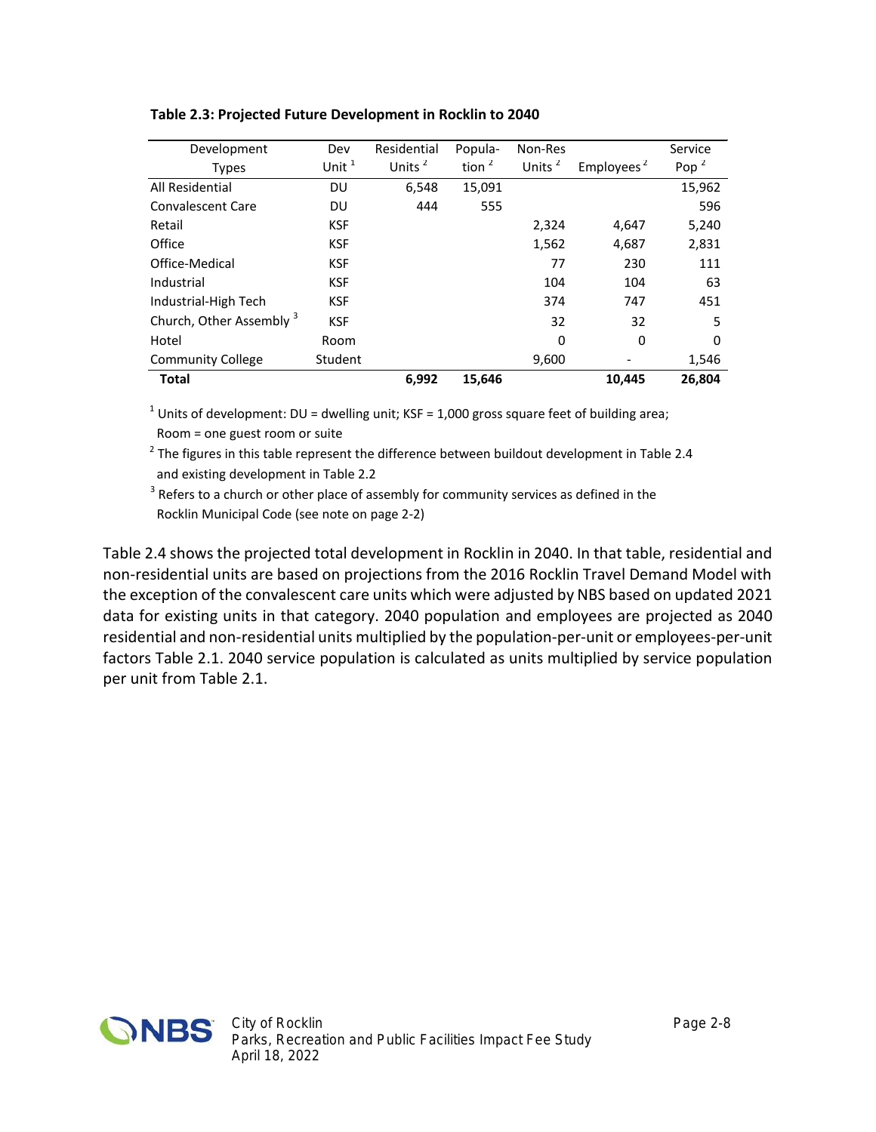| Development              | Dev        | Residential        | Popula-  | Non-Res            |                        | Service          |
|--------------------------|------------|--------------------|----------|--------------------|------------------------|------------------|
| <b>Types</b>             | Unit $1$   | Units <sup>2</sup> | tion $2$ | Units <sup>2</sup> | Employees <sup>2</sup> | Pop <sup>2</sup> |
| All Residential          | DU         | 6,548              | 15,091   |                    |                        | 15,962           |
| Convalescent Care        | DU         | 444                | 555      |                    |                        | 596              |
| Retail                   | <b>KSF</b> |                    |          | 2,324              | 4,647                  | 5,240            |
| Office                   | <b>KSF</b> |                    |          | 1,562              | 4,687                  | 2,831            |
| Office-Medical           | <b>KSF</b> |                    |          | 77                 | 230                    | 111              |
| Industrial               | <b>KSF</b> |                    |          | 104                | 104                    | 63               |
| Industrial-High Tech     | <b>KSF</b> |                    |          | 374                | 747                    | 451              |
| Church, Other Assembly 3 | <b>KSF</b> |                    |          | 32                 | 32                     | 5                |
| Hotel                    | Room       |                    |          | 0                  | 0                      | 0                |
| <b>Community College</b> | Student    |                    |          | 9,600              |                        | 1,546            |
| Total                    |            | 6,992              | 15,646   |                    | 10,445                 | 26,804           |

#### **Table 2.3: Projected Future Development in Rocklin to 2040**

<sup>1</sup> Units of development: DU = dwelling unit; KSF = 1,000 gross square feet of building area; Room = one guest room or suite

 $^2$  The figures in this table represent the difference between buildout development in Table 2.4 and existing development in Table 2.2

 $3$  Refers to a church or other place of assembly for community services as defined in the Rocklin Municipal Code (see note on page 2-2)

Table 2.4 shows the projected total development in Rocklin in 2040. In that table, residential and non-residential units are based on projections from the 2016 Rocklin Travel Demand Model with the exception of the convalescent care units which were adjusted by NBS based on updated 2021 data for existing units in that category. 2040 population and employees are projected as 2040 residential and non-residential units multiplied by the population-per-unit or employees-per-unit factors Table 2.1. 2040 service population is calculated as units multiplied by service population per unit from Table 2.1.

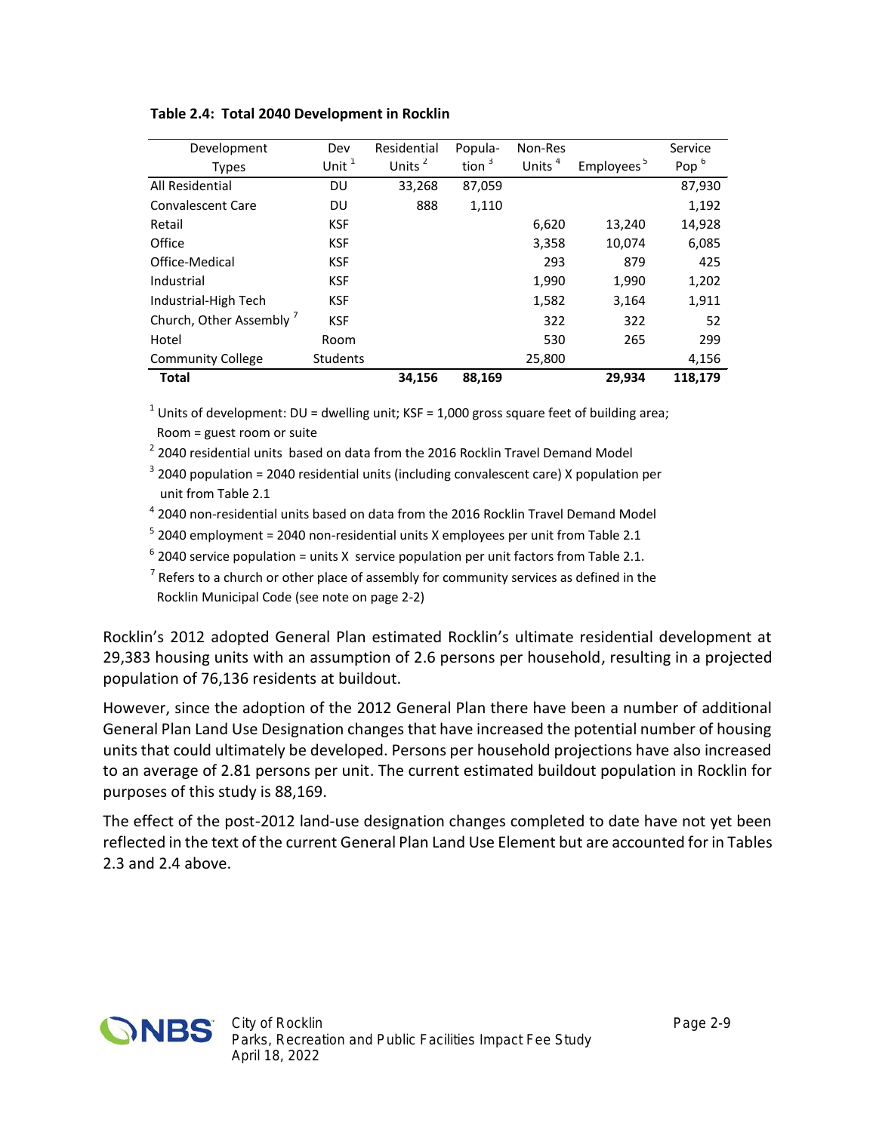| Development              | Dev             | Residential | Popula-  | Non-Res            |                        | Service          |
|--------------------------|-----------------|-------------|----------|--------------------|------------------------|------------------|
| <b>Types</b>             | Unit $1$        | Units $2$   | tion $3$ | Units <sup>4</sup> | Employees <sup>5</sup> | Pop <sup>6</sup> |
| All Residential          | DU              | 33,268      | 87,059   |                    |                        | 87,930           |
| Convalescent Care        | DU              | 888         | 1,110    |                    |                        | 1,192            |
| Retail                   | <b>KSF</b>      |             |          | 6,620              | 13,240                 | 14,928           |
| Office                   | <b>KSF</b>      |             |          | 3,358              | 10,074                 | 6,085            |
| Office-Medical           | <b>KSF</b>      |             |          | 293                | 879                    | 425              |
| Industrial               | <b>KSF</b>      |             |          | 1,990              | 1,990                  | 1,202            |
| Industrial-High Tech     | <b>KSF</b>      |             |          | 1,582              | 3,164                  | 1,911            |
| Church, Other Assembly   | <b>KSF</b>      |             |          | 322                | 322                    | 52               |
| Hotel                    | Room            |             |          | 530                | 265                    | 299              |
| <b>Community College</b> | <b>Students</b> |             |          | 25,800             |                        | 4,156            |
| <b>Total</b>             |                 | 34,156      | 88,169   |                    | 29.934                 | 118.179          |

**Table 2.4: Total 2040 Development in Rocklin**

<sup>1</sup> Units of development: DU = dwelling unit; KSF = 1,000 gross square feet of building area; Room = guest room or suite

 $^2$  2040 residential units based on data from the 2016 Rocklin Travel Demand Model

 $3$  2040 population = 2040 residential units (including convalescent care) X population per unit from Table 2.1

<sup>4</sup> 2040 non-residential units based on data from the 2016 Rocklin Travel Demand Model

 $^5$  2040 employment = 2040 non-residential units X employees per unit from Table 2.1

 $^6$  2040 service population = units X service population per unit factors from Table 2.1.

 $^7$  Refers to a church or other place of assembly for community services as defined in the Rocklin Municipal Code (see note on page 2-2)

Rocklin's 2012 adopted General Plan estimated Rocklin's ultimate residential development at 29,383 housing units with an assumption of 2.6 persons per household, resulting in a projected population of 76,136 residents at buildout.

However, since the adoption of the 2012 General Plan there have been a number of additional General Plan Land Use Designation changes that have increased the potential number of housing units that could ultimately be developed. Persons per household projections have also increased to an average of 2.81 persons per unit. The current estimated buildout population in Rocklin for purposes of this study is 88,169.

The effect of the post-2012 land-use designation changes completed to date have not yet been reflected in the text of the current General Plan Land Use Element but are accounted for in Tables 2.3 and 2.4 above.

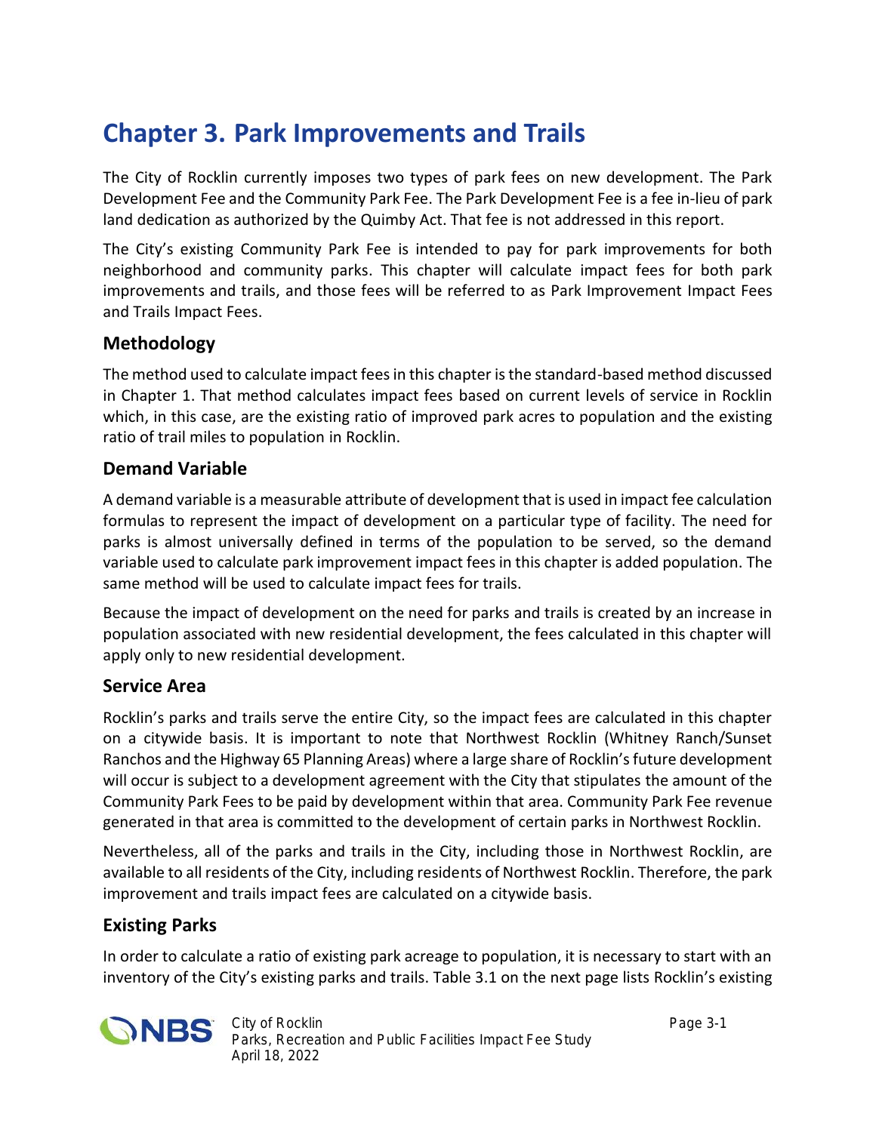## **Chapter 3. Park Improvements and Trails**

The City of Rocklin currently imposes two types of park fees on new development. The Park Development Fee and the Community Park Fee. The Park Development Fee is a fee in-lieu of park land dedication as authorized by the Quimby Act. That fee is not addressed in this report.

The City's existing Community Park Fee is intended to pay for park improvements for both neighborhood and community parks. This chapter will calculate impact fees for both park improvements and trails, and those fees will be referred to as Park Improvement Impact Fees and Trails Impact Fees.

#### **Methodology**

The method used to calculate impact fees in this chapter is the standard-based method discussed in Chapter 1. That method calculates impact fees based on current levels of service in Rocklin which, in this case, are the existing ratio of improved park acres to population and the existing ratio of trail miles to population in Rocklin.

#### **Demand Variable**

A demand variable is a measurable attribute of development that is used in impact fee calculation formulas to represent the impact of development on a particular type of facility. The need for parks is almost universally defined in terms of the population to be served, so the demand variable used to calculate park improvement impact fees in this chapter is added population. The same method will be used to calculate impact fees for trails.

Because the impact of development on the need for parks and trails is created by an increase in population associated with new residential development, the fees calculated in this chapter will apply only to new residential development.

#### **Service Area**

Rocklin's parks and trails serve the entire City, so the impact fees are calculated in this chapter on a citywide basis. It is important to note that Northwest Rocklin (Whitney Ranch/Sunset Ranchos and the Highway 65 Planning Areas) where a large share of Rocklin's future development will occur is subject to a development agreement with the City that stipulates the amount of the Community Park Fees to be paid by development within that area. Community Park Fee revenue generated in that area is committed to the development of certain parks in Northwest Rocklin.

Nevertheless, all of the parks and trails in the City, including those in Northwest Rocklin, are available to all residents of the City, including residents of Northwest Rocklin. Therefore, the park improvement and trails impact fees are calculated on a citywide basis.

### **Existing Parks**

In order to calculate a ratio of existing park acreage to population, it is necessary to start with an inventory of the City's existing parks and trails. Table 3.1 on the next page lists Rocklin's existing

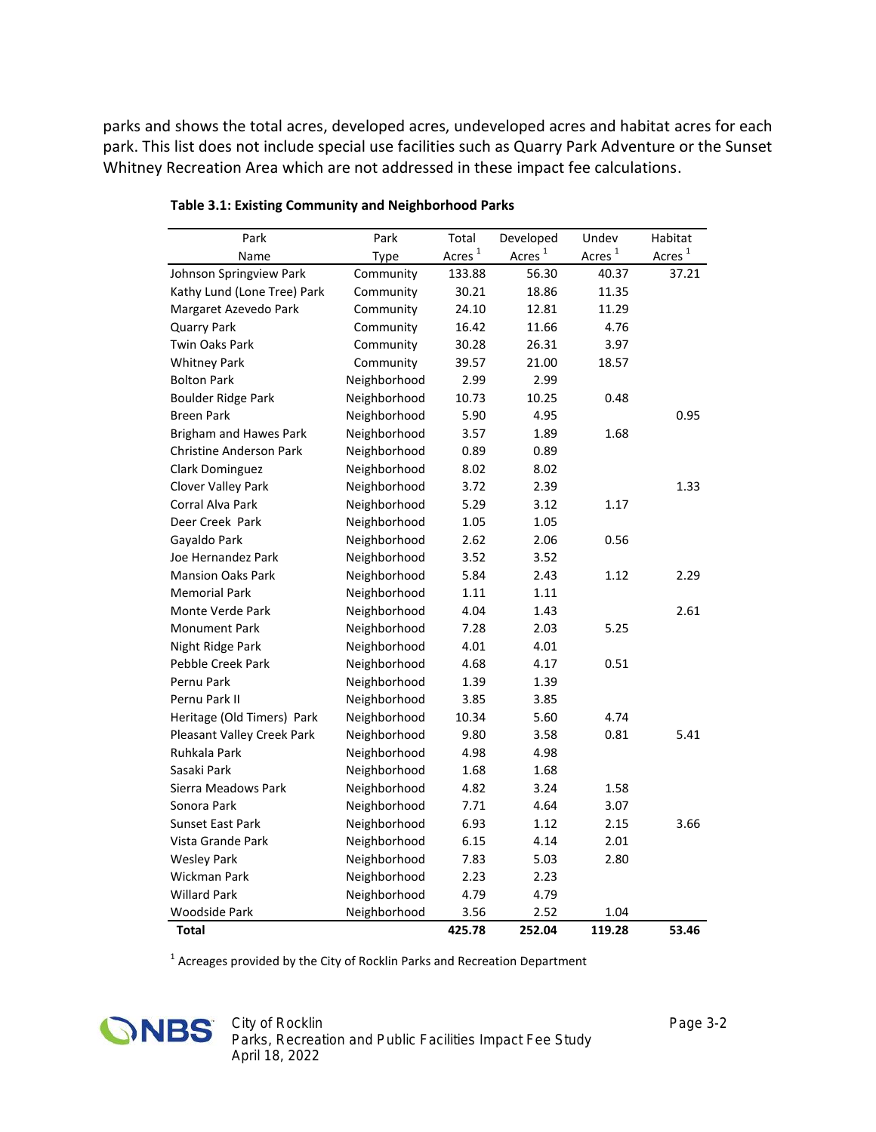parks and shows the total acres, developed acres, undeveloped acres and habitat acres for each park. This list does not include special use facilities such as Quarry Park Adventure or the Sunset Whitney Recreation Area which are not addressed in these impact fee calculations.

| Park                           | Park         | Total     | Developed | Undev              | Habitat   |
|--------------------------------|--------------|-----------|-----------|--------------------|-----------|
| Name                           | Type         | Acres $1$ | Acres $1$ | Acres <sup>1</sup> | Acres $1$ |
| Johnson Springview Park        | Community    | 133.88    | 56.30     | 40.37              | 37.21     |
| Kathy Lund (Lone Tree) Park    | Community    | 30.21     | 18.86     | 11.35              |           |
| Margaret Azevedo Park          | Community    | 24.10     | 12.81     | 11.29              |           |
| <b>Quarry Park</b>             | Community    | 16.42     | 11.66     | 4.76               |           |
| <b>Twin Oaks Park</b>          | Community    | 30.28     | 26.31     | 3.97               |           |
| <b>Whitney Park</b>            | Community    | 39.57     | 21.00     | 18.57              |           |
| <b>Bolton Park</b>             | Neighborhood | 2.99      | 2.99      |                    |           |
| <b>Boulder Ridge Park</b>      | Neighborhood | 10.73     | 10.25     | 0.48               |           |
| <b>Breen Park</b>              | Neighborhood | 5.90      | 4.95      |                    | 0.95      |
| Brigham and Hawes Park         | Neighborhood | 3.57      | 1.89      | 1.68               |           |
| <b>Christine Anderson Park</b> | Neighborhood | 0.89      | 0.89      |                    |           |
| Clark Dominguez                | Neighborhood | 8.02      | 8.02      |                    |           |
| Clover Valley Park             | Neighborhood | 3.72      | 2.39      |                    | 1.33      |
| Corral Alva Park               | Neighborhood | 5.29      | 3.12      | 1.17               |           |
| Deer Creek Park                | Neighborhood | 1.05      | 1.05      |                    |           |
| Gayaldo Park                   | Neighborhood | 2.62      | 2.06      | 0.56               |           |
| Joe Hernandez Park             | Neighborhood | 3.52      | 3.52      |                    |           |
| <b>Mansion Oaks Park</b>       | Neighborhood | 5.84      | 2.43      | 1.12               | 2.29      |
| <b>Memorial Park</b>           | Neighborhood | 1.11      | 1.11      |                    |           |
| Monte Verde Park               | Neighborhood | 4.04      | 1.43      |                    | 2.61      |
| <b>Monument Park</b>           | Neighborhood | 7.28      | 2.03      | 5.25               |           |
| Night Ridge Park               | Neighborhood | 4.01      | 4.01      |                    |           |
| Pebble Creek Park              | Neighborhood | 4.68      | 4.17      | 0.51               |           |
| Pernu Park                     | Neighborhood | 1.39      | 1.39      |                    |           |
| Pernu Park II                  | Neighborhood | 3.85      | 3.85      |                    |           |
| Heritage (Old Timers) Park     | Neighborhood | 10.34     | 5.60      | 4.74               |           |
| Pleasant Valley Creek Park     | Neighborhood | 9.80      | 3.58      | 0.81               | 5.41      |
| Ruhkala Park                   | Neighborhood | 4.98      | 4.98      |                    |           |
| Sasaki Park                    | Neighborhood | 1.68      | 1.68      |                    |           |
| Sierra Meadows Park            | Neighborhood | 4.82      | 3.24      | 1.58               |           |
| Sonora Park                    | Neighborhood | 7.71      | 4.64      | 3.07               |           |
| <b>Sunset East Park</b>        | Neighborhood | 6.93      | 1.12      | 2.15               | 3.66      |
| Vista Grande Park              | Neighborhood | 6.15      | 4.14      | 2.01               |           |
| <b>Wesley Park</b>             | Neighborhood | 7.83      | 5.03      | 2.80               |           |
| Wickman Park                   | Neighborhood | 2.23      | 2.23      |                    |           |
| <b>Willard Park</b>            | Neighborhood | 4.79      | 4.79      |                    |           |
| Woodside Park                  | Neighborhood | 3.56      | 2.52      | 1.04               |           |
| Total                          |              | 425.78    | 252.04    | 119.28             | 53.46     |

**Table 3.1: Existing Community and Neighborhood Parks**

 $<sup>1</sup>$  Acreages provided by the City of Rocklin Parks and Recreation Department</sup>

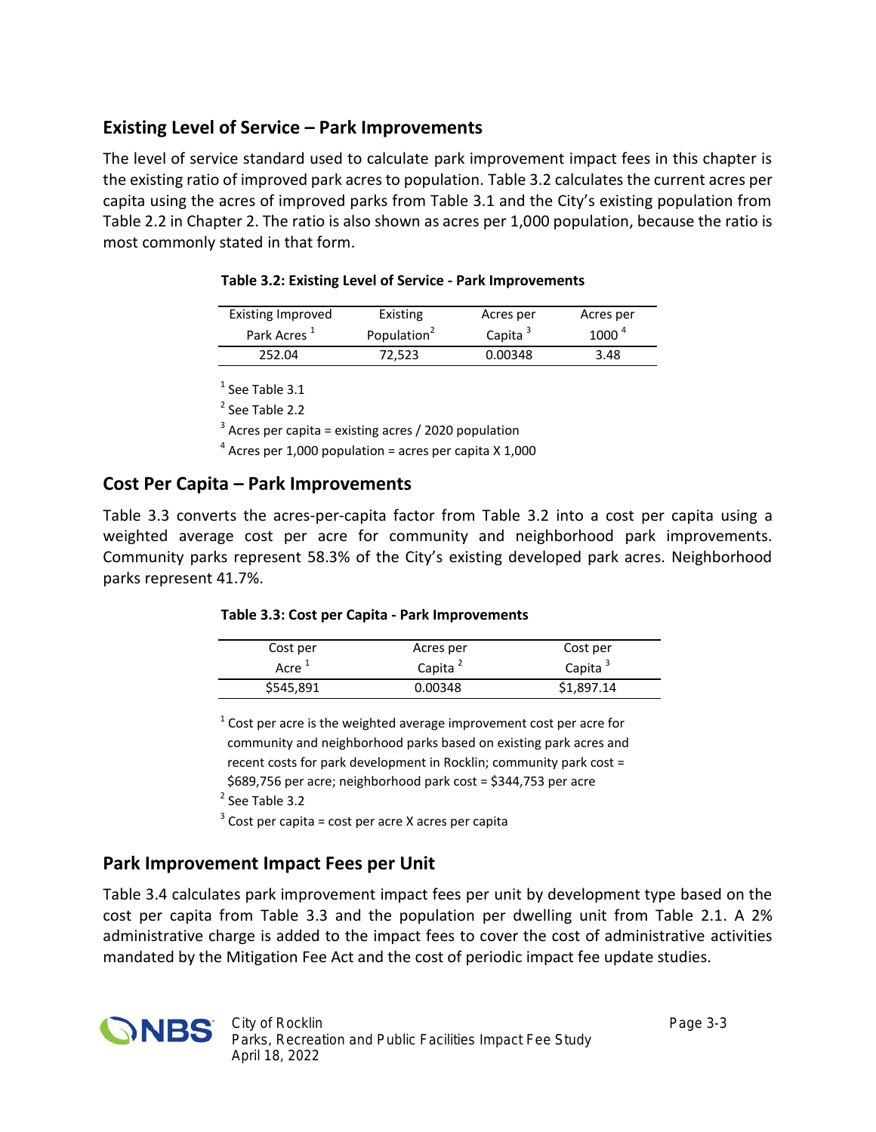## **Existing Level of Service – Park Improvements**

The level of service standard used to calculate park improvement impact fees in this chapter is the existing ratio of improved park acres to population. Table 3.2 calculates the current acres per capita using the acres of improved parks from Table 3.1 and the City's existing population from Table 2.2 in Chapter 2. The ratio is also shown as acres per 1,000 population, because the ratio is most commonly stated in that form.

| Existing Improved       | Existing                | Acres per           | Acres per         |
|-------------------------|-------------------------|---------------------|-------------------|
| Park Acres <sup>+</sup> | Population <sup>2</sup> | Capita <sup>3</sup> | 1000 <sup>4</sup> |
| 252.04                  | 72.523                  | 0.00348             | 3.48              |

#### **Table 3.2: Existing Level of Service - Park Improvements**

 $<sup>1</sup>$  See Table 3.1</sup>

<sup>2</sup> See Table 2.2

 $3$  Acres per capita = existing acres / 2020 population

 $4$  Acres per 1,000 population = acres per capita X 1,000

#### **Cost Per Capita – Park Improvements**

Table 3.3 converts the acres-per-capita factor from Table 3.2 into a cost per capita using a weighted average cost per acre for community and neighborhood park improvements. Community parks represent 58.3% of the City's existing developed park acres. Neighborhood parks represent 41.7%.

#### **Table 3.3: Cost per Capita - Park Improvements**

| Cost per          | Acres per           | Cost per            |
|-------------------|---------------------|---------------------|
| Acre <sup>+</sup> | Capita <sup>2</sup> | Capita <sup>3</sup> |
| \$545,891         | 0.00348             | \$1,897.14          |

 $^1$  Cost per acre is the weighted average improvement cost per acre for community and neighborhood parks based on existing park acres and recent costs for park development in Rocklin; community park cost = \$689,756 per acre; neighborhood park cost = \$344,753 per acre

<sup>2</sup> See Table 3.2

 $3$  Cost per capita = cost per acre X acres per capita

#### **Park Improvement Impact Fees per Unit**

Table 3.4 calculates park improvement impact fees per unit by development type based on the cost per capita from Table 3.3 and the population per dwelling unit from Table 2.1. A 2% administrative charge is added to the impact fees to cover the cost of administrative activities mandated by the Mitigation Fee Act and the cost of periodic impact fee update studies.

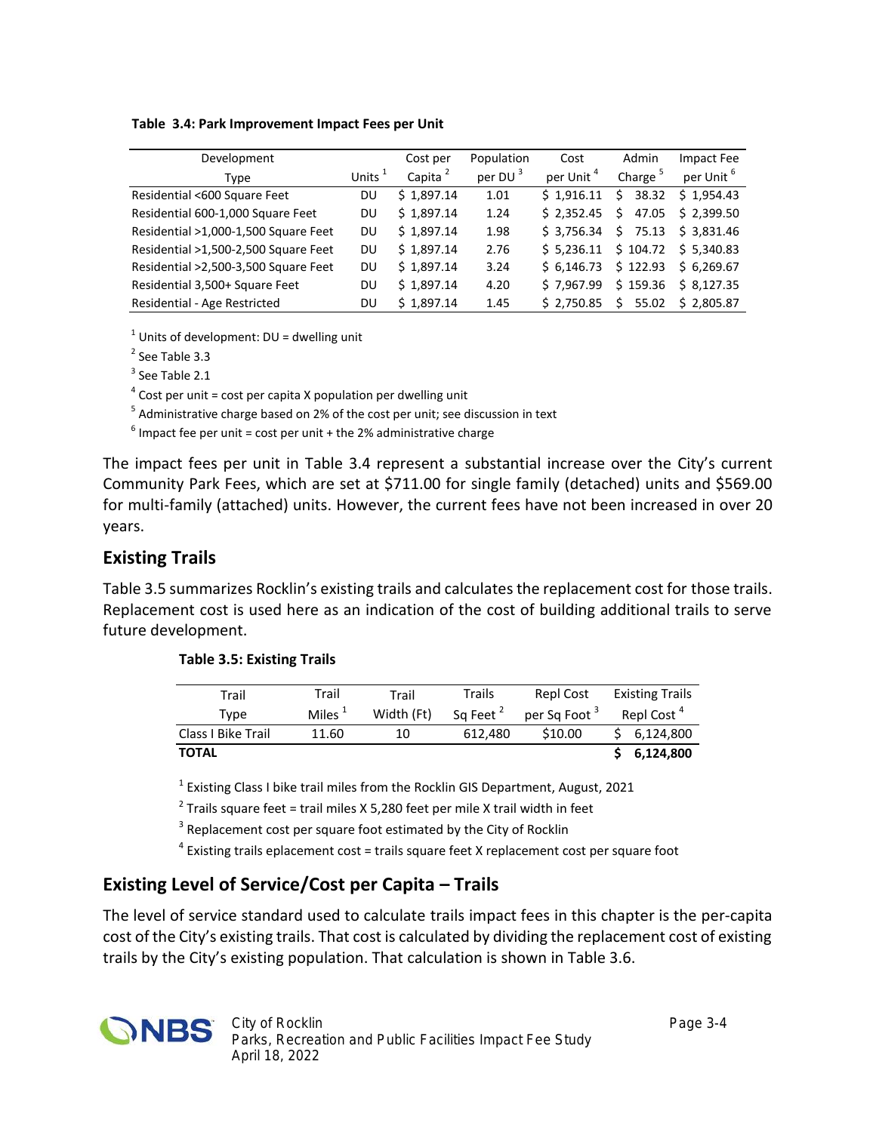| Table 3.4: Park Improvement Impact Fees per Unit |
|--------------------------------------------------|
|--------------------------------------------------|

| Development                          |           | Cost per            | Population          | Cost                  | Admin               | Impact Fee            |
|--------------------------------------|-----------|---------------------|---------------------|-----------------------|---------------------|-----------------------|
| Type                                 | Units $1$ | Capita <sup>2</sup> | per DU <sup>3</sup> | per Unit <sup>4</sup> | Charge <sup>5</sup> | per Unit <sup>6</sup> |
| Residential <600 Square Feet         | DU        | \$1.897.14          | 1.01                | \$1.916.11            | 38.32<br>S.         | \$1.954.43            |
| Residential 600-1,000 Square Feet    | DU        | \$1,897.14          | 1.24                | \$2.352.45            | 47.05<br>S.         | \$2,399.50            |
| Residential >1,000-1,500 Square Feet | DU        | \$1.897.14          | 1.98                | \$3.756.34            | Ś.<br>75.13         | \$3.831.46            |
| Residential >1,500-2,500 Square Feet | DU        | \$1.897.14          | 2.76                | \$5.236.11            | \$104.72            | \$5.340.83            |
| Residential >2,500-3,500 Square Feet | DU        | \$1.897.14          | 3.24                | \$6.146.73            | \$122.93            | \$6.269.67            |
| Residential 3,500+ Square Feet       | DU        | \$1.897.14          | 4.20                | \$7.967.99            | \$159.36            | \$8.127.35            |
| Residential - Age Restricted         | DU        | \$1,897.14          | 1.45                | \$2.750.85            | 55.02<br>Ś          | \$2.805.87            |

 $1$  Units of development: DU = dwelling unit

<sup>2</sup> See Table 3.3

 $3$  See Table 2.1

 $4$  Cost per unit = cost per capita X population per dwelling unit

<sup>5</sup> Administrative charge based on 2% of the cost per unit; see discussion in text

 $^6$  Impact fee per unit = cost per unit + the 2% administrative charge

The impact fees per unit in Table 3.4 represent a substantial increase over the City's current Community Park Fees, which are set at \$711.00 for single family (detached) units and \$569.00 for multi-family (attached) units. However, the current fees have not been increased in over 20 years.

#### **Existing Trails**

Table 3.5 summarizes Rocklin's existing trails and calculates the replacement cost for those trails. Replacement cost is used here as an indication of the cost of building additional trails to serve future development.

| Trail              | Trail            | Trail      | Trails               | Repl Cost                | <b>Existing Trails</b> |
|--------------------|------------------|------------|----------------------|--------------------------|------------------------|
| Tvpe               | Miles $^{\perp}$ | Width (Ft) | Sq Feet <sup>2</sup> | per Sq Foot <sup>3</sup> | Repl Cost <sup>4</sup> |
| Class I Bike Trail | 11.60            | 10         | 612.480              | \$10.00                  | 6,124,800              |
| <b>TOTAL</b>       |                  |            |                      |                          | 6,124,800              |

| <b>Table 3.5: Existing Trails</b> |  |
|-----------------------------------|--|
|-----------------------------------|--|

<sup>1</sup> Existing Class I bike trail miles from the Rocklin GIS Department, August, 2021

<sup>2</sup> Trails square feet = trail miles X 5,280 feet per mile X trail width in feet

 $3$  Replacement cost per square foot estimated by the City of Rocklin

<sup>4</sup> Existing trails eplacement cost = trails square feet X replacement cost per square foot

### **Existing Level of Service/Cost per Capita – Trails**

The level of service standard used to calculate trails impact fees in this chapter is the per-capita cost of the City's existing trails. That cost is calculated by dividing the replacement cost of existing trails by the City's existing population. That calculation is shown in Table 3.6.

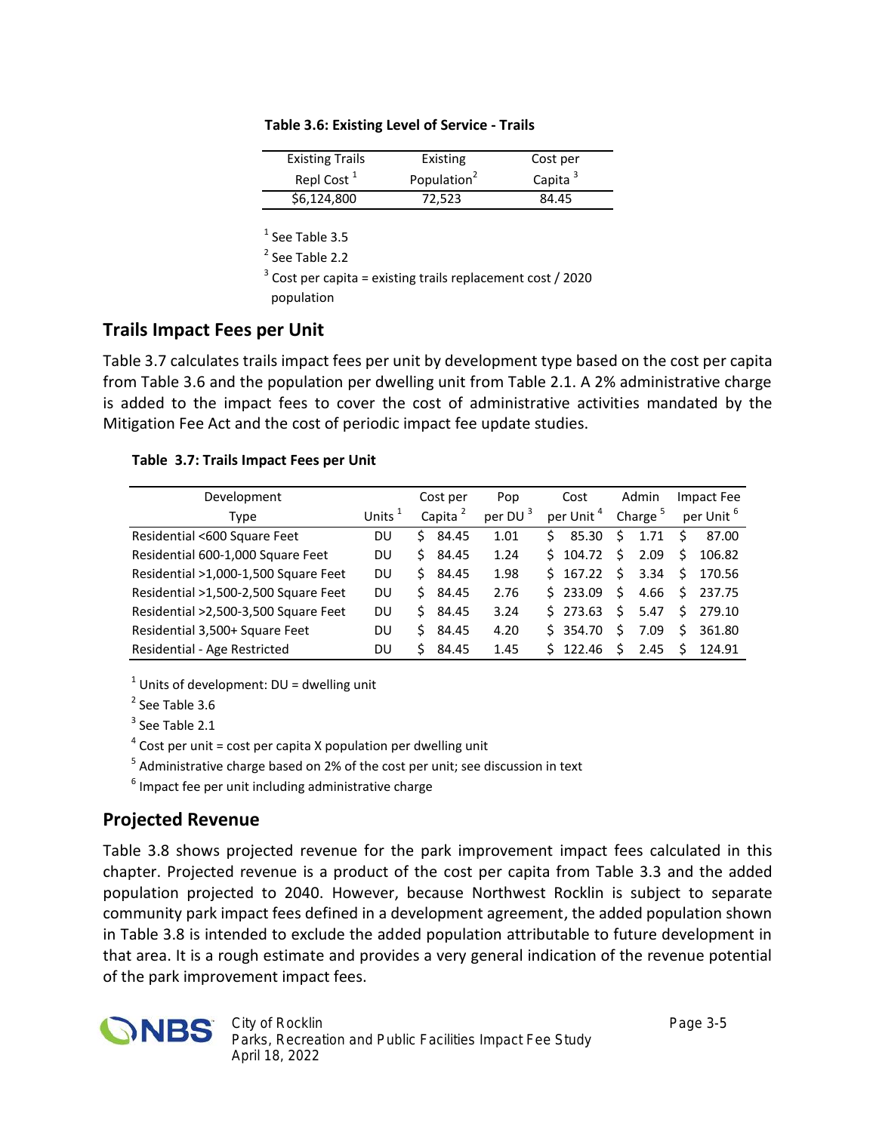| <b>Existing Trails</b> | Existing                | Cost per   |
|------------------------|-------------------------|------------|
| Repl Cost <sup>1</sup> | Population <sup>2</sup> | Capita $3$ |
| \$6,124,800            | 72,523                  | 84.45      |

| Table 3.6: Existing Level of Service - Trails |  |
|-----------------------------------------------|--|
|-----------------------------------------------|--|

 $<sup>1</sup>$  See Table 3.5</sup>

<sup>2</sup> See Table 2.2

 $3$  Cost per capita = existing trails replacement cost / 2020 population

#### **Trails Impact Fees per Unit**

Table 3.7 calculates trails impact fees per unit by development type based on the cost per capita from Table 3.6 and the population per dwelling unit from Table 2.1. A 2% administrative charge is added to the impact fees to cover the cost of administrative activities mandated by the Mitigation Fee Act and the cost of periodic impact fee update studies.

#### **Table 3.7: Trails Impact Fees per Unit**

| Development                          |           | Cost per            | Pop        | Cost                  | Admin               | Impact Fee            |
|--------------------------------------|-----------|---------------------|------------|-----------------------|---------------------|-----------------------|
| Type                                 | Units $1$ | Capita <sup>2</sup> | per DU $3$ | per Unit <sup>4</sup> | Charge <sup>5</sup> | per Unit <sup>6</sup> |
| Residential <600 Square Feet         | DU        | 84.45<br>S          | 1.01       | 85.30<br>S.           | 1.71<br>S           | 87.00<br>Ŝ            |
| Residential 600-1,000 Square Feet    | DU        | 84.45<br>S.         | 1.24       | $5\quad 104.72$       | 2.09<br>S           | S<br>106.82           |
| Residential >1,000-1,500 Square Feet | DU        | 84.45<br>Ś.         | 1.98       | $5\quad 167.22$       | 3.34<br>Ś.          | Ŝ.<br>170.56          |
| Residential >1,500-2,500 Square Feet | DU        | 84.45<br>Ś.         | 2.76       | 5233.09               | 4.66<br>Ŝ.          | S.<br>237.75          |
| Residential >2,500-3,500 Square Feet | DU        | 84.45<br>S.         | 3.24       | $5\,273.63$           | 5.47<br>Ś           | Ś<br>279.10           |
| Residential 3,500+ Square Feet       | DU        | 84.45<br>Ś.         | 4.20       | \$354.70              | 7.09<br>Ś.          | Ś<br>361.80           |
| Residential - Age Restricted         | DU        | 84.45               | 1.45       | 122.46                | ς<br>2.45           | ς<br>124.91           |

 $1$  Units of development: DU = dwelling unit

<sup>2</sup> See Table 3.6

 $3$  See Table 2.1

 $4$  Cost per unit = cost per capita X population per dwelling unit

<sup>5</sup> Administrative charge based on 2% of the cost per unit; see discussion in text

 $<sup>6</sup>$  Impact fee per unit including administrative charge</sup>

### **Projected Revenue**

Table 3.8 shows projected revenue for the park improvement impact fees calculated in this chapter. Projected revenue is a product of the cost per capita from Table 3.3 and the added population projected to 2040. However, because Northwest Rocklin is subject to separate community park impact fees defined in a development agreement, the added population shown in Table 3.8 is intended to exclude the added population attributable to future development in that area. It is a rough estimate and provides a very general indication of the revenue potential of the park improvement impact fees.

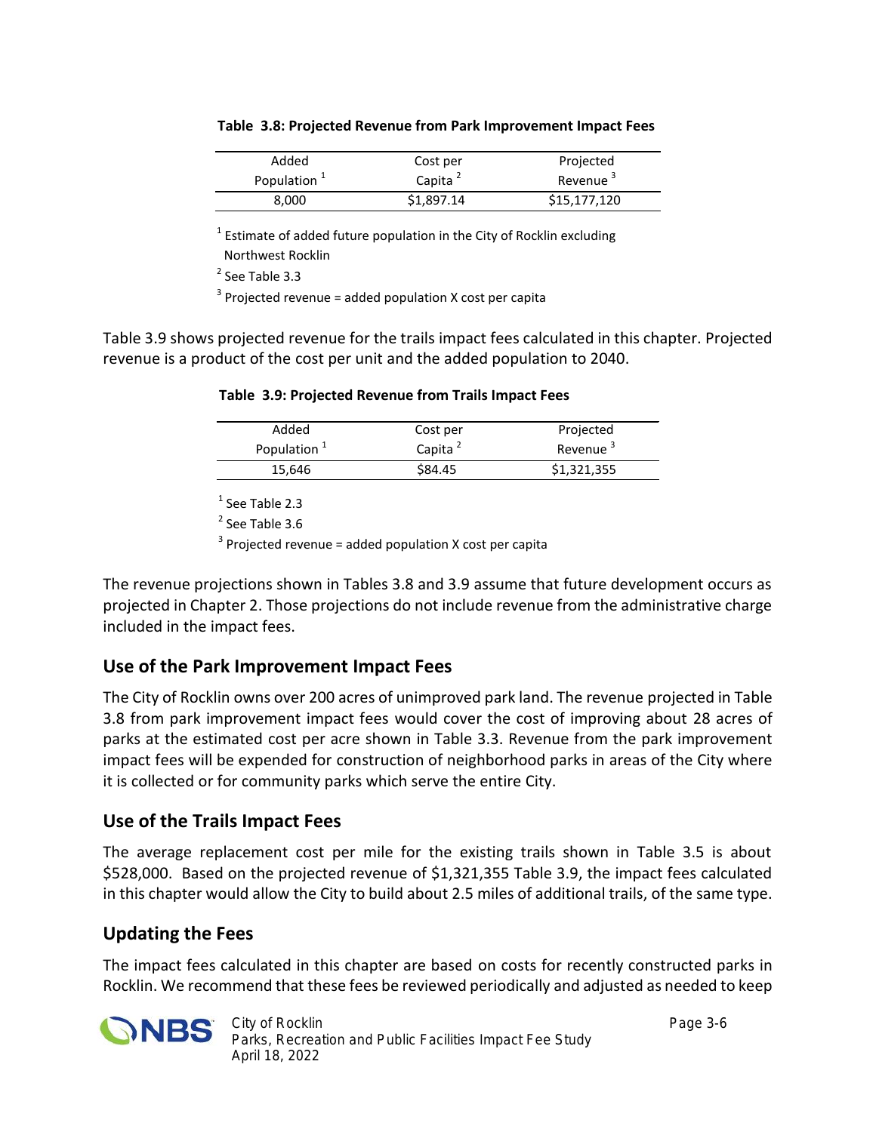| Added                   | Cost per            | Projected            |
|-------------------------|---------------------|----------------------|
| Population <sup>1</sup> | Capita <sup>2</sup> | Revenue <sup>3</sup> |
| 8,000                   | \$1,897.14          | \$15,177,120         |

|  |  |  | Table 3.8: Projected Revenue from Park Improvement Impact Fees |  |
|--|--|--|----------------------------------------------------------------|--|
|--|--|--|----------------------------------------------------------------|--|

 $^1$  Estimate of added future population in the City of Rocklin excluding Northwest Rocklin

<sup>2</sup> See Table 3.3

 $3$  Projected revenue = added population X cost per capita

Table 3.9 shows projected revenue for the trails impact fees calculated in this chapter. Projected revenue is a product of the cost per unit and the added population to 2040.

| Table 3.9: Projected Revenue from Trails Impact Fees |  |
|------------------------------------------------------|--|
|------------------------------------------------------|--|

| Added                   | Cost per            | Projected            |
|-------------------------|---------------------|----------------------|
| Population <sup>+</sup> | Capita <sup>2</sup> | Revenue <sup>3</sup> |
| 15,646                  | \$84.45             | \$1,321,355          |

<sup>1</sup> See Table 2.3

<sup>2</sup> See Table 3.6

 $3$  Projected revenue = added population X cost per capita

The revenue projections shown in Tables 3.8 and 3.9 assume that future development occurs as projected in Chapter 2. Those projections do not include revenue from the administrative charge included in the impact fees.

## **Use of the Park Improvement Impact Fees**

The City of Rocklin owns over 200 acres of unimproved park land. The revenue projected in Table 3.8 from park improvement impact fees would cover the cost of improving about 28 acres of parks at the estimated cost per acre shown in Table 3.3. Revenue from the park improvement impact fees will be expended for construction of neighborhood parks in areas of the City where it is collected or for community parks which serve the entire City.

### **Use of the Trails Impact Fees**

The average replacement cost per mile for the existing trails shown in Table 3.5 is about \$528,000. Based on the projected revenue of \$1,321,355 Table 3.9, the impact fees calculated in this chapter would allow the City to build about 2.5 miles of additional trails, of the same type.

## **Updating the Fees**

The impact fees calculated in this chapter are based on costs for recently constructed parks in Rocklin. We recommend that these fees be reviewed periodically and adjusted as needed to keep

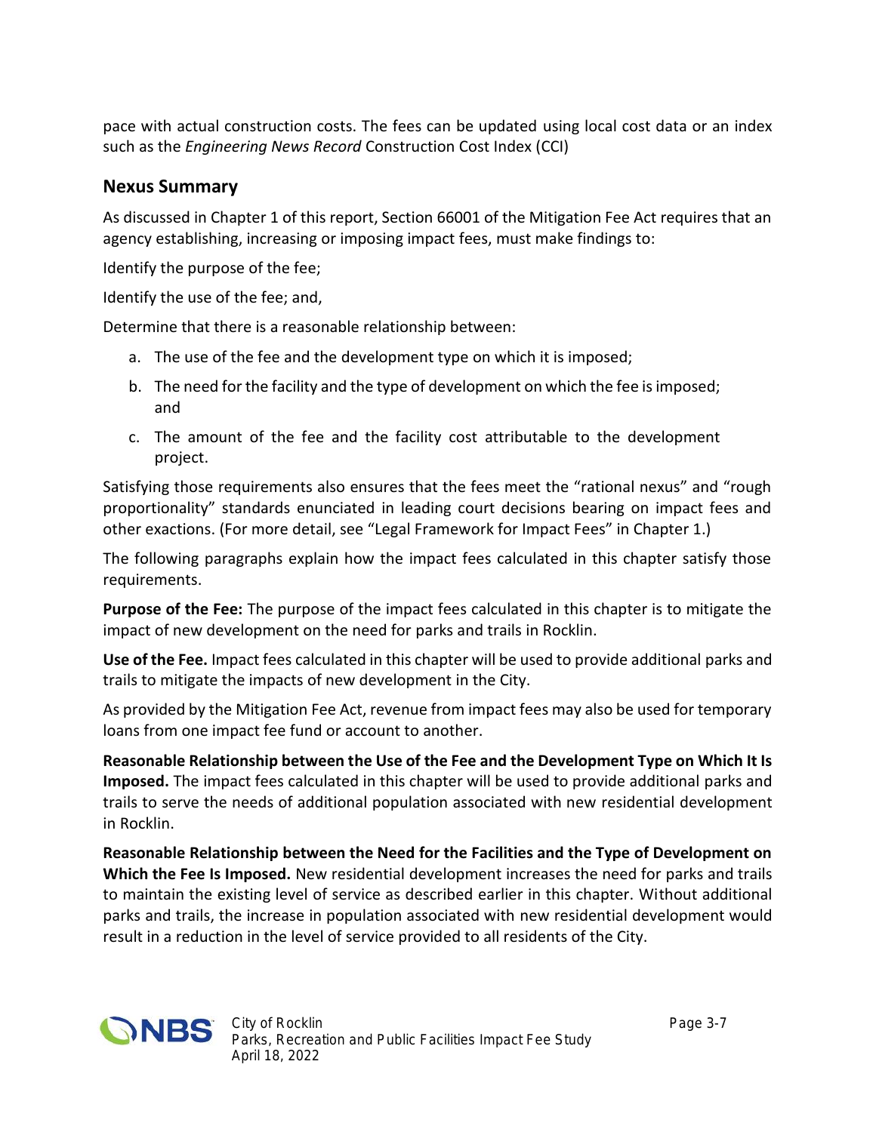pace with actual construction costs. The fees can be updated using local cost data or an index such as the *Engineering News Record* Construction Cost Index (CCI)

#### **Nexus Summary**

As discussed in Chapter 1 of this report, Section 66001 of the Mitigation Fee Act requires that an agency establishing, increasing or imposing impact fees, must make findings to:

Identify the purpose of the fee;

Identify the use of the fee; and,

Determine that there is a reasonable relationship between:

- a. The use of the fee and the development type on which it is imposed;
- b. The need for the facility and the type of development on which the fee is imposed; and
- c. The amount of the fee and the facility cost attributable to the development project.

Satisfying those requirements also ensures that the fees meet the "rational nexus" and "rough proportionality" standards enunciated in leading court decisions bearing on impact fees and other exactions. (For more detail, see "Legal Framework for Impact Fees" in Chapter 1.)

The following paragraphs explain how the impact fees calculated in this chapter satisfy those requirements.

**Purpose of the Fee:** The purpose of the impact fees calculated in this chapter is to mitigate the impact of new development on the need for parks and trails in Rocklin.

**Use of the Fee.** Impact fees calculated in this chapter will be used to provide additional parks and trails to mitigate the impacts of new development in the City.

As provided by the Mitigation Fee Act, revenue from impact fees may also be used for temporary loans from one impact fee fund or account to another.

**Reasonable Relationship between the Use of the Fee and the Development Type on Which It Is Imposed.** The impact fees calculated in this chapter will be used to provide additional parks and trails to serve the needs of additional population associated with new residential development in Rocklin.

**Reasonable Relationship between the Need for the Facilities and the Type of Development on Which the Fee Is Imposed.** New residential development increases the need for parks and trails to maintain the existing level of service as described earlier in this chapter. Without additional parks and trails, the increase in population associated with new residential development would result in a reduction in the level of service provided to all residents of the City.

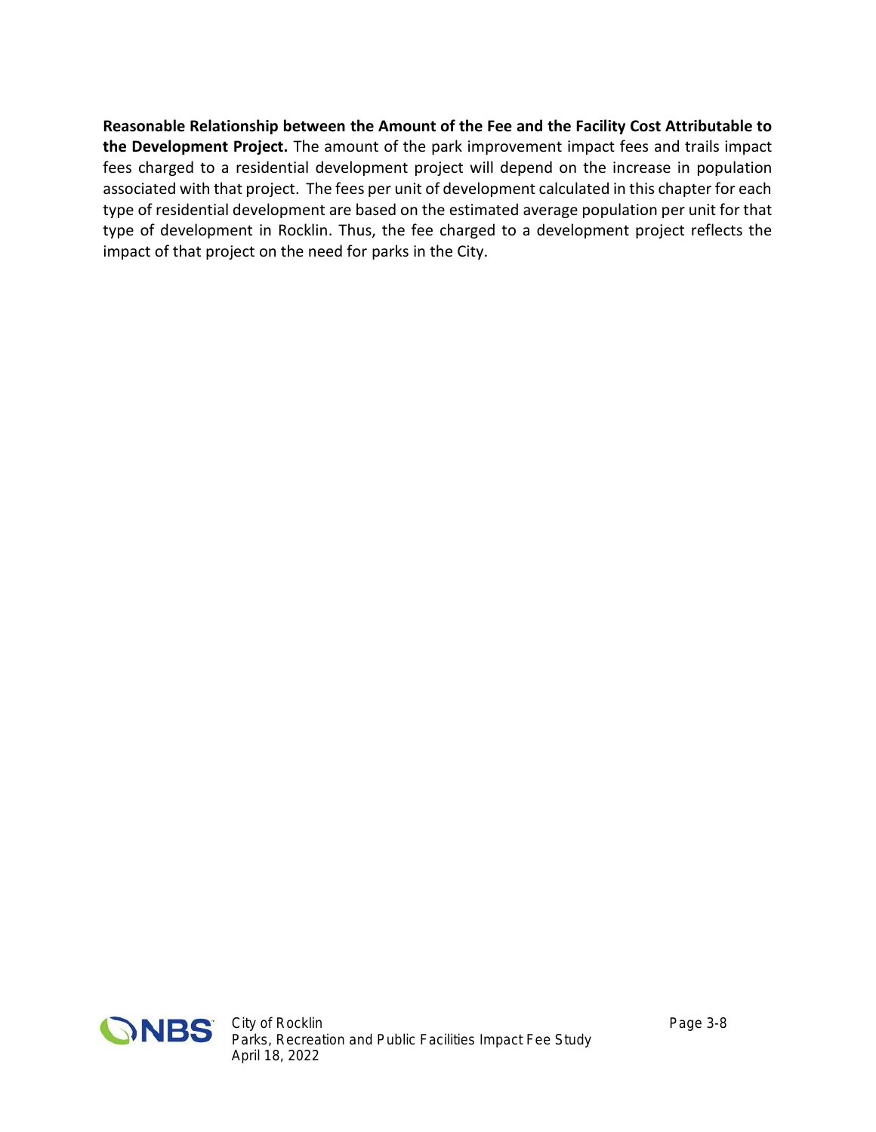**Reasonable Relationship between the Amount of the Fee and the Facility Cost Attributable to the Development Project.** The amount of the park improvement impact fees and trails impact fees charged to a residential development project will depend on the increase in population associated with that project. The fees per unit of development calculated in this chapter for each type of residential development are based on the estimated average population per unit for that type of development in Rocklin. Thus, the fee charged to a development project reflects the impact of that project on the need for parks in the City.

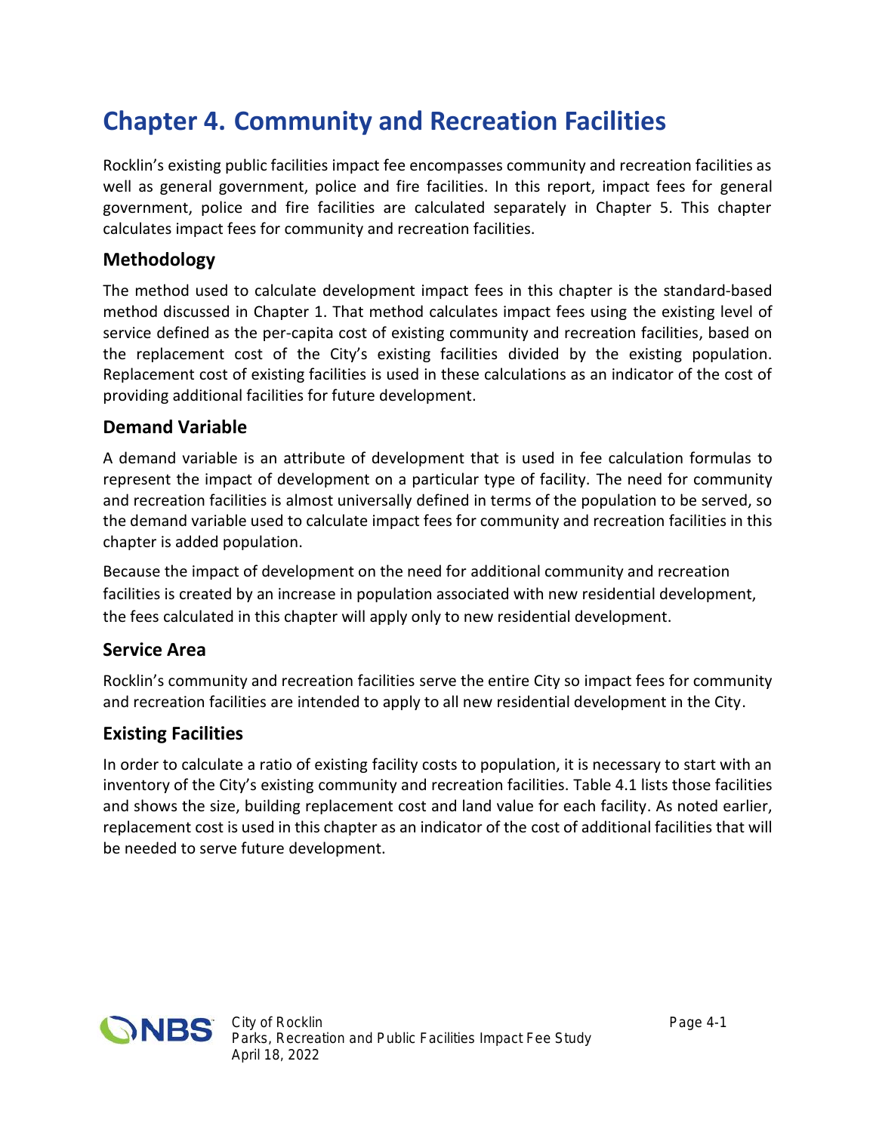## **Chapter 4. Community and Recreation Facilities**

Rocklin's existing public facilities impact fee encompasses community and recreation facilities as well as general government, police and fire facilities. In this report, impact fees for general government, police and fire facilities are calculated separately in Chapter 5. This chapter calculates impact fees for community and recreation facilities.

### **Methodology**

The method used to calculate development impact fees in this chapter is the standard-based method discussed in Chapter 1. That method calculates impact fees using the existing level of service defined as the per-capita cost of existing community and recreation facilities, based on the replacement cost of the City's existing facilities divided by the existing population. Replacement cost of existing facilities is used in these calculations as an indicator of the cost of providing additional facilities for future development.

#### **Demand Variable**

A demand variable is an attribute of development that is used in fee calculation formulas to represent the impact of development on a particular type of facility. The need for community and recreation facilities is almost universally defined in terms of the population to be served, so the demand variable used to calculate impact fees for community and recreation facilities in this chapter is added population.

Because the impact of development on the need for additional community and recreation facilities is created by an increase in population associated with new residential development, the fees calculated in this chapter will apply only to new residential development.

### **Service Area**

Rocklin's community and recreation facilities serve the entire City so impact fees for community and recreation facilities are intended to apply to all new residential development in the City.

### **Existing Facilities**

In order to calculate a ratio of existing facility costs to population, it is necessary to start with an inventory of the City's existing community and recreation facilities. Table 4.1 lists those facilities and shows the size, building replacement cost and land value for each facility. As noted earlier, replacement cost is used in this chapter as an indicator of the cost of additional facilities that will be needed to serve future development.

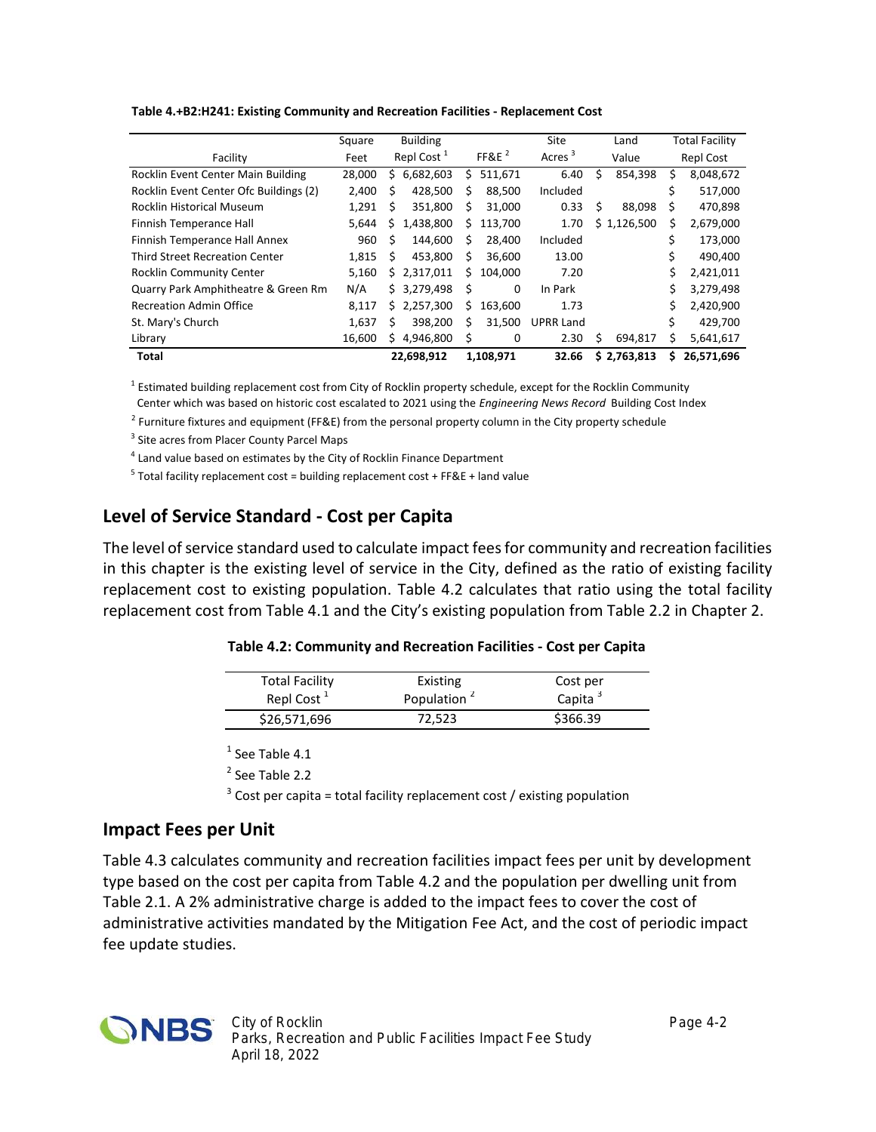| Table 4.+B2:H241: Existing Community and Recreation Facilities - Replacement Cost |
|-----------------------------------------------------------------------------------|
|-----------------------------------------------------------------------------------|

|                                        | Square | <b>Building</b>        |               | Site               | Land         | <b>Total Facility</b> |
|----------------------------------------|--------|------------------------|---------------|--------------------|--------------|-----------------------|
| Facility                               | Feet   | Repl Cost <sup>1</sup> | FF&E $^2$     | Acres <sup>3</sup> | Value        | Repl Cost             |
| Rocklin Event Center Main Building     | 28,000 | 6,682,603<br>s         | 511,671<br>S  | 6.40               | 854.398<br>Ś | 8,048,672<br>S        |
| Rocklin Event Center Ofc Buildings (2) | 2,400  | 428,500<br>Ś           | 88,500<br>S   | Included           |              | 517,000               |
| <b>Rocklin Historical Museum</b>       | 1,291  | 351,800<br>S           | 31,000<br>S   | 0.33               | 88,098<br>s  | 470,898<br>S          |
| Finnish Temperance Hall                | 5,644  | 1,438,800<br>s         | 113,700<br>s  | 1.70               | \$1,126,500  | Ś<br>2,679,000        |
| Finnish Temperance Hall Annex          | 960    | 144.600<br>Ŝ.          | 28,400<br>S   | Included           |              | 173,000               |
| <b>Third Street Recreation Center</b>  | 1,815  | 453.800<br>Ŝ.          | 36.600<br>S   | 13.00              |              | 490,400               |
| Rocklin Community Center               | 5,160  | 2,317,011<br>Ś.        | 104.000<br>Ś. | 7.20               |              | Ś<br>2,421,011        |
| Quarry Park Amphitheatre & Green Rm    | N/A    | \$3,279,498            | Ś<br>0        | In Park            |              | 3,279,498             |
| <b>Recreation Admin Office</b>         | 8,117  | 2,257,300<br>S.        | 163,600<br>S  | 1.73               |              | 2,420,900             |
| St. Mary's Church                      | 1,637  | Ś<br>398,200           | 31,500<br>Ś   | <b>UPRR Land</b>   |              | 429,700               |
| Library                                | 16,600 | 4,946,800<br>s         | Ś<br>0        | 2.30               | 694,817<br>s | 5,641,617<br>Ś        |
| <b>Total</b>                           |        | 22,698,912             | 1,108,971     | 32.66              | \$2,763,813  | 26,571,696<br>s       |

<sup>1</sup> Estimated building replacement cost from City of Rocklin property schedule, except for the Rocklin Community

Center which was based on historic cost escalated to 2021 using the *Engineering News Record* Building Cost Index

2 Furniture fixtures and equipment (FF&E) from the personal property column in the City property schedule

<sup>3</sup> Site acres from Placer County Parcel Maps

<sup>4</sup> Land value based on estimates by the City of Rocklin Finance Department

<sup>5</sup> Total facility replacement cost = building replacement cost + FF&E + land value

#### **Level of Service Standard - Cost per Capita**

The level of service standard used to calculate impact feesfor community and recreation facilities in this chapter is the existing level of service in the City, defined as the ratio of existing facility replacement cost to existing population. Table 4.2 calculates that ratio using the total facility replacement cost from Table 4.1 and the City's existing population from Table 2.2 in Chapter 2.

| Table 4.2: Community and Recreation Facilities - Cost per Capita |  |
|------------------------------------------------------------------|--|
|------------------------------------------------------------------|--|

| <b>Total Facility</b>  | Existing                | Cost per   |
|------------------------|-------------------------|------------|
| Repl Cost <sup>1</sup> | Population <sup>2</sup> | Capita $3$ |
| \$26,571,696           | 72,523                  | \$366.39   |

 $<sup>1</sup>$  See Table 4.1</sup>

<sup>2</sup> See Table 2.2

 $3$  Cost per capita = total facility replacement cost / existing population

#### **Impact Fees per Unit**

Table 4.3 calculates community and recreation facilities impact fees per unit by development type based on the cost per capita from Table 4.2 and the population per dwelling unit from Table 2.1. A 2% administrative charge is added to the impact fees to cover the cost of administrative activities mandated by the Mitigation Fee Act, and the cost of periodic impact fee update studies.

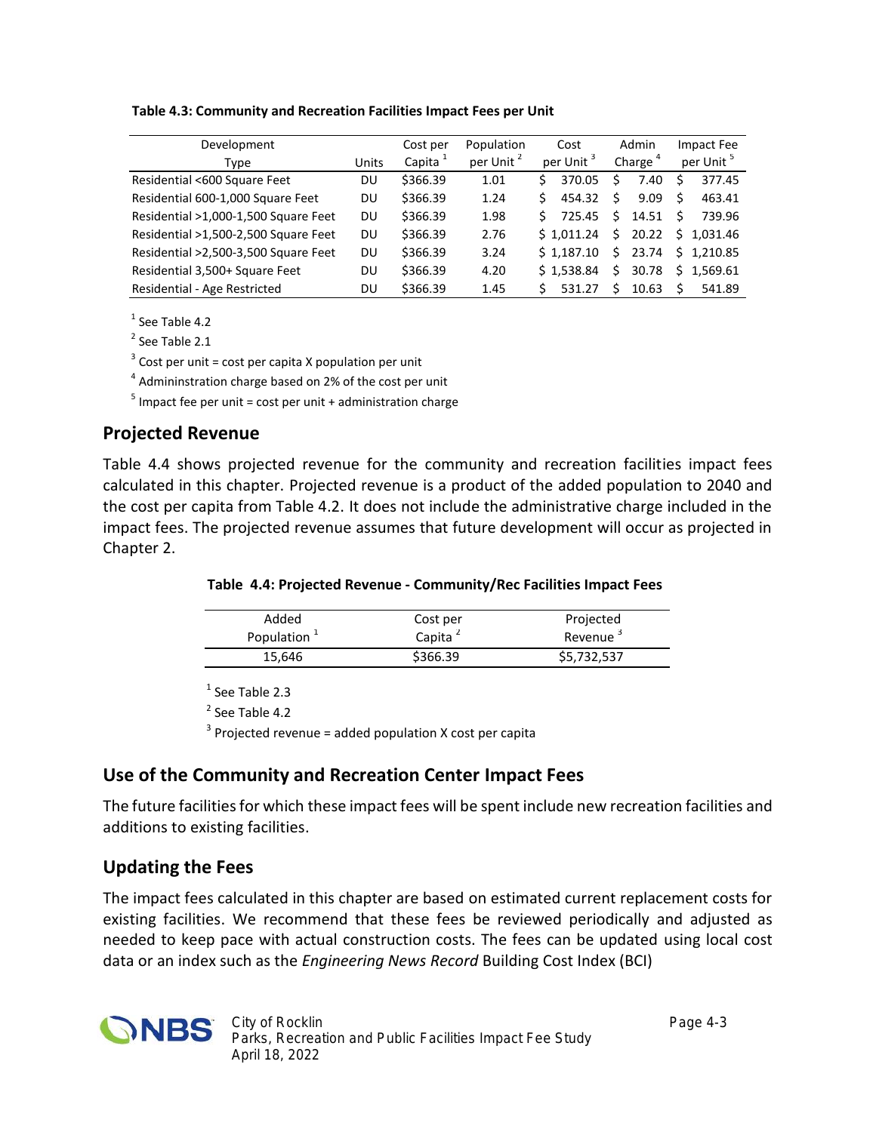#### **Table 4.3: Community and Recreation Facilities Impact Fees per Unit**

| Development                          |              | Cost per            | Population            |    | Cost                  |    | Admin               |     | Impact Fee            |
|--------------------------------------|--------------|---------------------|-----------------------|----|-----------------------|----|---------------------|-----|-----------------------|
| <b>Type</b>                          | <b>Units</b> | Capita <sup>1</sup> | per Unit <sup>2</sup> |    | per Unit <sup>3</sup> |    | Charge <sup>4</sup> |     | per Unit <sup>5</sup> |
| Residential <600 Square Feet         | DU           | \$366.39            | 1.01                  | Ś  | 370.05                | Ś  | 7.40                | S.  | 377.45                |
| Residential 600-1,000 Square Feet    | DU           | \$366.39            | 1.24                  | Ś  | 454.32                | Ś  | 9.09                | \$. | 463.41                |
| Residential >1,000-1,500 Square Feet | <b>DU</b>    | \$366.39            | 1.98                  | Ś. | 725.45                | Ś. | 14.51               | Ś   | 739.96                |
| Residential >1,500-2,500 Square Feet | <b>DU</b>    | \$366.39            | 2.76                  |    | \$1.011.24            | Ś. | 20.22               |     | \$1,031.46            |
| Residential >2,500-3,500 Square Feet | DU           | \$366.39            | 3.24                  |    | \$1.187.10            | Ś. | 23.74               |     | \$1,210.85            |
| Residential 3,500+ Square Feet       | DU           | \$366.39            | 4.20                  |    | \$1.538.84            | Ś. | 30.78               |     | \$1,569.61            |
| Residential - Age Restricted         | DU           | \$366.39            | 1.45                  |    | 531.27                | ς. | 10.63               |     | 541.89                |

 $<sup>1</sup>$  See Table 4.2</sup>

<sup>2</sup> See Table 2.1

 $3$  Cost per unit = cost per capita X population per unit

4 Admininstration charge based on 2% of the cost per unit

 $<sup>5</sup>$  Impact fee per unit = cost per unit + administration charge</sup>

#### **Projected Revenue**

Table 4.4 shows projected revenue for the community and recreation facilities impact fees calculated in this chapter. Projected revenue is a product of the added population to 2040 and the cost per capita from Table 4.2. It does not include the administrative charge included in the impact fees. The projected revenue assumes that future development will occur as projected in Chapter 2.

| Table 4.4: Projected Revenue - Community/Rec Facilities Impact Fees |  |
|---------------------------------------------------------------------|--|
|---------------------------------------------------------------------|--|

| Added          | Cost per            | Projected            |
|----------------|---------------------|----------------------|
| Population $1$ | Capita <sup>2</sup> | Revenue <sup>3</sup> |
| 15.646         | \$366.39            | \$5,732,537          |

<sup>1</sup> See Table 2.3

<sup>2</sup> See Table 4.2

 $3$  Projected revenue = added population X cost per capita

#### **Use of the Community and Recreation Center Impact Fees**

The future facilities for which these impact fees will be spent include new recreation facilities and additions to existing facilities.

#### **Updating the Fees**

The impact fees calculated in this chapter are based on estimated current replacement costs for existing facilities. We recommend that these fees be reviewed periodically and adjusted as needed to keep pace with actual construction costs. The fees can be updated using local cost data or an index such as the *Engineering News Record* Building Cost Index (BCI)

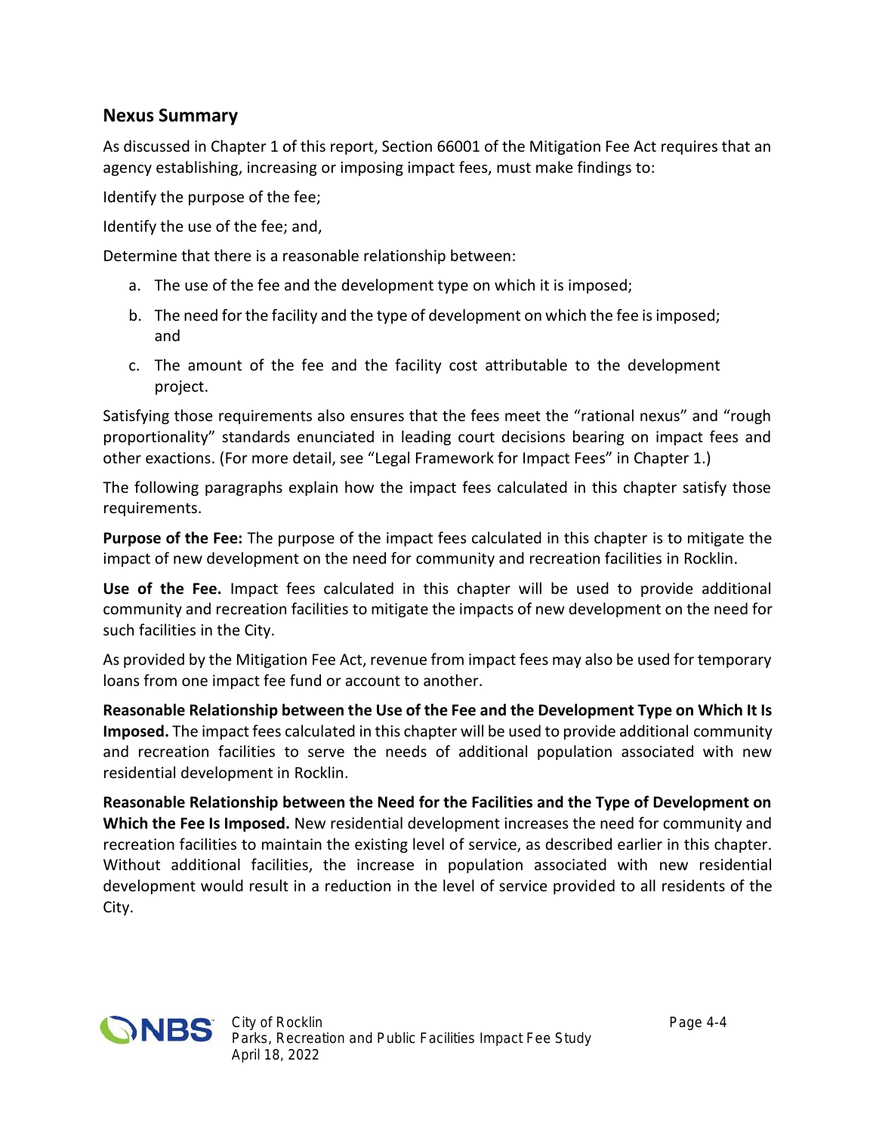#### **Nexus Summary**

As discussed in Chapter 1 of this report, Section 66001 of the Mitigation Fee Act requires that an agency establishing, increasing or imposing impact fees, must make findings to:

Identify the purpose of the fee;

Identify the use of the fee; and,

Determine that there is a reasonable relationship between:

- a. The use of the fee and the development type on which it is imposed;
- b. The need for the facility and the type of development on which the fee is imposed; and
- c. The amount of the fee and the facility cost attributable to the development project.

Satisfying those requirements also ensures that the fees meet the "rational nexus" and "rough proportionality" standards enunciated in leading court decisions bearing on impact fees and other exactions. (For more detail, see "Legal Framework for Impact Fees" in Chapter 1.)

The following paragraphs explain how the impact fees calculated in this chapter satisfy those requirements.

**Purpose of the Fee:** The purpose of the impact fees calculated in this chapter is to mitigate the impact of new development on the need for community and recreation facilities in Rocklin.

**Use of the Fee.** Impact fees calculated in this chapter will be used to provide additional community and recreation facilities to mitigate the impacts of new development on the need for such facilities in the City.

As provided by the Mitigation Fee Act, revenue from impact fees may also be used for temporary loans from one impact fee fund or account to another.

**Reasonable Relationship between the Use of the Fee and the Development Type on Which It Is Imposed.** The impact fees calculated in this chapter will be used to provide additional community and recreation facilities to serve the needs of additional population associated with new residential development in Rocklin.

**Reasonable Relationship between the Need for the Facilities and the Type of Development on Which the Fee Is Imposed.** New residential development increases the need for community and recreation facilities to maintain the existing level of service, as described earlier in this chapter. Without additional facilities, the increase in population associated with new residential development would result in a reduction in the level of service provided to all residents of the City.

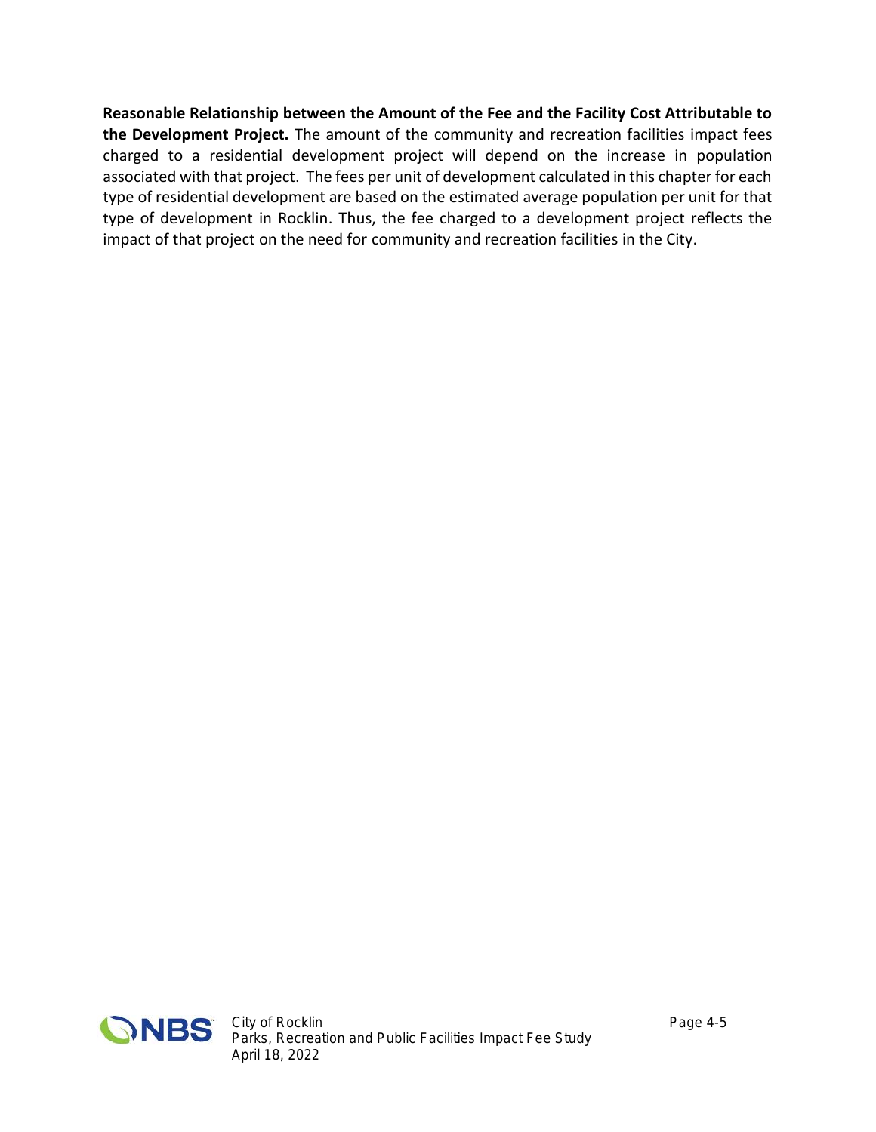**Reasonable Relationship between the Amount of the Fee and the Facility Cost Attributable to the Development Project.** The amount of the community and recreation facilities impact fees charged to a residential development project will depend on the increase in population associated with that project. The fees per unit of development calculated in this chapter for each type of residential development are based on the estimated average population per unit for that type of development in Rocklin. Thus, the fee charged to a development project reflects the impact of that project on the need for community and recreation facilities in the City.

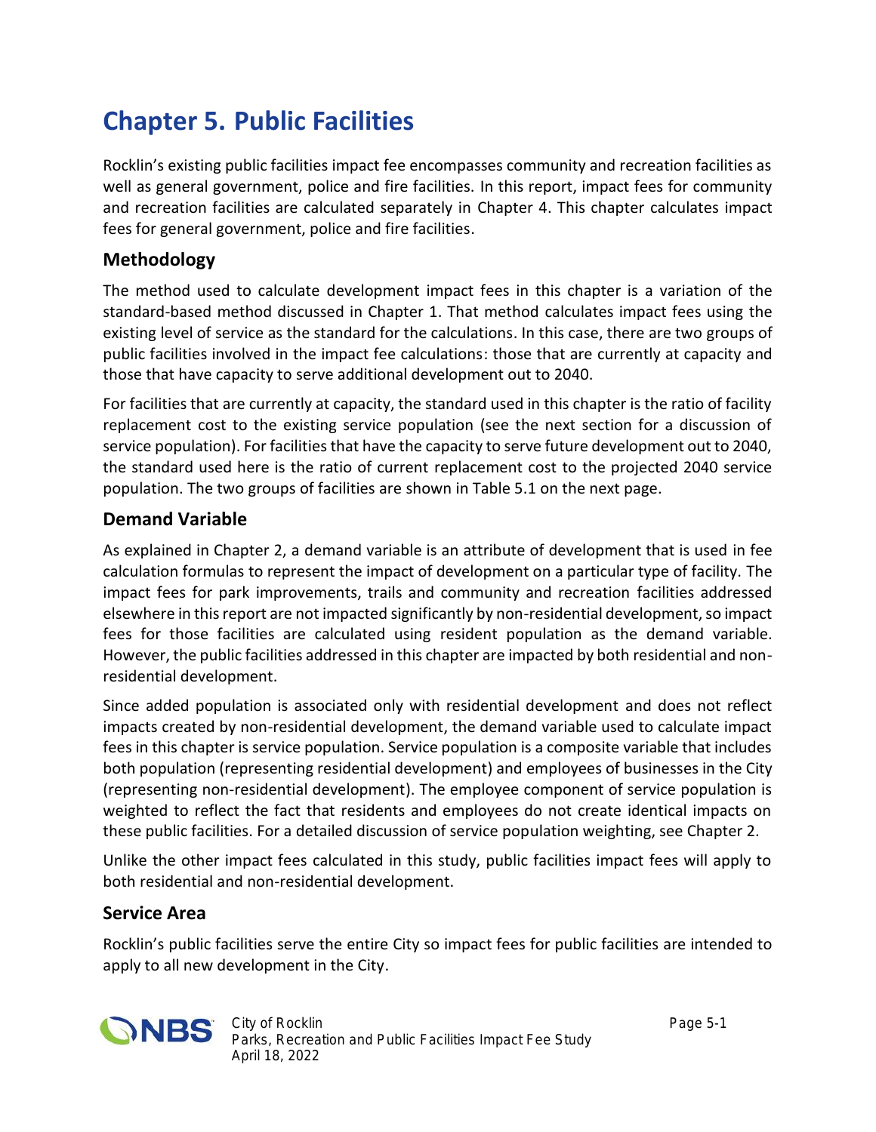# **Chapter 5. Public Facilities**

Rocklin's existing public facilities impact fee encompasses community and recreation facilities as well as general government, police and fire facilities. In this report, impact fees for community and recreation facilities are calculated separately in Chapter 4. This chapter calculates impact fees for general government, police and fire facilities.

## **Methodology**

The method used to calculate development impact fees in this chapter is a variation of the standard-based method discussed in Chapter 1. That method calculates impact fees using the existing level of service as the standard for the calculations. In this case, there are two groups of public facilities involved in the impact fee calculations: those that are currently at capacity and those that have capacity to serve additional development out to 2040.

For facilities that are currently at capacity, the standard used in this chapter is the ratio of facility replacement cost to the existing service population (see the next section for a discussion of service population). For facilities that have the capacity to serve future development out to 2040, the standard used here is the ratio of current replacement cost to the projected 2040 service population. The two groups of facilities are shown in Table 5.1 on the next page.

### **Demand Variable**

As explained in Chapter 2, a demand variable is an attribute of development that is used in fee calculation formulas to represent the impact of development on a particular type of facility. The impact fees for park improvements, trails and community and recreation facilities addressed elsewhere in this report are not impacted significantly by non-residential development, so impact fees for those facilities are calculated using resident population as the demand variable. However, the public facilities addressed in this chapter are impacted by both residential and non residential development.

Since added population is associated only with residential development and does not reflect impacts created by non-residential development, the demand variable used to calculate impact fees in this chapter is service population. Service population is a composite variable that includes both population (representing residential development) and employees of businesses in the City (representing non-residential development). The employee component of service population is weighted to reflect the fact that residents and employees do not create identical impacts on these public facilities. For a detailed discussion of service population weighting, see Chapter 2.

Unlike the other impact fees calculated in this study, public facilities impact fees will apply to both residential and non-residential development.

### **Service Area**

Rocklin's public facilities serve the entire City so impact fees for public facilities are intended to apply to all new development in the City.

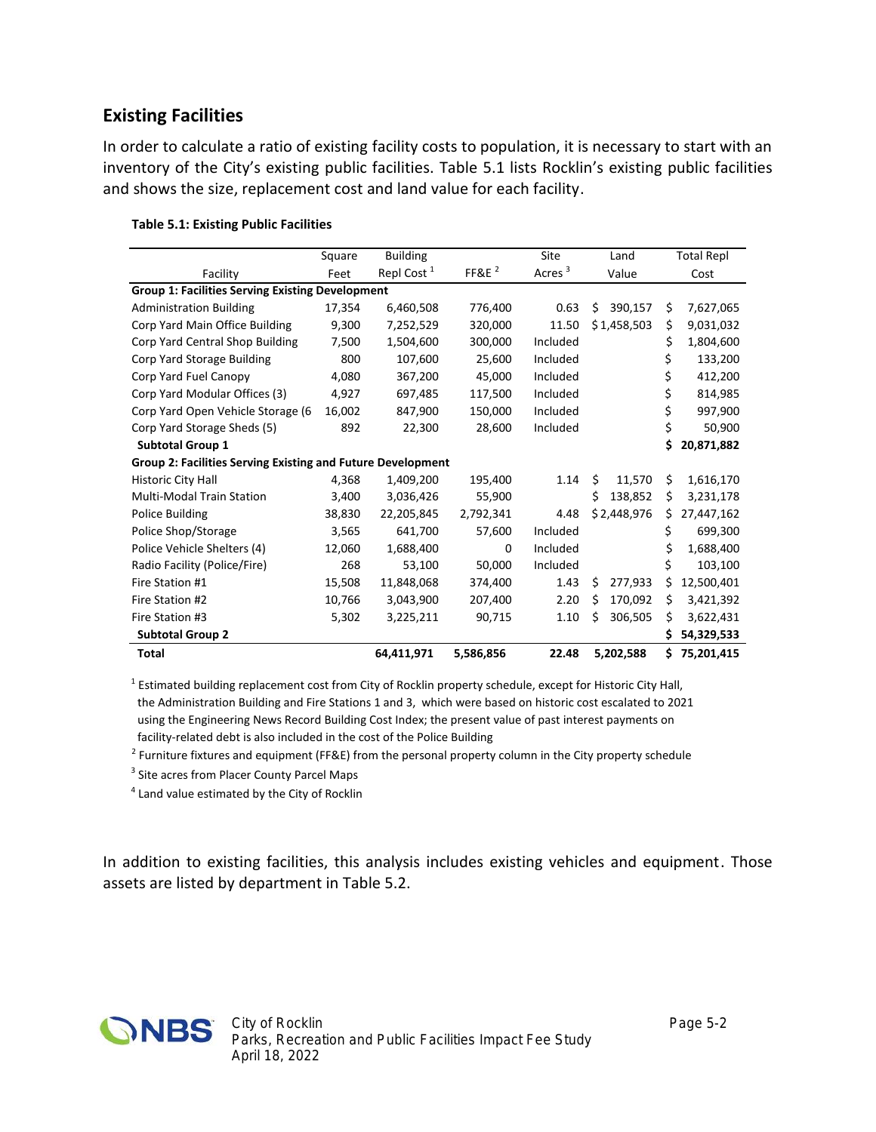#### **Existing Facilities**

In order to calculate a ratio of existing facility costs to population, it is necessary to start with an inventory of the City's existing public facilities. Table 5.1 lists Rocklin's existing public facilities and shows the size, replacement cost and land value for each facility.

|                                                             | Square | <b>Building</b>        |                   | Site               | Land          |     | <b>Total Repl</b> |
|-------------------------------------------------------------|--------|------------------------|-------------------|--------------------|---------------|-----|-------------------|
| Facility                                                    | Feet   | Repl Cost <sup>1</sup> | FF&E <sup>2</sup> | Acres <sup>3</sup> | Value         |     | Cost              |
| <b>Group 1: Facilities Serving Existing Development</b>     |        |                        |                   |                    |               |     |                   |
| <b>Administration Building</b>                              | 17,354 | 6,460,508              | 776,400           | 0.63               | 390,157<br>Ś. | Ś.  | 7,627,065         |
| Corp Yard Main Office Building                              | 9,300  | 7,252,529              | 320,000           | 11.50              | \$1,458,503   | \$  | 9,031,032         |
| Corp Yard Central Shop Building                             | 7,500  | 1,504,600              | 300,000           | Included           |               | \$  | 1,804,600         |
| Corp Yard Storage Building                                  | 800    | 107,600                | 25,600            | Included           |               | \$  | 133,200           |
| Corp Yard Fuel Canopy                                       | 4,080  | 367,200                | 45,000            | Included           |               | \$  | 412,200           |
| Corp Yard Modular Offices (3)                               | 4,927  | 697,485                | 117,500           | Included           |               | \$  | 814,985           |
| Corp Yard Open Vehicle Storage (6                           | 16,002 | 847,900                | 150,000           | Included           |               | \$  | 997,900           |
| Corp Yard Storage Sheds (5)                                 | 892    | 22,300                 | 28,600            | Included           |               | \$  | 50,900            |
| <b>Subtotal Group 1</b>                                     |        |                        |                   |                    |               | Ś.  | 20,871,882        |
| Group 2: Facilities Serving Existing and Future Development |        |                        |                   |                    |               |     |                   |
| <b>Historic City Hall</b>                                   | 4,368  | 1,409,200              | 195,400           | 1.14               | \$<br>11,570  | Ś.  | 1,616,170         |
| <b>Multi-Modal Train Station</b>                            | 3,400  | 3,036,426              | 55,900            |                    | Ś.<br>138,852 | \$  | 3,231,178         |
| <b>Police Building</b>                                      | 38,830 | 22,205,845             | 2,792,341         | 4.48               | \$2,448,976   | Ś.  | 27,447,162        |
| Police Shop/Storage                                         | 3,565  | 641,700                | 57,600            | Included           |               | \$  | 699,300           |
| Police Vehicle Shelters (4)                                 | 12,060 | 1,688,400              | 0                 | Included           |               |     | 1,688,400         |
| Radio Facility (Police/Fire)                                | 268    | 53,100                 | 50,000            | Included           |               | \$  | 103,100           |
| Fire Station #1                                             | 15,508 | 11,848,068             | 374,400           | 1.43               | Ś<br>277,933  | s   | 12,500,401        |
| Fire Station #2                                             | 10,766 | 3,043,900              | 207,400           | 2.20               | Ś<br>170,092  | S   | 3,421,392         |
| Fire Station #3                                             | 5,302  | 3,225,211              | 90,715            | 1.10               | 306,505<br>S  | S   | 3,622,431         |
| <b>Subtotal Group 2</b>                                     |        |                        |                   |                    |               | S   | 54,329,533        |
| <b>Total</b>                                                |        | 64,411,971             | 5,586,856         | 22.48              | 5,202,588     | \$. | 75,201,415        |

#### **Table 5.1: Existing Public Facilities**

<sup>1</sup> Estimated building replacement cost from City of Rocklin property schedule, except for Historic City Hall, the Administration Building and Fire Stations 1 and 3, which were based on historic cost escalated to 2021 using the Engineering News Record Building Cost Index; the present value of past interest payments on

facility-related debt is also included in the cost of the Police Building

2 Furniture fixtures and equipment (FF&E) from the personal property column in the City property schedule

<sup>3</sup> Site acres from Placer County Parcel Maps

<sup>4</sup> Land value estimated by the City of Rocklin

In addition to existing facilities, this analysis includes existing vehicles and equipment. Those assets are listed by department in Table 5.2.

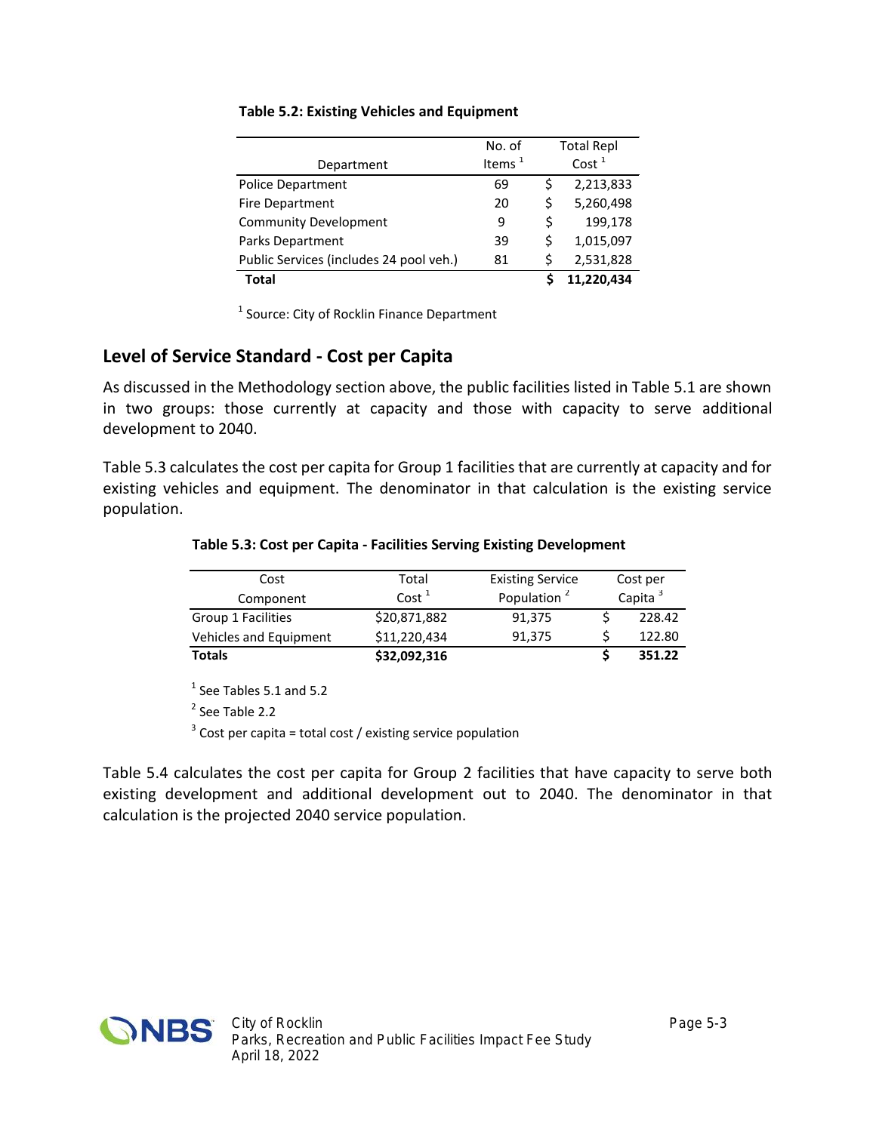| Department                              | No. of<br>Items $1$ |    | <b>Total Repl</b><br>Cost <sup>1</sup> |
|-----------------------------------------|---------------------|----|----------------------------------------|
| <b>Police Department</b>                | 69                  | Ś  | 2,213,833                              |
| <b>Fire Department</b>                  | 20                  | \$ | 5,260,498                              |
| <b>Community Development</b>            | 9                   | \$ | 199,178                                |
| <b>Parks Department</b>                 | 39                  | \$ | 1,015,097                              |
| Public Services (includes 24 pool veh.) | 81                  | \$ | 2,531,828                              |
| Total                                   |                     |    | 11,220,434                             |

#### **Table 5.2: Existing Vehicles and Equipment**

<sup>1</sup> Source: City of Rocklin Finance Department

#### **Level of Service Standard - Cost per Capita**

As discussed in the Methodology section above, the public facilities listed in Table 5.1 are shown in two groups: those currently at capacity and those with capacity to serve additional development to 2040.

Table 5.3 calculates the cost per capita for Group 1 facilities that are currently at capacity and for existing vehicles and equipment. The denominator in that calculation is the existing service population.

| Cost                   | Total             | <b>Existing Service</b> |                     | Cost per |
|------------------------|-------------------|-------------------------|---------------------|----------|
| Component              | Cost <sup>1</sup> | Population <sup>2</sup> | Capita <sup>3</sup> |          |
| Group 1 Facilities     | \$20,871,882      | 91,375                  |                     | 228.42   |
| Vehicles and Equipment | \$11,220,434      | 91,375                  |                     | 122.80   |

**Totals \$32,092,316 \$ 351.22**

#### **Table 5.3: Cost per Capita - Facilities Serving Existing Development**

 $<sup>1</sup>$  See Tables 5.1 and 5.2</sup>

<sup>2</sup> See Table 2.2

 $3$  Cost per capita = total cost / existing service population

Table 5.4 calculates the cost per capita for Group 2 facilities that have capacity to serve both existing development and additional development out to 2040. The denominator in that calculation is the projected 2040 service population.

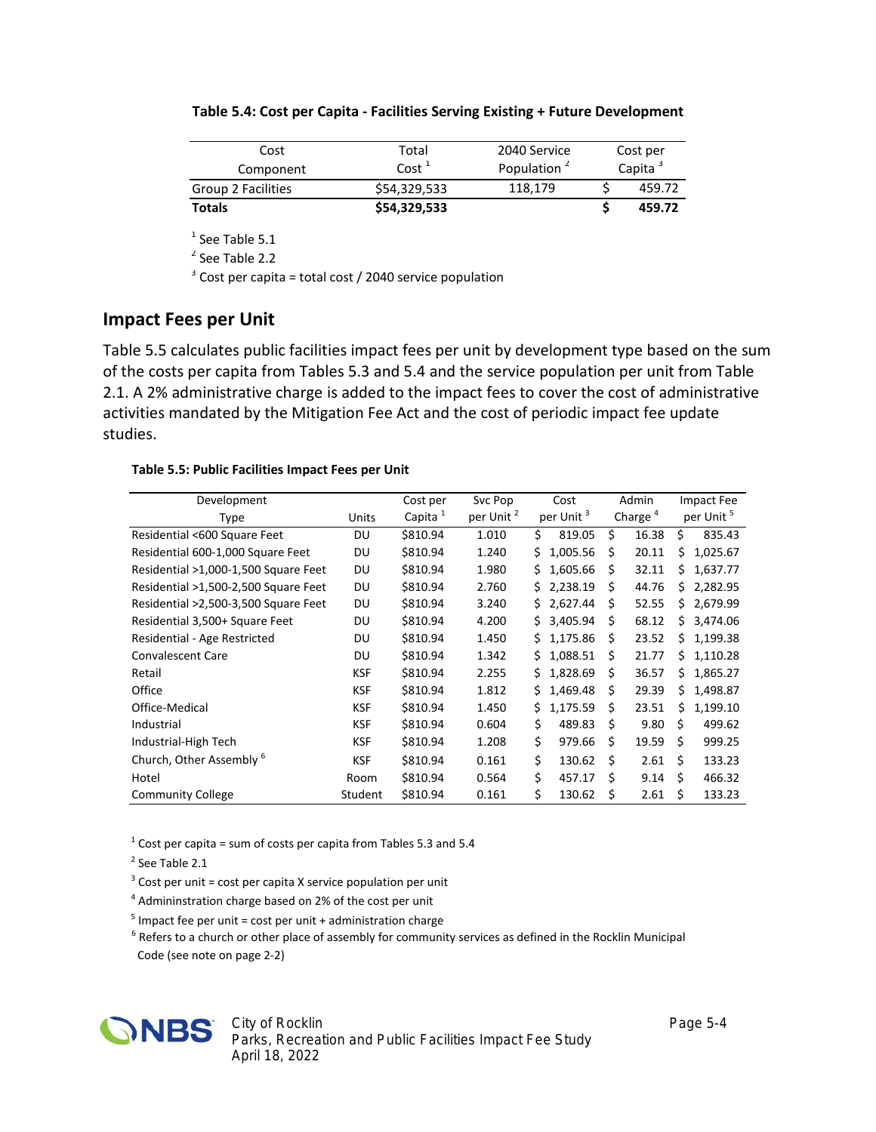| Cost               | Total             | 2040 Service            | Cost per            |        |  |  |
|--------------------|-------------------|-------------------------|---------------------|--------|--|--|
| Component          | Cost <sup>1</sup> | Population <sup>2</sup> | Capita <sup>3</sup> |        |  |  |
| Group 2 Facilities | \$54,329,533      | 118,179                 |                     | 459.72 |  |  |
| <b>Totals</b>      | \$54,329,533      |                         |                     | 459.72 |  |  |

| Table 5.4: Cost per Capita - Facilities Serving Existing + Future Development |
|-------------------------------------------------------------------------------|
|-------------------------------------------------------------------------------|

 $<sup>1</sup>$  See Table 5.1</sup>

<sup>2</sup> See Table 2.2

 $3$  Cost per capita = total cost / 2040 service population

#### **Impact Fees per Unit**

Table 5.5 calculates public facilities impact fees per unit by development type based on the sum of the costs per capita from Tables 5.3 and 5.4 and the service population per unit from Table 2.1. A 2% administrative charge is added to the impact fees to cover the cost of administrative activities mandated by the Mitigation Fee Act and the cost of periodic impact fee update studies.

#### **Table 5.5: Public Facilities Impact Fees per Unit**

| Development                          |            | Cost per            | Svc Pop               |    | Cost                  |   | Admin               |    | Impact Fee            |  |
|--------------------------------------|------------|---------------------|-----------------------|----|-----------------------|---|---------------------|----|-----------------------|--|
| Type                                 | Units      | Capita <sup>1</sup> | per Unit <sup>2</sup> |    | per Unit <sup>3</sup> |   | Charge <sup>4</sup> |    | per Unit <sup>5</sup> |  |
| Residential <600 Square Feet         | DU         | \$810.94            | 1.010                 | Ś. | 819.05                | Ś | 16.38               | Ś. | 835.43                |  |
| Residential 600-1,000 Square Feet    | DU         | \$810.94            | 1.240                 | \$ | 1,005.56              | Ś | 20.11               | Ś. | 1,025.67              |  |
| Residential >1,000-1,500 Square Feet | DU         | \$810.94            | 1.980                 | Ś. | 1,605.66              | Ś | 32.11               | S. | 1,637.77              |  |
| Residential >1,500-2,500 Square Feet | DU         | \$810.94            | 2.760                 |    | \$2,238.19            | Ś | 44.76               | S. | 2,282.95              |  |
| Residential >2,500-3,500 Square Feet | DU         | \$810.94            | 3.240                 | S. | 2,627.44              | Ś | 52.55               | ς  | 2,679.99              |  |
| Residential 3,500+ Square Feet       | DU         | \$810.94            | 4.200                 | Ś. | 3,405.94              | Ś | 68.12               | Š. | 3,474.06              |  |
| Residential - Age Restricted         | DU         | \$810.94            | 1.450                 |    | \$1,175.86            | S | 23.52               | S  | 1,199.38              |  |
| <b>Convalescent Care</b>             | DU         | \$810.94            | 1.342                 |    | \$1,088.51            | Ś | 21.77               | S. | 1,110.28              |  |
| Retail                               | KSF        | \$810.94            | 2.255                 |    | \$1,828.69            | Ś | 36.57               | S. | 1,865.27              |  |
| Office                               | <b>KSF</b> | \$810.94            | 1.812                 |    | \$1,469.48            | Ś | 29.39               | Ś. | 1,498.87              |  |
| Office-Medical                       | <b>KSF</b> | \$810.94            | 1.450                 | Ś. | 1,175.59              | Ś | 23.51               | Ś. | 1,199.10              |  |
| Industrial                           | <b>KSF</b> | \$810.94            | 0.604                 | \$ | 489.83                | Ŝ | 9.80                | Ś  | 499.62                |  |
| Industrial-High Tech                 | KSF        | \$810.94            | 1.208                 | \$ | 979.66                | Ś | 19.59               | Ŝ. | 999.25                |  |
| Church, Other Assembly <sup>6</sup>  | KSF        | \$810.94            | 0.161                 | \$ | 130.62                | Ś | 2.61                | Ŝ. | 133.23                |  |
| Hotel                                | Room       | \$810.94            | 0.564                 | \$ | 457.17                | Ś | 9.14                | Ŝ. | 466.32                |  |
| <b>Community College</b>             | Student    | \$810.94            | 0.161                 | \$ | 130.62                | S | 2.61                | Ś  | 133.23                |  |

 $1$  Cost per capita = sum of costs per capita from Tables 5.3 and 5.4

<sup>2</sup> See Table 2.1

 $3$  Cost per unit = cost per capita X service population per unit

4 Admininstration charge based on 2% of the cost per unit

<sup>5</sup> Impact fee per unit = cost per unit + administration charge

<sup>6</sup> Refers to a church or other place of assembly for community services as defined in the Rocklin Municipal Code (see note on page 2-2)



*City of Rocklin Page 5-4 Parks, Recreation and Public Facilities Impact Fee Study April 18, 2022*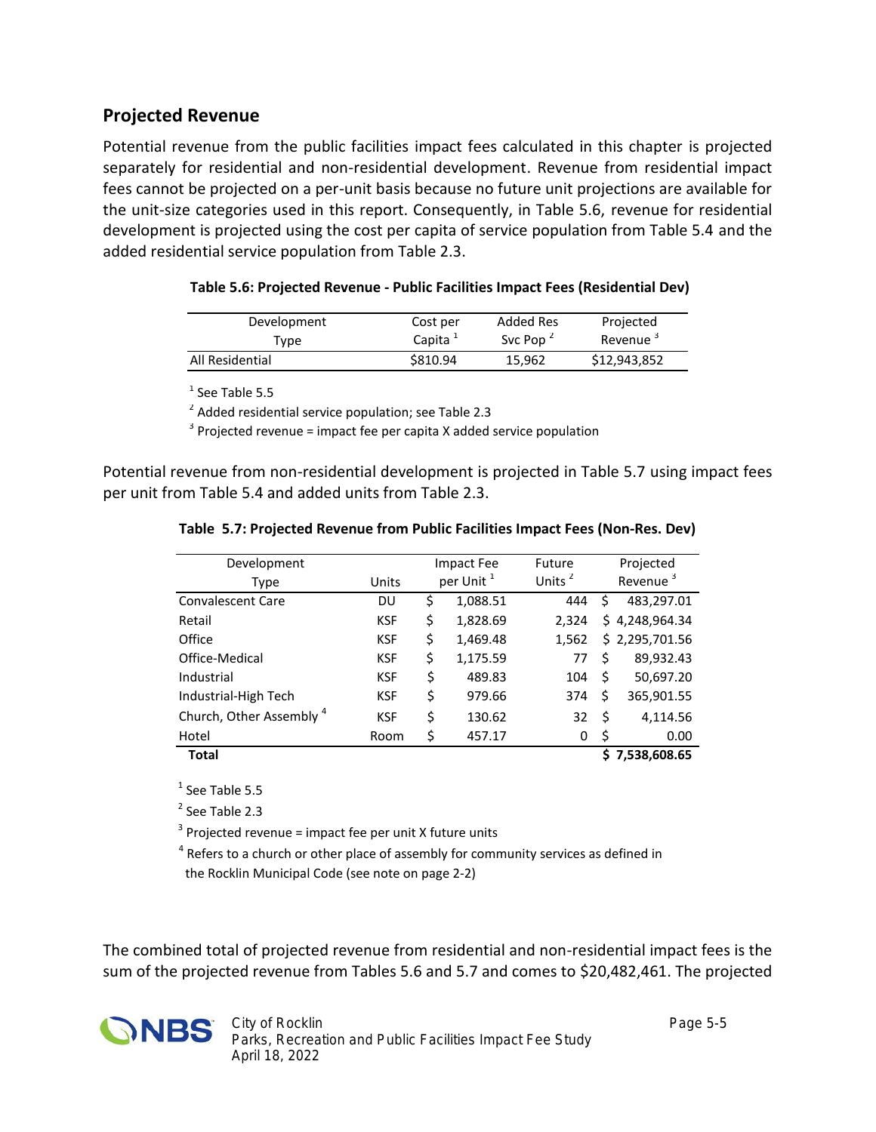#### **Projected Revenue**

Potential revenue from the public facilities impact fees calculated in this chapter is projected separately for residential and non-residential development. Revenue from residential impact fees cannot be projected on a per-unit basis because no future unit projections are available for the unit-size categories used in this report. Consequently, in Table 5.6, revenue for residential development is projected using the cost per capita of service population from Table 5.4 and the added residential service population from Table 2.3.

| Table 5.6: Projected Revenue - Public Facilities Impact Fees (Residential Dev) |  |
|--------------------------------------------------------------------------------|--|
|--------------------------------------------------------------------------------|--|

| Development     | Cost per            | Added Res                         | Projected            |
|-----------------|---------------------|-----------------------------------|----------------------|
| Tvpe            | Capita <sup>+</sup> | Svc Pop <sup><math>2</math></sup> | Revenue <sup>3</sup> |
| All Residential | \$810.94            | 15.962                            | \$12,943,852         |

<sup>1</sup> See Table 5.5

 $2$  Added residential service population; see Table 2.3

 $3$  Projected revenue = impact fee per capita X added service population

Potential revenue from non-residential development is projected in Table 5.7 using impact fees per unit from Table 5.4 and added units from Table 2.3.

| Development              |            |                       | <b>Impact Fee</b> | Future             |                      | Projected      |  |  |
|--------------------------|------------|-----------------------|-------------------|--------------------|----------------------|----------------|--|--|
|                          |            |                       |                   |                    |                      |                |  |  |
| Type                     | Units      | per Unit <sup>1</sup> |                   | Units <sup>2</sup> | Revenue <sup>3</sup> |                |  |  |
| <b>Convalescent Care</b> | DU         | \$                    | 1,088.51          | 444                | \$                   | 483,297.01     |  |  |
| Retail                   | <b>KSF</b> | \$                    | 1,828.69          | 2.324              |                      | \$4,248,964.34 |  |  |
| Office                   | <b>KSF</b> | \$                    | 1,469.48          | 1,562              |                      | \$2,295,701.56 |  |  |
| Office-Medical           | <b>KSF</b> | \$                    | 1,175.59          | 77                 | Ś                    | 89,932.43      |  |  |
| Industrial               | <b>KSF</b> | \$                    | 489.83            | 104                | \$                   | 50,697.20      |  |  |
| Industrial-High Tech     | <b>KSF</b> | \$                    | 979.66            | 374                | \$                   | 365,901.55     |  |  |
| Church, Other Assembly 4 | <b>KSF</b> | \$                    | 130.62            | 32                 | \$                   | 4,114.56       |  |  |
| Hotel                    | Room       | \$                    | 457.17            | 0                  | \$                   | 0.00           |  |  |
| <b>Total</b>             |            |                       |                   |                    |                      | \$7,538,608.65 |  |  |

**Table 5.7: Projected Revenue from Public Facilities Impact Fees (Non-Res. Dev)**

 $<sup>1</sup>$  See Table 5.5</sup>

<sup>2</sup> See Table 2.3

 $3$  Projected revenue = impact fee per unit X future units

<sup>4</sup> Refers to a church or other place of assembly for community services as defined in the Rocklin Municipal Code (see note on page 2-2)

The combined total of projected revenue from residential and non-residential impact fees is the sum of the projected revenue from Tables 5.6 and 5.7 and comes to \$20,482,461. The projected

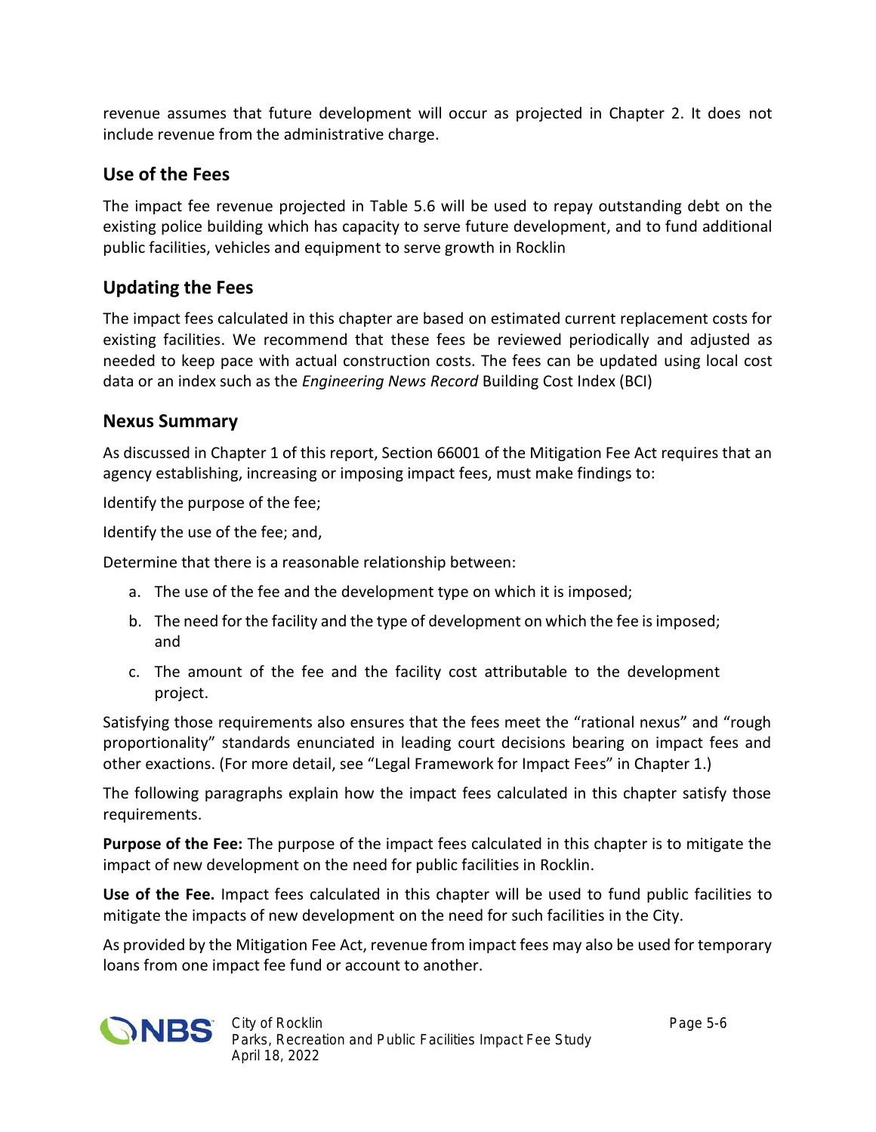revenue assumes that future development will occur as projected in Chapter 2. It does not include revenue from the administrative charge.

### **Use of the Fees**

The impact fee revenue projected in Table 5.6 will be used to repay outstanding debt on the existing police building which has capacity to serve future development, and to fund additional public facilities, vehicles and equipment to serve growth in Rocklin

## **Updating the Fees**

The impact fees calculated in this chapter are based on estimated current replacement costs for existing facilities. We recommend that these fees be reviewed periodically and adjusted as needed to keep pace with actual construction costs. The fees can be updated using local cost data or an index such as the *Engineering News Record* Building Cost Index (BCI)

#### **Nexus Summary**

As discussed in Chapter 1 of this report, Section 66001 of the Mitigation Fee Act requires that an agency establishing, increasing or imposing impact fees, must make findings to:

Identify the purpose of the fee;

Identify the use of the fee; and,

Determine that there is a reasonable relationship between:

- a. The use of the fee and the development type on which it is imposed;
- b. The need for the facility and the type of development on which the fee is imposed; and
- c. The amount of the fee and the facility cost attributable to the development project.

Satisfying those requirements also ensures that the fees meet the "rational nexus" and "rough proportionality" standards enunciated in leading court decisions bearing on impact fees and other exactions. (For more detail, see "Legal Framework for Impact Fees" in Chapter 1.)

The following paragraphs explain how the impact fees calculated in this chapter satisfy those requirements.

**Purpose of the Fee:** The purpose of the impact fees calculated in this chapter is to mitigate the impact of new development on the need for public facilities in Rocklin.

**Use of the Fee.** Impact fees calculated in this chapter will be used to fund public facilities to mitigate the impacts of new development on the need for such facilities in the City.

As provided by the Mitigation Fee Act, revenue from impact fees may also be used for temporary loans from one impact fee fund or account to another.

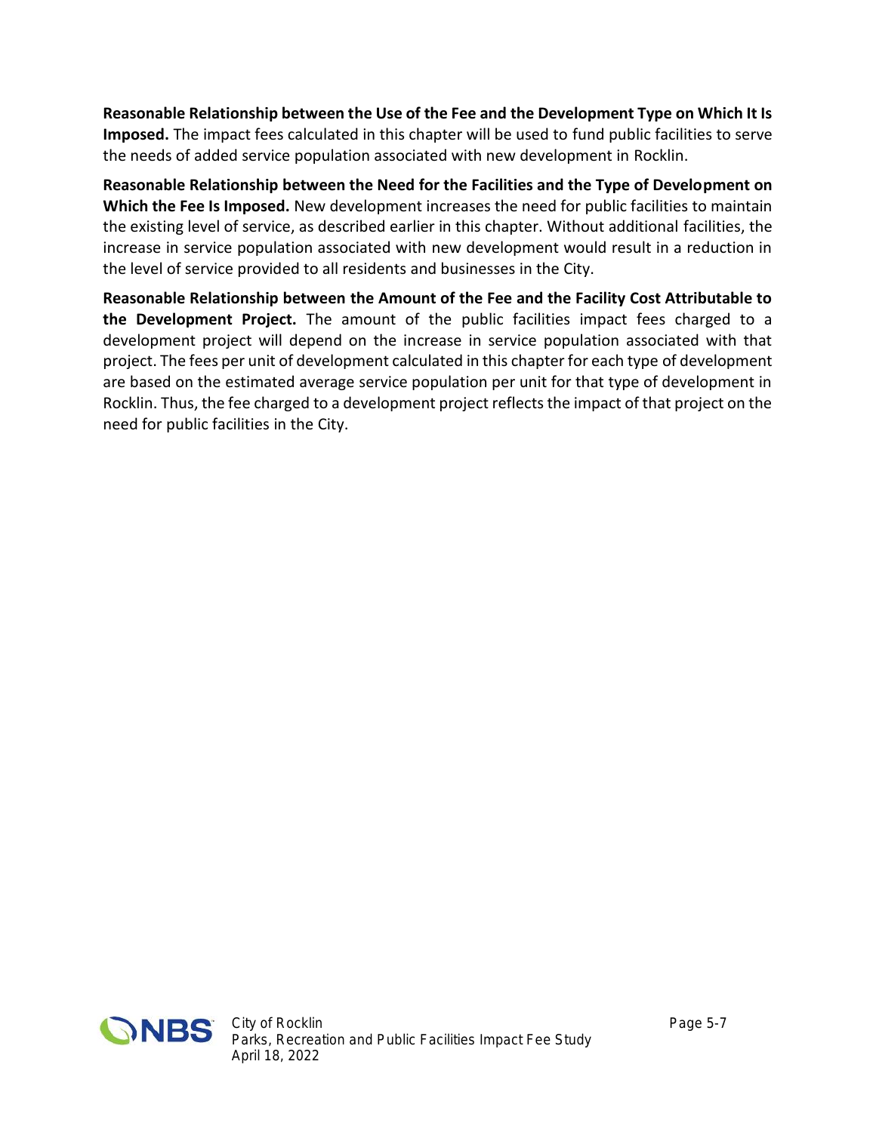**Reasonable Relationship between the Use of the Fee and the Development Type on Which It Is Imposed.** The impact fees calculated in this chapter will be used to fund public facilities to serve the needs of added service population associated with new development in Rocklin.

**Reasonable Relationship between the Need for the Facilities and the Type of Development on Which the Fee Is Imposed.** New development increases the need for public facilities to maintain the existing level of service, as described earlier in this chapter. Without additional facilities, the increase in service population associated with new development would result in a reduction in the level of service provided to all residents and businesses in the City.

**Reasonable Relationship between the Amount of the Fee and the Facility Cost Attributable to the Development Project.** The amount of the public facilities impact fees charged to a development project will depend on the increase in service population associated with that project. The fees per unit of development calculated in this chapter for each type of development are based on the estimated average service population per unit for that type of development in Rocklin. Thus, the fee charged to a development project reflects the impact of that project on the need for public facilities in the City.

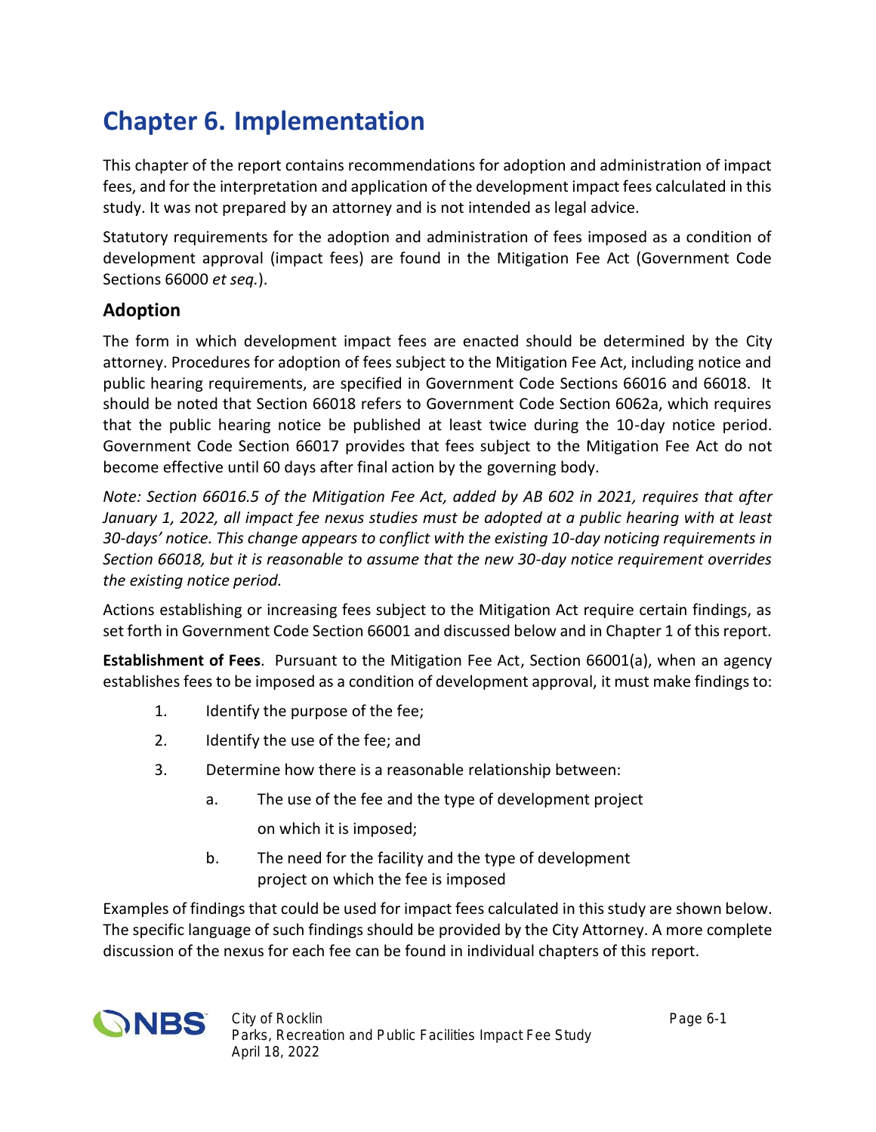# **Chapter 6. Implementation**

This chapter of the report contains recommendations for adoption and administration of impact fees, and for the interpretation and application of the development impact fees calculated in this study. It was not prepared by an attorney and is not intended as legal advice.

Statutory requirements for the adoption and administration of fees imposed as a condition of development approval (impact fees) are found in the Mitigation Fee Act (Government Code Sections 66000 *et seq.*).

### **Adoption**

The form in which development impact fees are enacted should be determined by the City attorney. Procedures for adoption of fees subject to the Mitigation Fee Act, including notice and public hearing requirements, are specified in Government Code Sections 66016 and 66018. It should be noted that Section 66018 refers to Government Code Section 6062a, which requires that the public hearing notice be published at least twice during the 10-day notice period. Government Code Section 66017 provides that fees subject to the Mitigation Fee Act do not become effective until 60 days after final action by the governing body.

*Note: Section 66016.5 of the Mitigation Fee Act, added by AB 602 in 2021, requires that after January 1, 2022, all impact fee nexus studies must be adopted at a public hearing with at least 30-days' notice. This change appears to conflict with the existing 10-day noticing requirements in Section 66018, but it is reasonable to assume that the new 30-day notice requirement overrides the existing notice period.*

Actions establishing or increasing fees subject to the Mitigation Act require certain findings, as set forth in Government Code Section 66001 and discussed below and in Chapter 1 of this report.

**Establishment of Fees**. Pursuant to the Mitigation Fee Act, Section 66001(a), when an agency establishes fees to be imposed as a condition of development approval, it must make findings to:

- 1. Identify the purpose of the fee;
- 2. Identify the use of the fee; and
- 3. Determine how there is a reasonable relationship between:
	- a. The use of the fee and the type of development project on which it is imposed;
	- b. The need for the facility and the type of development project on which the fee is imposed

Examples of findings that could be used for impact fees calculated in this study are shown below. The specific language of such findings should be provided by the City Attorney. A more complete discussion of the nexus for each fee can be found in individual chapters of this report.

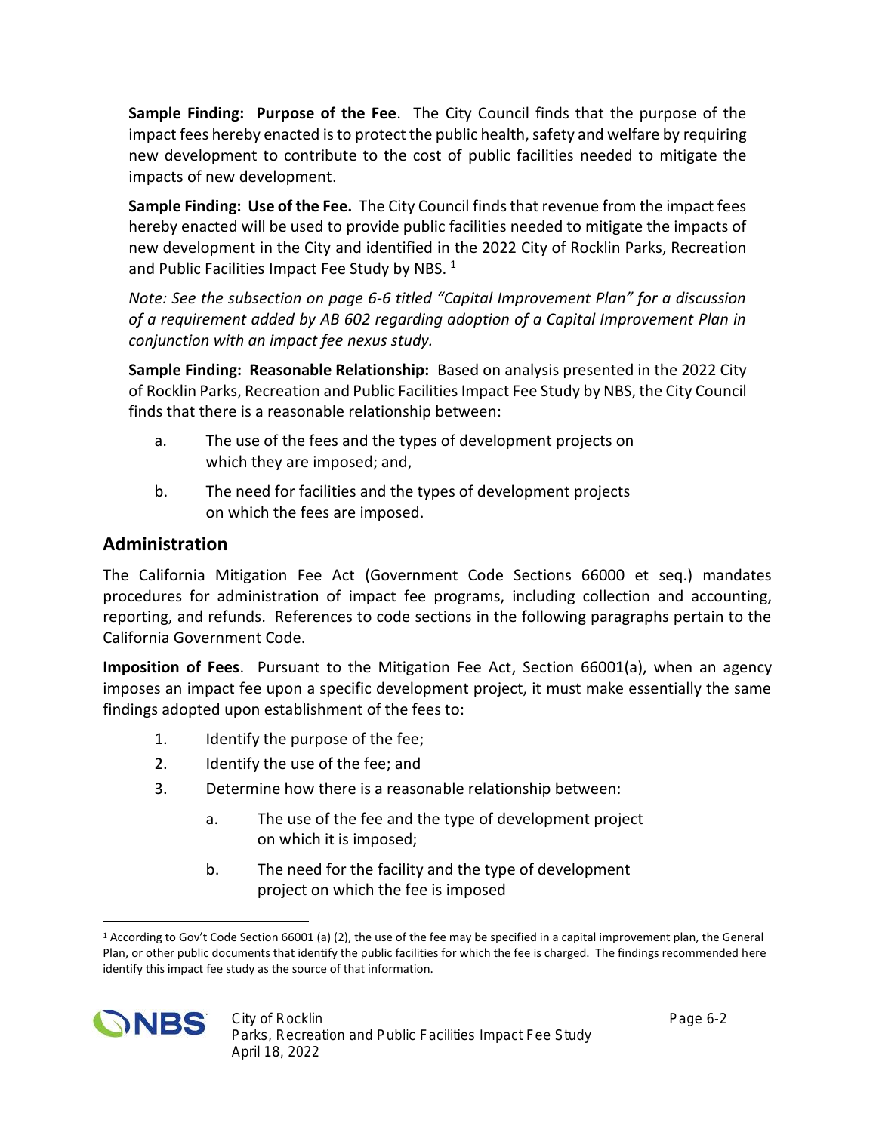**Sample Finding: Purpose of the Fee**. The City Council finds that the purpose of the impact fees hereby enacted is to protect the public health, safety and welfare by requiring new development to contribute to the cost of public facilities needed to mitigate the impacts of new development.

**Sample Finding: Use of the Fee.** The City Council finds that revenue from the impact fees hereby enacted will be used to provide public facilities needed to mitigate the impacts of new development in the City and identified in the 2022 City of Rocklin Parks, Recreation and Public Facilities Impact Fee Study by NBS.  $1$ 

*Note: See the subsection on page 6-6 titled "Capital Improvement Plan" for a discussion of a requirement added by AB 602 regarding adoption of a Capital Improvement Plan in conjunction with an impact fee nexus study.*

**Sample Finding: Reasonable Relationship:** Based on analysis presented in the 2022 City of Rocklin Parks, Recreation and Public Facilities Impact Fee Study by NBS, the City Council finds that there is a reasonable relationship between:

- a. The use of the fees and the types of development projects on which they are imposed; and,
- b. The need for facilities and the types of development projects on which the fees are imposed.

### **Administration**

The California Mitigation Fee Act (Government Code Sections 66000 et seq.) mandates procedures for administration of impact fee programs, including collection and accounting, reporting, and refunds. References to code sections in the following paragraphs pertain to the California Government Code.

**Imposition of Fees**. Pursuant to the Mitigation Fee Act, Section 66001(a), when an agency imposes an impact fee upon a specific development project, it must make essentially the same findings adopted upon establishment of the fees to:

- 1. Identify the purpose of the fee;
- 2. Identify the use of the fee; and
- 3. Determine how there is a reasonable relationship between:
	- a. The use of the fee and the type of development project on which it is imposed;
	- b. The need for the facility and the type of development project on which the fee is imposed

<sup>1</sup> According to Gov't Code Section 66001 (a) (2), the use of the fee may be specified in a capital improvement plan, the General Plan, or other public documents that identify the public facilities for which the fee is charged. The findings recommended here identify this impact fee study as the source of that information.

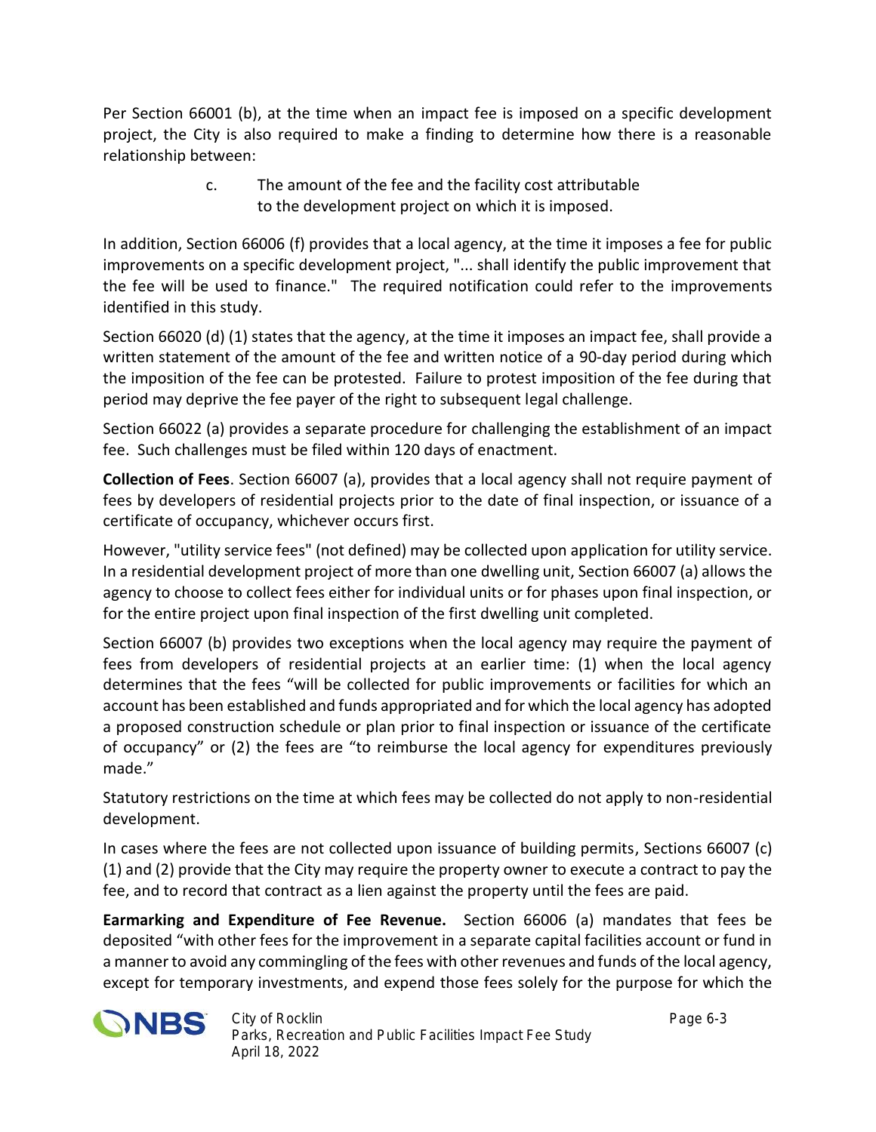Per Section 66001 (b), at the time when an impact fee is imposed on a specific development project, the City is also required to make a finding to determine how there is a reasonable relationship between:

> c. The amount of the fee and the facility cost attributable to the development project on which it is imposed.

In addition, Section 66006 (f) provides that a local agency, at the time it imposes a fee for public improvements on a specific development project, "... shall identify the public improvement that the fee will be used to finance." The required notification could refer to the improvements identified in this study.

Section 66020 (d) (1) states that the agency, at the time it imposes an impact fee, shall provide a written statement of the amount of the fee and written notice of a 90-day period during which the imposition of the fee can be protested. Failure to protest imposition of the fee during that period may deprive the fee payer of the right to subsequent legal challenge.

Section 66022 (a) provides a separate procedure for challenging the establishment of an impact fee. Such challenges must be filed within 120 days of enactment.

**Collection of Fees**. Section 66007 (a), provides that a local agency shall not require payment of fees by developers of residential projects prior to the date of final inspection, or issuance of a certificate of occupancy, whichever occurs first.

However, "utility service fees" (not defined) may be collected upon application for utility service. In a residential development project of more than one dwelling unit, Section 66007 (a) allows the agency to choose to collect fees either for individual units or for phases upon final inspection, or for the entire project upon final inspection of the first dwelling unit completed.

Section 66007 (b) provides two exceptions when the local agency may require the payment of fees from developers of residential projects at an earlier time: (1) when the local agency determines that the fees "will be collected for public improvements or facilities for which an account has been established and funds appropriated and for which the local agency has adopted a proposed construction schedule or plan prior to final inspection or issuance of the certificate of occupancy" or (2) the fees are "to reimburse the local agency for expenditures previously made."

Statutory restrictions on the time at which fees may be collected do not apply to non-residential development.

In cases where the fees are not collected upon issuance of building permits, Sections 66007 (c) (1) and (2) provide that the City may require the property owner to execute a contract to pay the fee, and to record that contract as a lien against the property until the fees are paid.

**Earmarking and Expenditure of Fee Revenue.** Section 66006 (a) mandates that fees be deposited "with other fees for the improvement in a separate capital facilities account or fund in a manner to avoid any commingling of the fees with other revenues and funds of the local agency, except for temporary investments, and expend those fees solely for the purpose for which the

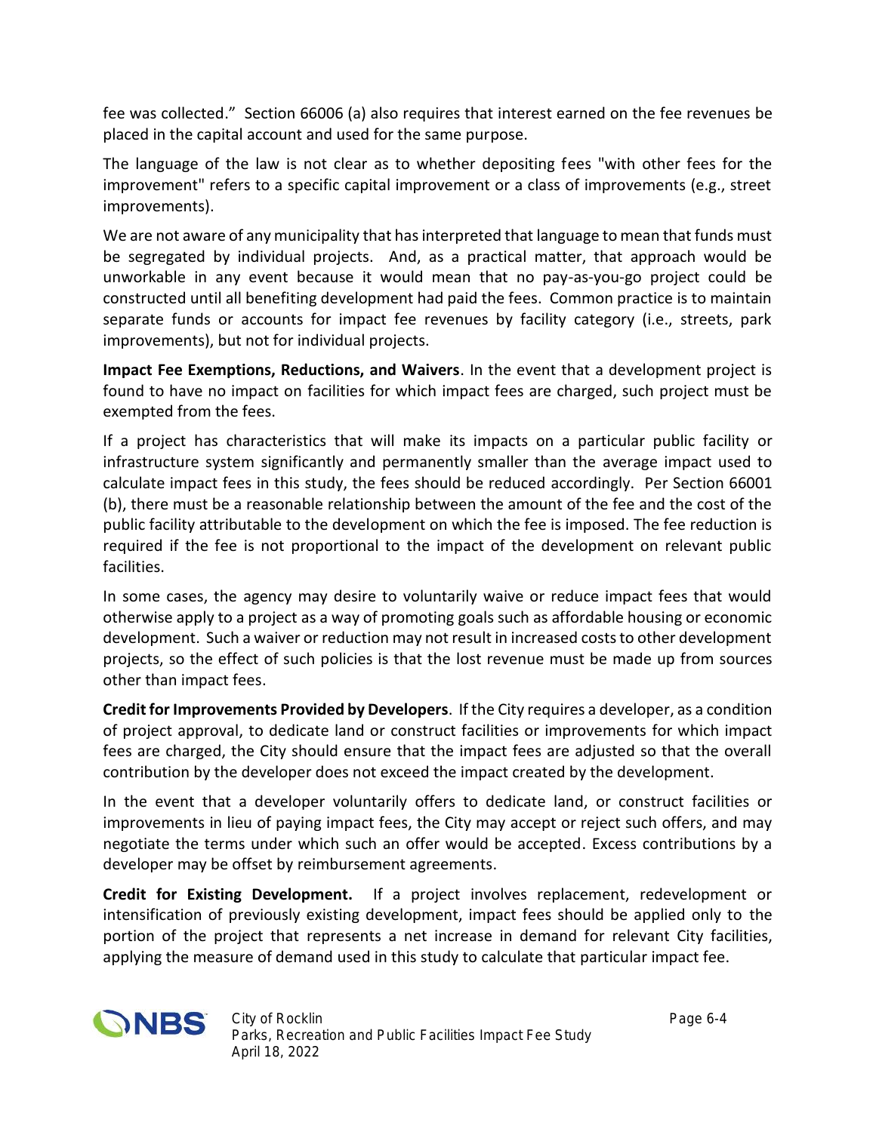fee was collected." Section 66006 (a) also requires that interest earned on the fee revenues be placed in the capital account and used for the same purpose.

The language of the law is not clear as to whether depositing fees "with other fees for the improvement" refers to a specific capital improvement or a class of improvements (e.g., street improvements).

We are not aware of any municipality that has interpreted that language to mean that funds must be segregated by individual projects. And, as a practical matter, that approach would be unworkable in any event because it would mean that no pay-as-you-go project could be constructed until all benefiting development had paid the fees. Common practice is to maintain separate funds or accounts for impact fee revenues by facility category (i.e., streets, park improvements), but not for individual projects.

**Impact Fee Exemptions, Reductions, and Waivers**. In the event that a development project is found to have no impact on facilities for which impact fees are charged, such project must be exempted from the fees.

If a project has characteristics that will make its impacts on a particular public facility or infrastructure system significantly and permanently smaller than the average impact used to calculate impact fees in this study, the fees should be reduced accordingly. Per Section 66001 (b), there must be a reasonable relationship between the amount of the fee and the cost of the public facility attributable to the development on which the fee is imposed. The fee reduction is required if the fee is not proportional to the impact of the development on relevant public facilities.

In some cases, the agency may desire to voluntarily waive or reduce impact fees that would otherwise apply to a project as a way of promoting goals such as affordable housing or economic development. Such a waiver or reduction may not result in increased costs to other development projects, so the effect of such policies is that the lost revenue must be made up from sources other than impact fees.

**Credit for Improvements Provided by Developers**. If the City requires a developer, as a condition of project approval, to dedicate land or construct facilities or improvements for which impact fees are charged, the City should ensure that the impact fees are adjusted so that the overall contribution by the developer does not exceed the impact created by the development.

In the event that a developer voluntarily offers to dedicate land, or construct facilities or improvements in lieu of paying impact fees, the City may accept or reject such offers, and may negotiate the terms under which such an offer would be accepted. Excess contributions by a developer may be offset by reimbursement agreements.

**Credit for Existing Development.** If a project involves replacement, redevelopment or intensification of previously existing development, impact fees should be applied only to the portion of the project that represents a net increase in demand for relevant City facilities, applying the measure of demand used in this study to calculate that particular impact fee.

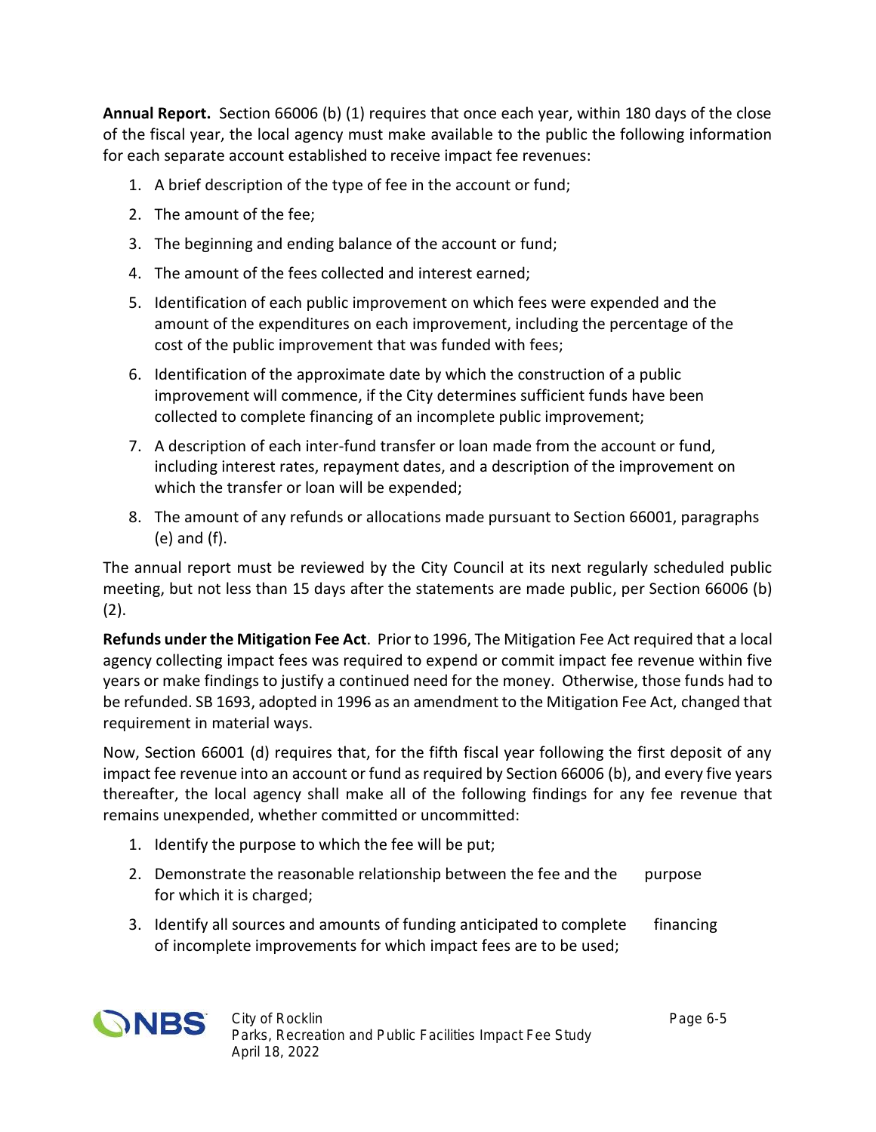**Annual Report.** Section 66006 (b) (1) requires that once each year, within 180 days of the close of the fiscal year, the local agency must make available to the public the following information for each separate account established to receive impact fee revenues:

- 1. A brief description of the type of fee in the account or fund;
- 2. The amount of the fee;
- 3. The beginning and ending balance of the account or fund;
- 4. The amount of the fees collected and interest earned;
- 5. Identification of each public improvement on which fees were expended and the amount of the expenditures on each improvement, including the percentage of the cost of the public improvement that was funded with fees;
- 6. Identification of the approximate date by which the construction of a public improvement will commence, if the City determines sufficient funds have been collected to complete financing of an incomplete public improvement;
- 7. A description of each inter-fund transfer or loan made from the account or fund, including interest rates, repayment dates, and a description of the improvement on which the transfer or loan will be expended;
- 8. The amount of any refunds or allocations made pursuant to Section 66001, paragraphs (e) and (f).

The annual report must be reviewed by the City Council at its next regularly scheduled public meeting, but not less than 15 days after the statements are made public, per Section 66006 (b)  $(2).$ 

**Refunds under the Mitigation Fee Act**. Prior to 1996, The Mitigation Fee Act required that a local agency collecting impact fees was required to expend or commit impact fee revenue within five years or make findings to justify a continued need for the money. Otherwise, those funds had to be refunded. SB 1693, adopted in 1996 as an amendment to the Mitigation Fee Act, changed that requirement in material ways.

Now, Section 66001 (d) requires that, for the fifth fiscal year following the first deposit of any impact fee revenue into an account or fund as required by Section 66006 (b), and every five years thereafter, the local agency shall make all of the following findings for any fee revenue that remains unexpended, whether committed or uncommitted:

- 1. Identify the purpose to which the fee will be put;
- 2. Demonstrate the reasonable relationship between the fee and the purpose for which it is charged;
- 3. Identify all sources and amounts of funding anticipated to complete financing of incomplete improvements for which impact fees are to be used;

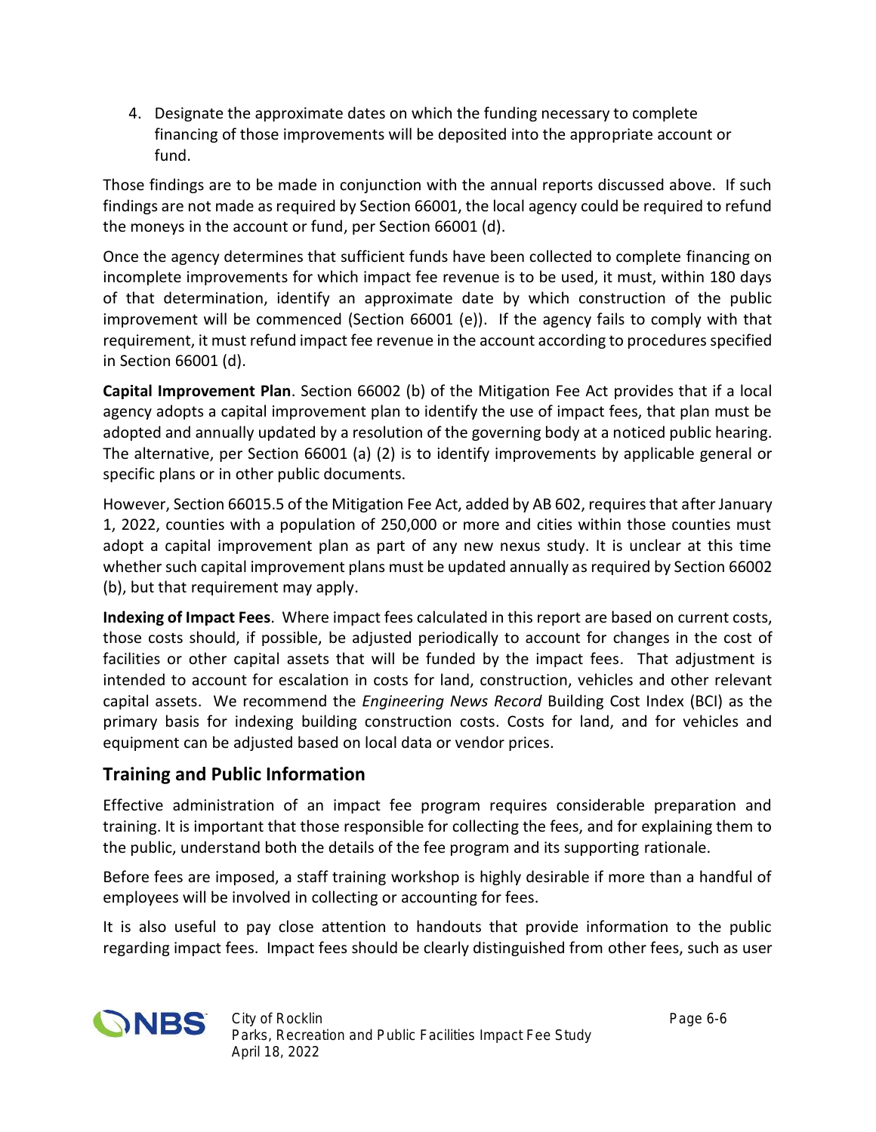4. Designate the approximate dates on which the funding necessary to complete financing of those improvements will be deposited into the appropriate account or fund.

Those findings are to be made in conjunction with the annual reports discussed above. If such findings are not made as required by Section 66001, the local agency could be required to refund the moneys in the account or fund, per Section 66001 (d).

Once the agency determines that sufficient funds have been collected to complete financing on incomplete improvements for which impact fee revenue is to be used, it must, within 180 days of that determination, identify an approximate date by which construction of the public improvement will be commenced (Section 66001 (e)). If the agency fails to comply with that requirement, it must refund impact fee revenue in the account according to procedures specified in Section 66001 (d).

**Capital Improvement Plan**. Section 66002 (b) of the Mitigation Fee Act provides that if a local agency adopts a capital improvement plan to identify the use of impact fees, that plan must be adopted and annually updated by a resolution of the governing body at a noticed public hearing. The alternative, per Section 66001 (a) (2) is to identify improvements by applicable general or specific plans or in other public documents.

However, Section 66015.5 of the Mitigation Fee Act, added by AB 602, requires that after January 1, 2022, counties with a population of 250,000 or more and cities within those counties must adopt a capital improvement plan as part of any new nexus study. It is unclear at this time whether such capital improvement plans must be updated annually as required by Section 66002 (b), but that requirement may apply.

**Indexing of Impact Fees**. Where impact fees calculated in this report are based on current costs, those costs should, if possible, be adjusted periodically to account for changes in the cost of facilities or other capital assets that will be funded by the impact fees. That adjustment is intended to account for escalation in costs for land, construction, vehicles and other relevant capital assets. We recommend the *Engineering News Record* Building Cost Index (BCI) as the primary basis for indexing building construction costs. Costs for land, and for vehicles and equipment can be adjusted based on local data or vendor prices.

### **Training and Public Information**

Effective administration of an impact fee program requires considerable preparation and training. It is important that those responsible for collecting the fees, and for explaining them to the public, understand both the details of the fee program and its supporting rationale.

Before fees are imposed, a staff training workshop is highly desirable if more than a handful of employees will be involved in collecting or accounting for fees.

It is also useful to pay close attention to handouts that provide information to the public regarding impact fees. Impact fees should be clearly distinguished from other fees, such as user

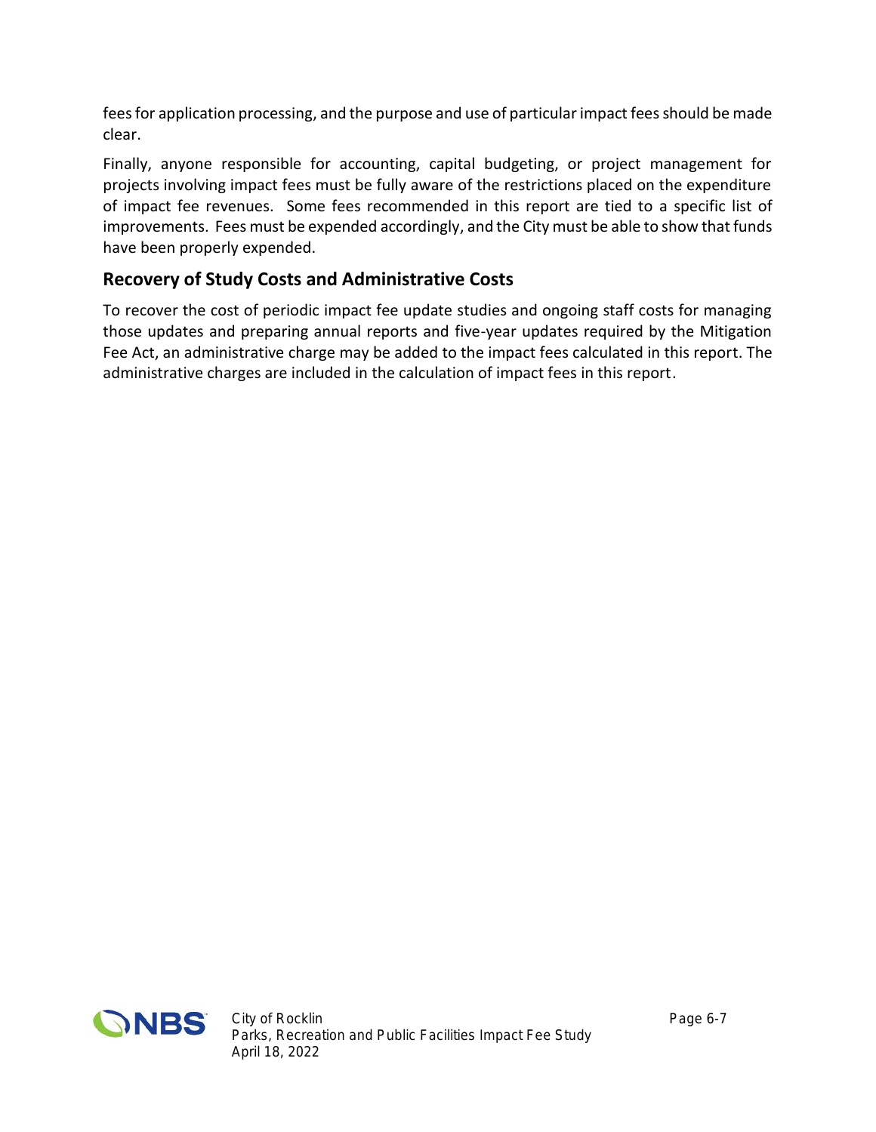feesfor application processing, and the purpose and use of particular impact fees should be made clear.

Finally, anyone responsible for accounting, capital budgeting, or project management for projects involving impact fees must be fully aware of the restrictions placed on the expenditure of impact fee revenues. Some fees recommended in this report are tied to a specific list of improvements. Fees must be expended accordingly, and the City must be able to show that funds have been properly expended.

### **Recovery of Study Costs and Administrative Costs**

To recover the cost of periodic impact fee update studies and ongoing staff costs for managing those updates and preparing annual reports and five-year updates required by the Mitigation Fee Act, an administrative charge may be added to the impact fees calculated in this report. The administrative charges are included in the calculation of impact fees in this report.

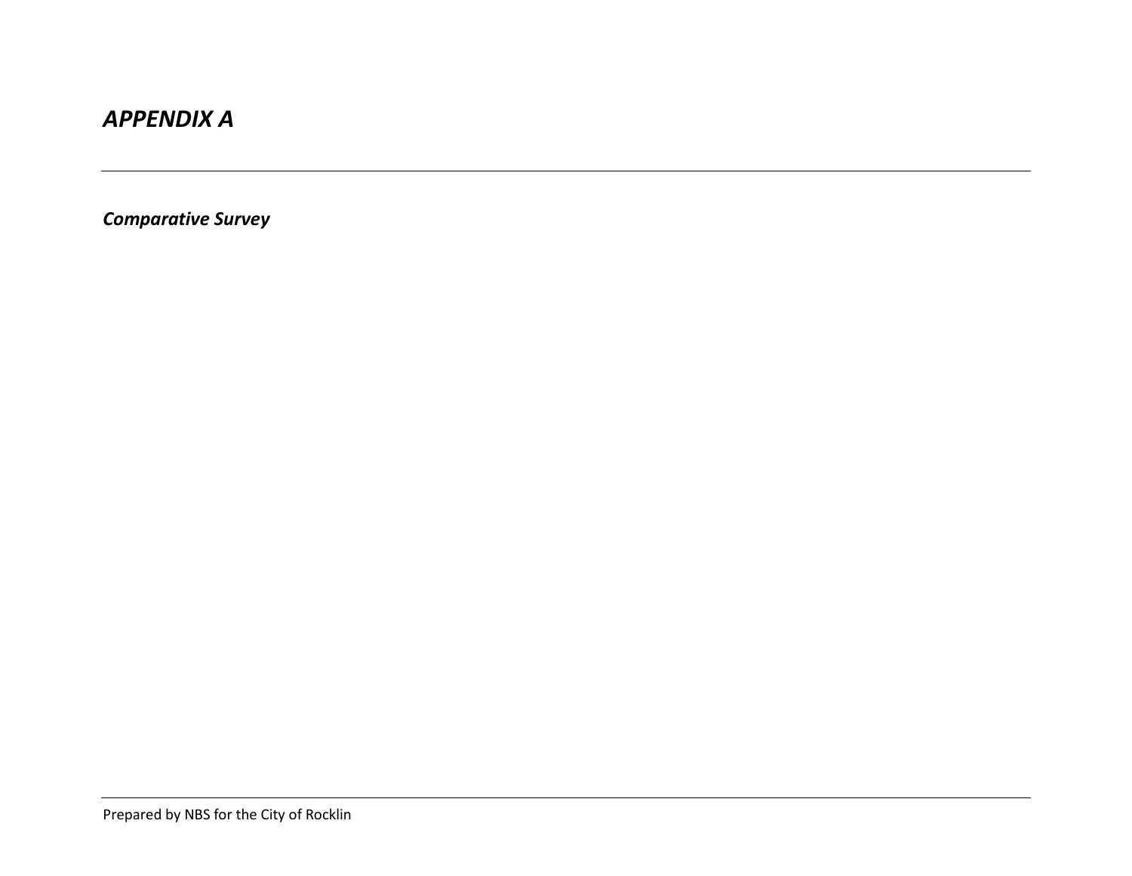## *APPENDIX A*

*Comparative Survey*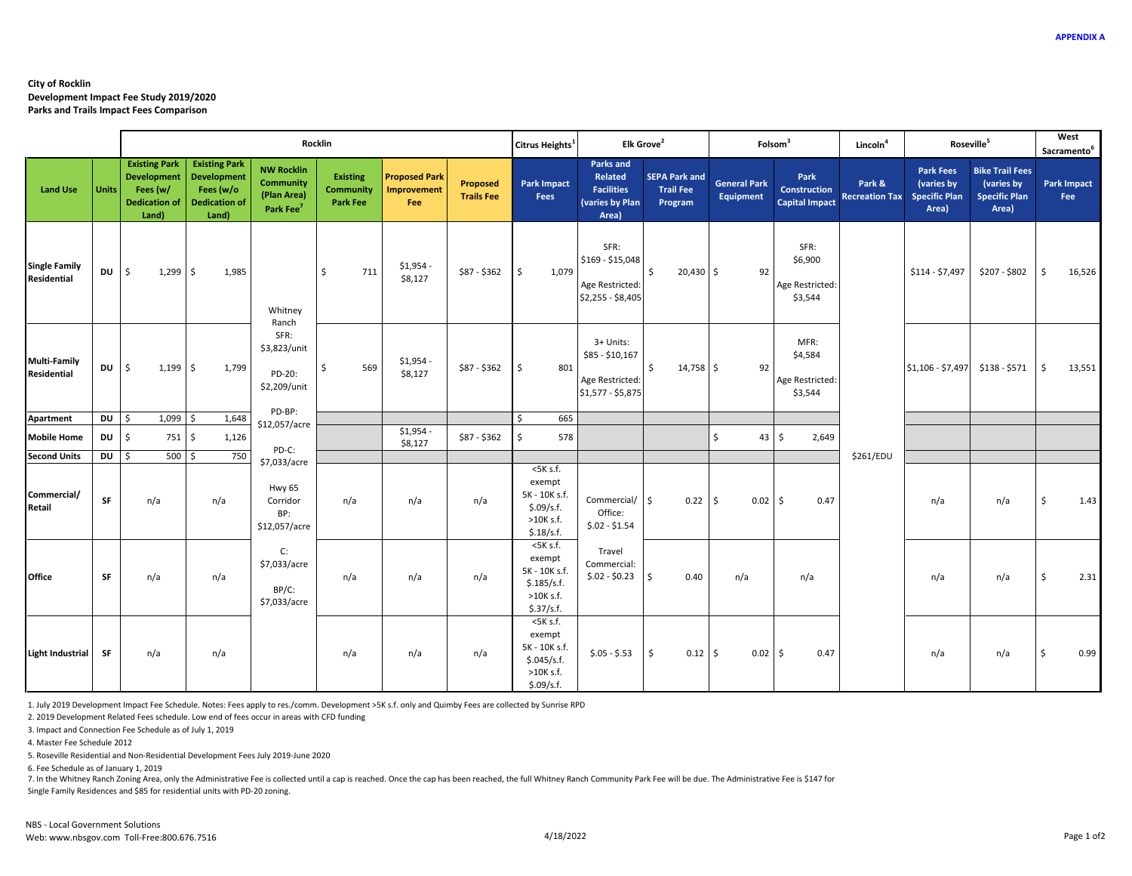#### **City of Rocklin Development Impact Fee Study 2019/2020 Parks and Trails Impact Fees Comparison**

|                                            |              | Rocklin                                                                                 |                                                                                          |                                                                               |                                                        |                                                   |                               | Citrus Heights <sup>1</sup>                                                           | Elk Grove <sup>2</sup>                                                       |                                                     |                                  | Folsom <sup>3</sup>                           | Lincoln <sup>4</sup>            |                                                                 | Roseville <sup>5</sup>                                                |                           | West<br>Sacramento <sup>6</sup> |
|--------------------------------------------|--------------|-----------------------------------------------------------------------------------------|------------------------------------------------------------------------------------------|-------------------------------------------------------------------------------|--------------------------------------------------------|---------------------------------------------------|-------------------------------|---------------------------------------------------------------------------------------|------------------------------------------------------------------------------|-----------------------------------------------------|----------------------------------|-----------------------------------------------|---------------------------------|-----------------------------------------------------------------|-----------------------------------------------------------------------|---------------------------|---------------------------------|
| <b>Land Use</b>                            | <b>Units</b> | <b>Existing Park</b><br><b>Development</b><br>Fees (w/<br><b>Dedication of</b><br>Land) | <b>Existing Park</b><br><b>Development</b><br>Fees (w/o<br><b>Dedication of</b><br>Land) | <b>NW Rocklin</b><br><b>Community</b><br>(Plan Area)<br>Park Fee <sup>7</sup> | <b>Existing</b><br><b>Community</b><br><b>Park Fee</b> | <b>Proposed Park</b><br><b>Improvement</b><br>Fee | Proposed<br><b>Trails Fee</b> | <b>Park Impact</b><br>Fees                                                            | <b>Parks and</b><br>Related<br><b>Facilities</b><br>(varies by Plan<br>Area) | <b>SEPA Park and</b><br><b>Trail Fee</b><br>Program | <b>General Park</b><br>Equipment | Park<br>Construction<br><b>Capital Impact</b> | Park &<br><b>Recreation Tax</b> | <b>Park Fees</b><br>(varies by<br><b>Specific Plan</b><br>Area) | <b>Bike Trail Fees</b><br>(varies by<br><b>Specific Plan</b><br>Area) | <b>Park Impact</b><br>Fee |                                 |
| <b>Single Family</b><br><b>Residential</b> | DU           | Ś<br>1,299                                                                              | Ŝ.<br>1,985                                                                              | Whitney                                                                       | Ŝ.<br>711                                              | \$1,954<br>\$8,127                                | \$87 - \$362                  | I\$<br>1,079                                                                          | SFR:<br>\$169 - \$15,048<br>Age Restricted:<br>\$2,255 - \$8,405             | $\mathsf{S}$<br>$20,430$ \$                         | 92                               | SFR:<br>\$6,900<br>Age Restricted:<br>\$3,544 |                                 | \$114 - \$7,497                                                 | \$207 - \$802                                                         | <b>S</b>                  | 16,526                          |
| <b>Multi-Family</b><br>Residential         | DU           | Ś<br>1,199                                                                              | \$<br>1,799                                                                              | Ranch<br>SFR:<br>\$3,823/unit<br>PD-20:<br>\$2,209/unit                       | 569<br>-\$                                             | $$1,954 -$<br>\$8,127                             | \$87 - \$362                  | l s<br>801                                                                            | 3+ Units:<br>\$85 - \$10,167<br>Age Restricted:<br>\$1,577 - \$5,875         | $\mathsf{S}$<br>$14,758$ \$                         | 92                               | MFR:<br>\$4,584<br>Age Restricted:<br>\$3,544 |                                 | $$1,106 - $7,497$                                               | \$138 - \$571                                                         | $\frac{1}{2}$             | 13,551                          |
| Apartment                                  | DU           | $1,099$ \$<br>Ŝ.                                                                        | 1,648                                                                                    | PD-BP:<br>\$12,057/acre                                                       |                                                        |                                                   |                               | 665<br>Ś                                                                              |                                                                              |                                                     |                                  |                                               |                                 |                                                                 |                                                                       |                           |                                 |
| <b>Mobile Home</b>                         | DU           | Ś.<br>751 \$                                                                            | 1,126                                                                                    | PD-C:                                                                         |                                                        | \$1,954<br>\$8,127                                | \$87 - \$362                  | \$.<br>578                                                                            |                                                                              |                                                     | $\ddot{\mathsf{s}}$<br>43        | \$<br>2,649                                   |                                 |                                                                 |                                                                       |                           |                                 |
| <b>Second Units</b>                        | DU           | $500$ \$<br>\$                                                                          | 750                                                                                      | \$7,033/acre                                                                  |                                                        |                                                   |                               |                                                                                       |                                                                              |                                                     |                                  |                                               | \$261/EDU                       |                                                                 |                                                                       |                           |                                 |
| Commercial/<br>Retail                      | SF           | n/a                                                                                     | n/a                                                                                      | <b>Hwy 65</b><br>Corridor<br>BP:<br>\$12,057/acre                             | n/a                                                    | n/a                                               | n/a                           | $<$ 5 $K$ s.f.<br>exempt<br>5K - 10K s.f.<br>\$.09/s.f.<br>$>10K$ s.f.<br>\$.18/s.f.  | Commercial/ \$<br>Office:<br>$$.02 - $1.54$                                  | 0.22                                                | \$<br>$0.02 \,$ \$               | 0.47                                          |                                 | n/a                                                             | n/a                                                                   | \$                        | 1.43                            |
| Office                                     | <b>SF</b>    | n/a                                                                                     | n/a                                                                                      | C:<br>\$7,033/acre<br>BP/C:<br>\$7,033/acre                                   | n/a                                                    | n/a                                               | n/a                           | $<$ 5 $K$ s.f.<br>exempt<br>5K - 10K s.f.<br>\$.185/s.f.<br>$>10K$ s.f.<br>\$.37/s.f. | Travel<br>Commercial:<br>$$.02 - $0.23$                                      | l \$<br>0.40                                        | n/a                              | n/a                                           |                                 | n/a                                                             | n/a                                                                   | \$                        | 2.31                            |
| <b>Light Industrial</b>                    | SF           | n/a                                                                                     | n/a                                                                                      |                                                                               | n/a                                                    | n/a                                               | n/a                           | $5K$ s.f.<br>exempt<br>5K - 10K s.f.<br>\$.045/s.f.<br>>10K s.f.<br>\$.09/s.f.        | $$.05 - $.53$                                                                | <b>S</b><br>0.12                                    | $\mathsf{\$}$<br>$0.02$ \$       | 0.47                                          |                                 | n/a                                                             | n/a                                                                   | \$                        | 0.99                            |

1. July 2019 Development Impact Fee Schedule. Notes: Fees apply to res./comm. Development >5K s.f. only and Quimby Fees are collected by Sunrise RPD

2. 2019 Development Related Fees schedule. Low end of fees occur in areas with CFD funding

3. Impact and Connection Fee Schedule as of July 1, 2019

4. Master Fee Schedule 2012

5. Roseville Residential and Non-Residential Development Fees July 2019-June 2020

6. Fee Schedule as of January 1, 2019

7. In the Whitney Ranch Zoning Area, only the Administrative Fee is collected until a cap is reached. Once the cap has been reached, the full Whitney Ranch Community Park Fee will be due. The Administrative Fee is \$147 for

Single Family Residences and \$85 for residential units with PD-20 zoning.